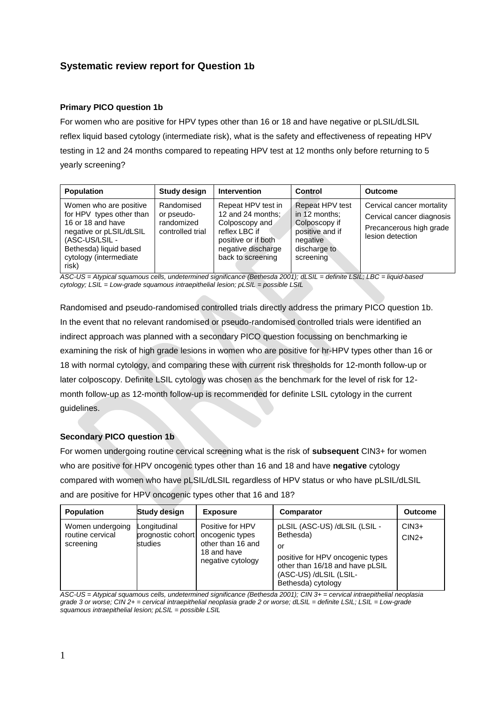# **Systematic review report for Question 1b**

# **Primary PICO question 1b**

For women who are positive for HPV types other than 16 or 18 and have negative or pLSIL/dLSIL reflex liquid based cytology (intermediate risk), what is the safety and effectiveness of repeating HPV testing in 12 and 24 months compared to repeating HPV test at 12 months only before returning to 5 yearly screening?

| <b>Population</b>                                                                                                                                                                 | Study design                                               | <b>Intervention</b>                                                                                                                          | Control                                                                                                       | <b>Outcome</b>                                                                                        |
|-----------------------------------------------------------------------------------------------------------------------------------------------------------------------------------|------------------------------------------------------------|----------------------------------------------------------------------------------------------------------------------------------------------|---------------------------------------------------------------------------------------------------------------|-------------------------------------------------------------------------------------------------------|
| Women who are positive<br>for HPV types other than<br>16 or 18 and have<br>negative or pLSIL/dLSIL<br>(ASC-US/LSIL -<br>Bethesda) liquid based<br>cytology (intermediate<br>risk) | Randomised<br>or pseudo-<br>randomized<br>controlled trial | Repeat HPV test in<br>12 and 24 months:<br>Colposcopy and<br>reflex LBC if<br>positive or if both<br>negative discharge<br>back to screening | Repeat HPV test<br>in 12 months:<br>Colposcopy if<br>positive and if<br>negative<br>discharge to<br>screening | Cervical cancer mortality<br>Cervical cancer diagnosis<br>Precancerous high grade<br>lesion detection |

*ASC-US = Atypical squamous cells, undetermined significance (Bethesda 2001); dLSIL = definite LSIL; LBC = liquid-based cytology; LSIL = Low-grade squamous intraepithelial lesion; pLSIL = possible LSIL* 

Randomised and pseudo-randomised controlled trials directly address the primary PICO question 1b. In the event that no relevant randomised or pseudo-randomised controlled trials were identified an indirect approach was planned with a secondary PICO question focussing on benchmarking ie examining the risk of high grade lesions in women who are positive for hr-HPV types other than 16 or 18 with normal cytology, and comparing these with current risk thresholds for 12-month follow-up or later colposcopy. Definite LSIL cytology was chosen as the benchmark for the level of risk for 12 month follow-up as 12-month follow-up is recommended for definite LSIL cytology in the current guidelines.

### **Secondary PICO question 1b**

For women undergoing routine cervical screening what is the risk of **subsequent** CIN3+ for women who are positive for HPV oncogenic types other than 16 and 18 and have **negative** cytology compared with women who have pLSIL/dLSIL regardless of HPV status or who have pLSIL/dLSIL and are positive for HPV oncogenic types other that 16 and 18?

| <b>Population</b>                                 | <b>Study design</b>                          | <b>Exposure</b>                                                                              | Comparator                                                                                                                                                              | <b>Outcome</b>     |
|---------------------------------------------------|----------------------------------------------|----------------------------------------------------------------------------------------------|-------------------------------------------------------------------------------------------------------------------------------------------------------------------------|--------------------|
| Women undergoing<br>routine cervical<br>screening | Longitudinal<br>prognostic cohort<br>studies | Positive for HPV<br>oncogenic types<br>other than 16 and<br>18 and have<br>negative cytology | pLSIL (ASC-US) /dLSIL (LSIL -<br>Bethesda)<br>or<br>positive for HPV oncogenic types<br>other than 16/18 and have pLSIL<br>(ASC-US) /dLSIL (LSIL-<br>Bethesda) cytology | $CIN3+$<br>$CIN2+$ |

*ASC-US = Atypical squamous cells, undetermined significance (Bethesda 2001); CIN 3+ = cervical intraepithelial neoplasia grade 3 or worse; CIN 2+ = cervical intraepithelial neoplasia grade 2 or worse; dLSIL = definite LSIL; LSIL = Low-grade squamous intraepithelial lesion; pLSIL = possible LSIL*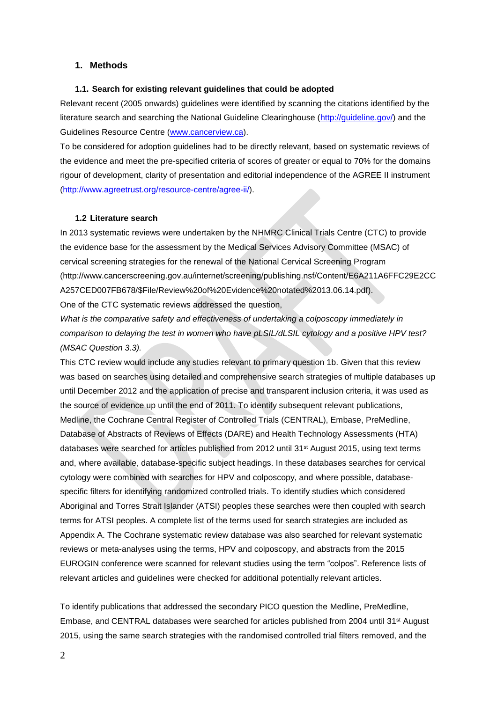#### **1. Methods**

#### **1.1. Search for existing relevant guidelines that could be adopted**

Relevant recent (2005 onwards) guidelines were identified by scanning the citations identified by the literature search and searching the National Guideline Clearinghouse [\(http://guideline.gov/\)](http://guideline.gov/) and the Guidelines Resource Centre [\(www.cancerview.ca\)](http://www.cancerview.ca/).

To be considered for adoption guidelines had to be directly relevant, based on systematic reviews of the evidence and meet the pre-specified criteria of scores of greater or equal to 70% for the domains rigour of development, clarity of presentation and editorial independence of the AGREE II instrument [\(http://www.agreetrust.org/resource-centre/agree-ii/\)](http://www.agreetrust.org/resource-centre/agree-ii/).

#### **1.2 Literature search**

In 2013 systematic reviews were undertaken by the NHMRC Clinical Trials Centre (CTC) to provide the evidence base for the assessment by the Medical Services Advisory Committee (MSAC) of cervical screening strategies for the renewal of the National Cervical Screening Program (http://www.cancerscreening.gov.au/internet/screening/publishing.nsf/Content/E6A211A6FFC29E2CC A257CED007FB678/\$File/Review%20of%20Evidence%20notated%2013.06.14.pdf).

One of the CTC systematic reviews addressed the question,

*What is the comparative safety and effectiveness of undertaking a colposcopy immediately in comparison to delaying the test in women who have pLSIL/dLSIL cytology and a positive HPV test? (MSAC Question 3.3).* 

This CTC review would include any studies relevant to primary question 1b. Given that this review was based on searches using detailed and comprehensive search strategies of multiple databases up until December 2012 and the application of precise and transparent inclusion criteria, it was used as the source of evidence up until the end of 2011. To identify subsequent relevant publications, Medline, the Cochrane Central Register of Controlled Trials (CENTRAL), Embase, PreMedline, Database of Abstracts of Reviews of Effects (DARE) and Health Technology Assessments (HTA) databases were searched for articles published from 2012 until 31<sup>st</sup> August 2015, using text terms and, where available, database-specific subject headings. In these databases searches for cervical cytology were combined with searches for HPV and colposcopy, and where possible, databasespecific filters for identifying randomized controlled trials. To identify studies which considered Aboriginal and Torres Strait Islander (ATSI) peoples these searches were then coupled with search terms for ATSI peoples. A complete list of the terms used for search strategies are included as Appendix A. The Cochrane systematic review database was also searched for relevant systematic reviews or meta-analyses using the terms, HPV and colposcopy, and abstracts from the 2015 EUROGIN conference were scanned for relevant studies using the term "colpos". Reference lists of relevant articles and guidelines were checked for additional potentially relevant articles.

To identify publications that addressed the secondary PICO question the Medline, PreMedline, Embase, and CENTRAL databases were searched for articles published from 2004 until 31<sup>st</sup> August 2015, using the same search strategies with the randomised controlled trial filters removed, and the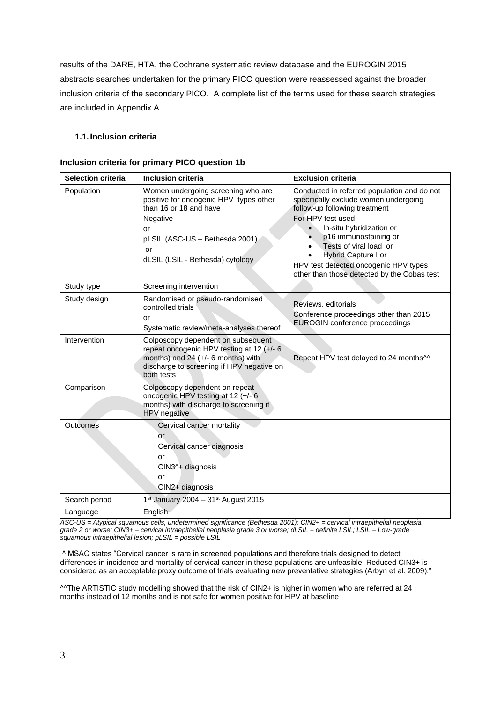results of the DARE, HTA, the Cochrane systematic review database and the EUROGIN 2015 abstracts searches undertaken for the primary PICO question were reassessed against the broader inclusion criteria of the secondary PICO. A complete list of the terms used for these search strategies are included in Appendix A.

### **1.1. Inclusion criteria**

### **Inclusion criteria for primary PICO question 1b**

| <b>Selection criteria</b> | <b>Inclusion criteria</b>                                                                                                                                                                            | <b>Exclusion criteria</b>                                                                                                                                                                                                                                                                                                                |
|---------------------------|------------------------------------------------------------------------------------------------------------------------------------------------------------------------------------------------------|------------------------------------------------------------------------------------------------------------------------------------------------------------------------------------------------------------------------------------------------------------------------------------------------------------------------------------------|
| Population                | Women undergoing screening who are<br>positive for oncogenic HPV types other<br>than 16 or 18 and have<br>Negative<br>or<br>pLSIL (ASC-US - Bethesda 2001)<br>or<br>dLSIL (LSIL - Bethesda) cytology | Conducted in referred population and do not<br>specifically exclude women undergoing<br>follow-up following treatment<br>For HPV test used<br>In-situ hybridization or<br>p16 immunostaining or<br>Tests of viral load or<br>Hybrid Capture I or<br>HPV test detected oncogenic HPV types<br>other than those detected by the Cobas test |
| Study type                | Screening intervention                                                                                                                                                                               |                                                                                                                                                                                                                                                                                                                                          |
| Study design              | Randomised or pseudo-randomised<br>controlled trials<br>or<br>Systematic review/meta-analyses thereof                                                                                                | Reviews, editorials<br>Conference proceedings other than 2015<br><b>EUROGIN</b> conference proceedings                                                                                                                                                                                                                                   |
| Intervention              | Colposcopy dependent on subsequent<br>repeat oncogenic HPV testing at 12 (+/- 6<br>months) and 24 (+/- 6 months) with<br>discharge to screening if HPV negative on<br>both tests                     | Repeat HPV test delayed to 24 months <sup>11</sup>                                                                                                                                                                                                                                                                                       |
| Comparison                | Colposcopy dependent on repeat<br>oncogenic HPV testing at 12 (+/- 6<br>months) with discharge to screening if<br>HPV negative                                                                       |                                                                                                                                                                                                                                                                                                                                          |
| Outcomes                  | Cervical cancer mortality<br>or<br>Cervical cancer diagnosis<br>or<br>CIN3^+ diagnosis<br>or<br>CIN2+ diagnosis                                                                                      |                                                                                                                                                                                                                                                                                                                                          |
| Search period             | $1st$ January 2004 - 31 <sup>st</sup> August 2015                                                                                                                                                    |                                                                                                                                                                                                                                                                                                                                          |
| Language                  | English                                                                                                                                                                                              |                                                                                                                                                                                                                                                                                                                                          |

*ASC-US = Atypical squamous cells, undetermined significance (Bethesda 2001); CIN2+ = cervical intraepithelial neoplasia grade 2 or worse; CIN3+ = cervical intraepithelial neoplasia grade 3 or worse; dLSIL = definite LSIL; LSIL = Low-grade squamous intraepithelial lesion; pLSIL = possible LSIL* 

^ MSAC states "Cervical cancer is rare in screened populations and therefore trials designed to detect differences in incidence and mortality of cervical cancer in these populations are unfeasible. Reduced CIN3+ is considered as an acceptable proxy outcome of trials evaluating new preventative strategies (Arbyn et al. 2009)."

^^The ARTISTIC study modelling showed that the risk of CIN2+ is higher in women who are referred at 24 months instead of 12 months and is not safe for women positive for HPV at baseline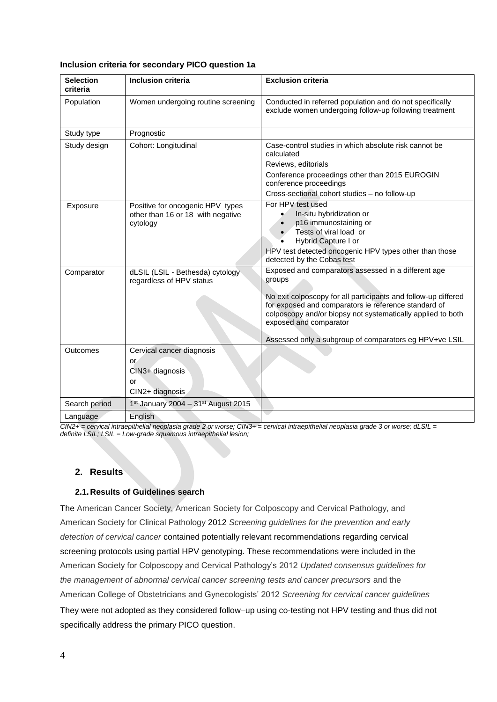| Inclusion criteria for secondary PICO question 1a |  |  |  |  |  |
|---------------------------------------------------|--|--|--|--|--|
|---------------------------------------------------|--|--|--|--|--|

| <b>Selection</b><br>criteria | <b>Inclusion criteria</b>                                                         | <b>Exclusion criteria</b>                                                                                                                                                                                                                                                                                                                  |
|------------------------------|-----------------------------------------------------------------------------------|--------------------------------------------------------------------------------------------------------------------------------------------------------------------------------------------------------------------------------------------------------------------------------------------------------------------------------------------|
| Population                   | Women undergoing routine screening                                                | Conducted in referred population and do not specifically<br>exclude women undergoing follow-up following treatment                                                                                                                                                                                                                         |
| Study type                   | Prognostic                                                                        |                                                                                                                                                                                                                                                                                                                                            |
| Study design                 | Cohort: Longitudinal                                                              | Case-control studies in which absolute risk cannot be<br>calculated<br>Reviews, editorials<br>Conference proceedings other than 2015 EUROGIN<br>conference proceedings<br>Cross-sectional cohort studies - no follow-up                                                                                                                    |
| Exposure                     | Positive for oncogenic HPV types<br>other than 16 or 18 with negative<br>cytology | For HPV test used<br>In-situ hybridization or<br>p16 immunostaining or<br>Tests of viral load or<br>Hybrid Capture I or<br>HPV test detected oncogenic HPV types other than those<br>detected by the Cobas test                                                                                                                            |
| Comparator                   | dLSIL (LSIL - Bethesda) cytology<br>regardless of HPV status                      | Exposed and comparators assessed in a different age<br>groups<br>No exit colposcopy for all participants and follow-up differed<br>for exposed and comparators ie reference standard of<br>colposcopy and/or biopsy not systematically applied to both<br>exposed and comparator<br>Assessed only a subgroup of comparators eg HPV+ve LSIL |
| Outcomes                     | Cervical cancer diagnosis<br>or<br>CIN3+ diagnosis<br>or<br>CIN2+ diagnosis       |                                                                                                                                                                                                                                                                                                                                            |
| Search period                | 1st January 2004 - 31st August 2015                                               |                                                                                                                                                                                                                                                                                                                                            |
| Language                     | English                                                                           |                                                                                                                                                                                                                                                                                                                                            |

*CIN2+ = cervical intraepithelial neoplasia grade 2 or worse; CIN3+ = cervical intraepithelial neoplasia grade 3 or worse; dLSIL = definite LSIL; LSIL = Low-grade squamous intraepithelial lesion;* 

# **2. Results**

## **2.1. Results of Guidelines search**

The American Cancer Society, American Society for Colposcopy and Cervical Pathology, and American Society for Clinical Pathology 2012 *Screening guidelines for the prevention and early detection of cervical cancer* contained potentially relevant recommendations regarding cervical screening protocols using partial HPV genotyping. These recommendations were included in the American Society for Colposcopy and Cervical Pathology's 2012 *Updated consensus guidelines for the management of abnormal cervical cancer screening tests and cancer precursors* and the American College of Obstetricians and Gynecologists' 2012 *Screening for cervical cancer guidelines*

They were not adopted as they considered follow–up using co-testing not HPV testing and thus did not specifically address the primary PICO question.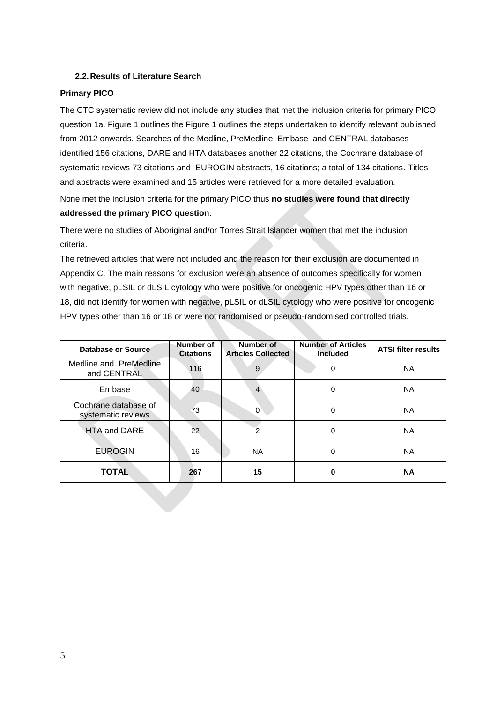## **2.2. Results of Literature Search**

# **Primary PICO**

The CTC systematic review did not include any studies that met the inclusion criteria for primary PICO question 1a. Figure 1 outlines the Figure 1 outlines the steps undertaken to identify relevant published from 2012 onwards. Searches of the Medline, PreMedline, Embase and CENTRAL databases identified 156 citations, DARE and HTA databases another 22 citations, the Cochrane database of systematic reviews 73 citations and EUROGIN abstracts, 16 citations; a total of 134 citations. Titles and abstracts were examined and 15 articles were retrieved for a more detailed evaluation.

None met the inclusion criteria for the primary PICO thus **no studies were found that directly addressed the primary PICO question**.

There were no studies of Aboriginal and/or Torres Strait Islander women that met the inclusion criteria.

The retrieved articles that were not included and the reason for their exclusion are documented in Appendix C. The main reasons for exclusion were an absence of outcomes specifically for women with negative, pLSIL or dLSIL cytology who were positive for oncogenic HPV types other than 16 or 18, did not identify for women with negative, pLSIL or dLSIL cytology who were positive for oncogenic HPV types other than 16 or 18 or were not randomised or pseudo-randomised controlled trials.

| Database or Source                         | Number of<br><b>Citations</b> | Number of<br><b>Articles Collected</b> | <b>Number of Articles</b><br><b>Included</b> | <b>ATSI filter results</b> |
|--------------------------------------------|-------------------------------|----------------------------------------|----------------------------------------------|----------------------------|
| Medline and PreMedline<br>and CENTRAL      | 116                           | 9                                      | 0                                            | <b>NA</b>                  |
| Embase                                     | 40                            | 4                                      | $\Omega$                                     | <b>NA</b>                  |
| Cochrane database of<br>systematic reviews | 73                            | 0                                      | $\Omega$                                     | <b>NA</b>                  |
| <b>HTA and DARE</b>                        | 22                            | 2                                      | 0                                            | <b>NA</b>                  |
| <b>EUROGIN</b>                             | 16                            | NA.                                    | 0                                            | <b>NA</b>                  |
| <b>TOTAL</b>                               | 267                           | 15                                     | ŋ                                            | <b>NA</b>                  |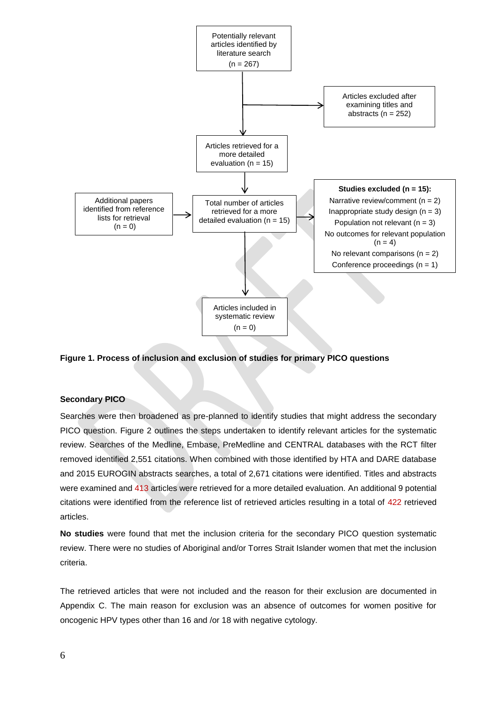

### **Figure 1. Process of inclusion and exclusion of studies for primary PICO questions**

#### **Secondary PICO**

Searches were then broadened as pre-planned to identify studies that might address the secondary PICO question. Figure 2 outlines the steps undertaken to identify relevant articles for the systematic review. Searches of the Medline, Embase, PreMedline and CENTRAL databases with the RCT filter removed identified 2,551 citations. When combined with those identified by HTA and DARE database and 2015 EUROGIN abstracts searches, a total of 2,671 citations were identified. Titles and abstracts were examined and 413 articles were retrieved for a more detailed evaluation. An additional 9 potential citations were identified from the reference list of retrieved articles resulting in a total of 422 retrieved articles.

**No studies** were found that met the inclusion criteria for the secondary PICO question systematic review. There were no studies of Aboriginal and/or Torres Strait Islander women that met the inclusion criteria.

The retrieved articles that were not included and the reason for their exclusion are documented in Appendix C. The main reason for exclusion was an absence of outcomes for women positive for oncogenic HPV types other than 16 and /or 18 with negative cytology.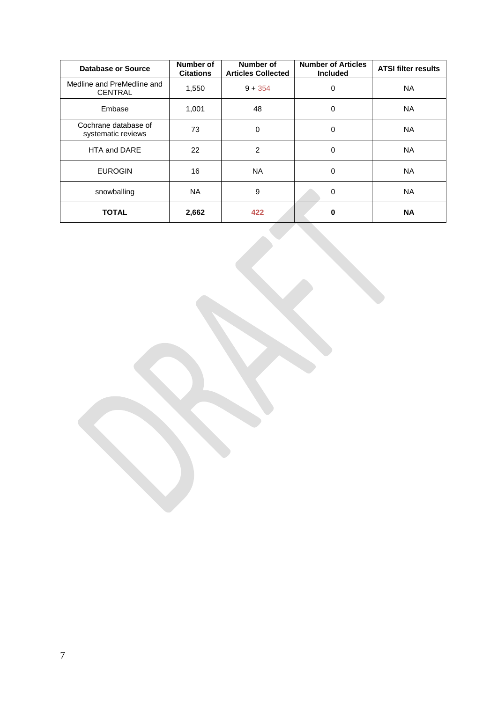| Database or Source                           | Number of<br><b>Citations</b> | Number of<br><b>Articles Collected</b> | <b>Number of Articles</b><br><b>Included</b> | <b>ATSI filter results</b> |
|----------------------------------------------|-------------------------------|----------------------------------------|----------------------------------------------|----------------------------|
| Medline and PreMedline and<br><b>CENTRAL</b> | 1,550                         | $9 + 354$                              | 0                                            | NA.                        |
| Embase                                       | 1,001                         | 48                                     | 0                                            | NA.                        |
| Cochrane database of<br>systematic reviews   | 73                            | 0                                      | 0                                            | NA.                        |
| HTA and DARE                                 | 22                            | $\overline{2}$                         | $\mathbf 0$                                  | <b>NA</b>                  |
| <b>EUROGIN</b>                               | 16                            | <b>NA</b>                              | 0                                            | NA.                        |
| snowballing                                  | <b>NA</b>                     | 9                                      | $\mathbf 0$                                  | NA.                        |
| <b>TOTAL</b>                                 | 2,662                         | 422                                    | 0                                            | <b>NA</b>                  |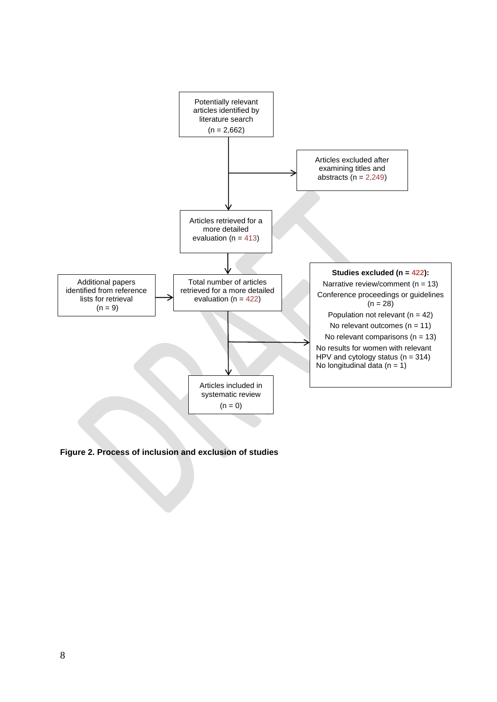

**Figure 2. Process of inclusion and exclusion of studies**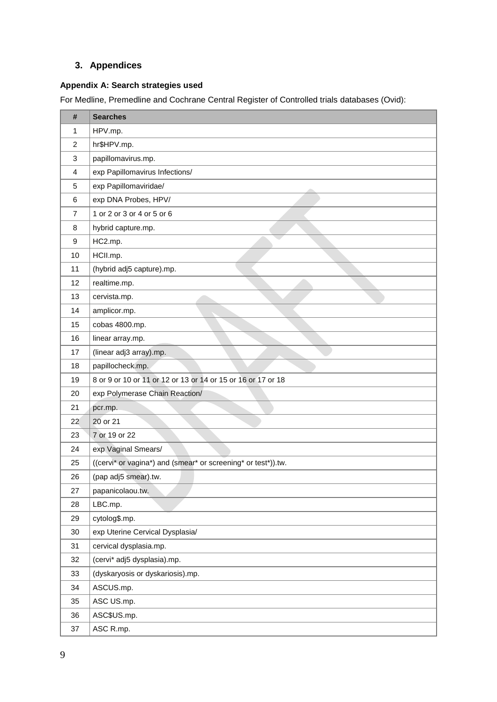# **3. Appendices**

# **Appendix A: Search strategies used**

For Medline, Premedline and Cochrane Central Register of Controlled trials databases (Ovid):

| #              | <b>Searches</b>                                               |
|----------------|---------------------------------------------------------------|
| 1              | HPV.mp.                                                       |
| $\overline{c}$ | hr\$HPV.mp.                                                   |
| 3              | papillomavirus.mp.                                            |
| 4              | exp Papillomavirus Infections/                                |
| 5              | exp Papillomaviridae/                                         |
| 6              | exp DNA Probes, HPV/                                          |
| $\overline{7}$ | 1 or 2 or 3 or 4 or 5 or 6                                    |
| 8              | hybrid capture.mp.                                            |
| 9              | HC2.mp.                                                       |
| 10             | HCII.mp.                                                      |
| 11             | (hybrid adj5 capture).mp.                                     |
| 12             | realtime.mp.                                                  |
| 13             | cervista.mp.                                                  |
| 14             | amplicor.mp.                                                  |
| 15             | cobas 4800.mp.                                                |
| 16             | linear array.mp.                                              |
| 17             | (linear adj3 array).mp.                                       |
| 18             | papillocheck.mp.                                              |
| 19             | 8 or 9 or 10 or 11 or 12 or 13 or 14 or 15 or 16 or 17 or 18  |
| 20             | exp Polymerase Chain Reaction/                                |
| 21             | pcr.mp.                                                       |
| 22             | 20 or 21                                                      |
| 23             | 7 or 19 or 22                                                 |
| 24             | exp Vaginal Smears/                                           |
| 25             | ((cervi* or vagina*) and (smear* or screening* or test*)).tw. |
| 26             | (pap adj5 smear).tw.                                          |
| 27             | papanicolaou.tw.                                              |
| 28             | LBC.mp.                                                       |
| 29             | cytolog\$.mp.                                                 |
| 30             | exp Uterine Cervical Dysplasia/                               |
| 31             | cervical dysplasia.mp.                                        |
| 32             | (cervi* adj5 dysplasia).mp.                                   |
| 33             | (dyskaryosis or dyskariosis).mp.                              |
| 34             | ASCUS.mp.                                                     |
| 35             | ASC US.mp.                                                    |
| 36             | ASC\$US.mp.                                                   |
| 37             | ASC R.mp.                                                     |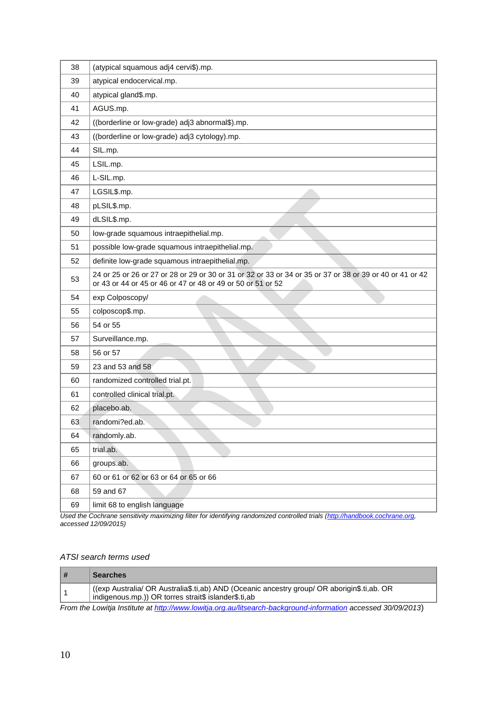| 38 | (atypical squamous adj4 cervi\$).mp.                                                                                                                                    |
|----|-------------------------------------------------------------------------------------------------------------------------------------------------------------------------|
| 39 | atypical endocervical.mp.                                                                                                                                               |
| 40 | atypical gland\$.mp.                                                                                                                                                    |
| 41 | AGUS.mp.                                                                                                                                                                |
| 42 | ((borderline or low-grade) adj3 abnormal\$).mp.                                                                                                                         |
| 43 | ((borderline or low-grade) adj3 cytology).mp.                                                                                                                           |
| 44 | SIL.mp.                                                                                                                                                                 |
| 45 | LSIL.mp.                                                                                                                                                                |
| 46 | L-SIL.mp.                                                                                                                                                               |
| 47 | LGSIL\$.mp.                                                                                                                                                             |
| 48 | pLSIL\$.mp.                                                                                                                                                             |
| 49 | dLSIL\$.mp.                                                                                                                                                             |
| 50 | low-grade squamous intraepithelial.mp.                                                                                                                                  |
| 51 | possible low-grade squamous intraepithelial.mp.                                                                                                                         |
| 52 | definite low-grade squamous intraepithelial.mp.                                                                                                                         |
| 53 | 24 or 25 or 26 or 27 or 28 or 29 or 30 or 31 or 32 or 33 or 34 or 35 or 37 or 38 or 39 or 40 or 41 or 42<br>or 43 or 44 or 45 or 46 or 47 or 48 or 49 or 50 or 51 or 52 |
| 54 | exp Colposcopy/                                                                                                                                                         |
| 55 | colposcop\$.mp.                                                                                                                                                         |
| 56 | 54 or 55                                                                                                                                                                |
| 57 | Surveillance.mp.                                                                                                                                                        |
| 58 | 56 or 57                                                                                                                                                                |
| 59 | 23 and 53 and 58                                                                                                                                                        |
| 60 | randomized controlled trial.pt.                                                                                                                                         |
| 61 | controlled clinical trial.pt.                                                                                                                                           |
| 62 | placebo.ab.                                                                                                                                                             |
| 63 | randomi?ed.ab.                                                                                                                                                          |
| 64 | randomly.ab.                                                                                                                                                            |
| 65 | trial.ab.                                                                                                                                                               |
| 66 | groups.ab.                                                                                                                                                              |
| 67 |                                                                                                                                                                         |
|    | 60 or 61 or 62 or 63 or 64 or 65 or 66                                                                                                                                  |
| 68 | 59 and 67                                                                                                                                                               |
| 69 | limit 68 to english language                                                                                                                                            |

Used the Cochrane sensitivity maximizing filter for identifying randomized controlled trials [\(http://handbook.cochrane.org,](http://handbook.cochrane.org/) *accessed 12/09/2015)* 

# *ATSI search terms used*

| # | <b>Searches</b>                                                                                                                                    |
|---|----------------------------------------------------------------------------------------------------------------------------------------------------|
|   | (exp Australia/ OR Australia\$.ti,ab) AND (Oceanic ancestry group/ OR aborigin\$.ti,ab. OR<br>indigenous.mp.)) OR torres strait\$ islander\$.ti,ab |
|   | $\Gamma_{\text{max}}$ the Ferminan limit of the distribution of the control of the control of the second information access of 00/00/00/00         |

*From the Lowitja Institute at<http://www.lowitja.org.au/litsearch-background-information>accessed 30/09/2013*)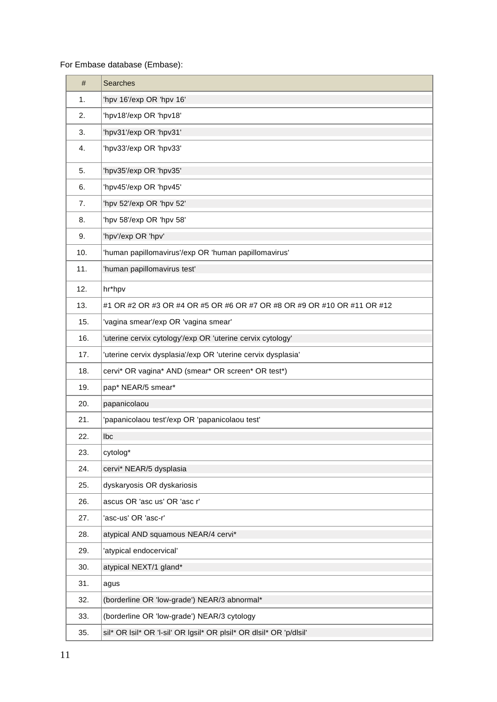# For Embase database (Embase):

| #   | <b>Searches</b>                                                         |
|-----|-------------------------------------------------------------------------|
| 1.  | 'hpv 16'/exp OR 'hpv 16'                                                |
| 2.  | 'hpv18'/exp OR 'hpv18'                                                  |
| 3.  | 'hpv31'/exp OR 'hpv31'                                                  |
| 4.  | 'hpv33'/exp OR 'hpv33'                                                  |
| 5.  | 'hpv35'/exp OR 'hpv35'                                                  |
| 6.  | 'hpv45'/exp OR 'hpv45'                                                  |
| 7.  | 'hpv 52'/exp OR 'hpv 52'                                                |
| 8.  | 'hpv 58'/exp OR 'hpv 58'                                                |
| 9.  | 'hpv'/exp OR 'hpv'                                                      |
| 10. | 'human papillomavirus'/exp OR 'human papillomavirus'                    |
| 11. | 'human papillomavirus test'                                             |
| 12. | hr*hpv                                                                  |
| 13. | #1 OR #2 OR #3 OR #4 OR #5 OR #6 OR #7 OR #8 OR #9 OR #10 OR #11 OR #12 |
| 15. | 'vagina smear'/exp OR 'vagina smear'                                    |
| 16. | 'uterine cervix cytology'/exp OR 'uterine cervix cytology'              |
| 17. | 'uterine cervix dysplasia'/exp OR 'uterine cervix dysplasia'            |
| 18. | cervi* OR vagina* AND (smear* OR screen* OR test*)                      |
| 19. | pap* NEAR/5 smear*                                                      |
| 20. | papanicolaou                                                            |
| 21. | 'papanicolaou test'/exp OR 'papanicolaou test'                          |
| 22. | lbc                                                                     |
| 23. | cytolog*                                                                |
| 24. | cervi* NEAR/5 dysplasia                                                 |
| 25. | dyskaryosis OR dyskariosis                                              |
| 26. | ascus OR 'asc us' OR 'asc r'                                            |
| 27. | 'asc-us' OR 'asc-r'                                                     |
| 28. | atypical AND squamous NEAR/4 cervi*                                     |
| 29. | 'atypical endocervical'                                                 |
| 30. | atypical NEXT/1 gland*                                                  |
| 31. | agus                                                                    |
| 32. | (borderline OR 'low-grade') NEAR/3 abnormal*                            |
| 33. | (borderline OR 'low-grade') NEAR/3 cytology                             |
| 35. | sil* OR Isil* OR 'I-sil' OR Igsil* OR plsil* OR dlsil* OR 'p/dlsil'     |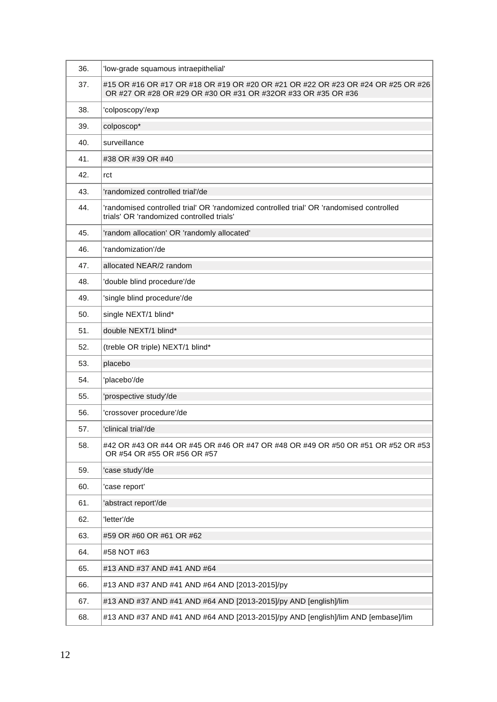| 36. | 'low-grade squamous intraepithelial'                                                                                                              |
|-----|---------------------------------------------------------------------------------------------------------------------------------------------------|
| 37. | #15 OR #16 OR #17 OR #18 OR #19 OR #20 OR #21 OR #22 OR #23 OR #24 OR #25 OR #26<br>OR #27 OR #28 OR #29 OR #30 OR #31 OR #32OR #33 OR #35 OR #36 |
| 38. | 'colposcopy'/exp                                                                                                                                  |
| 39. | colposcop*                                                                                                                                        |
| 40. | surveillance                                                                                                                                      |
| 41. | #38 OR #39 OR #40                                                                                                                                 |
| 42. | rct                                                                                                                                               |
| 43. | 'randomized controlled trial'/de                                                                                                                  |
| 44. | 'randomised controlled trial' OR 'randomized controlled trial' OR 'randomised controlled<br>trials' OR 'randomized controlled trials'             |
| 45. | 'random allocation' OR 'randomly allocated'                                                                                                       |
| 46. | 'randomization'/de                                                                                                                                |
| 47. | allocated NEAR/2 random                                                                                                                           |
| 48. | 'double blind procedure'/de                                                                                                                       |
| 49. | 'single blind procedure'/de                                                                                                                       |
| 50. | single NEXT/1 blind*                                                                                                                              |
| 51. | double NEXT/1 blind*                                                                                                                              |
| 52. | (treble OR triple) NEXT/1 blind*                                                                                                                  |
| 53. | placebo                                                                                                                                           |
| 54. | 'placebo'/de                                                                                                                                      |
| 55. | 'prospective study'/de                                                                                                                            |
| 56. | 'crossover procedure'/de                                                                                                                          |
| 57. | 'clinical trial'/de                                                                                                                               |
| 58. | #42 OR #43 OR #44 OR #45 OR #46 OR #47 OR #48 OR #49 OR #50 OR #51 OR #52 OR #53<br>OR #54 OR #55 OR #56 OR #57                                   |
| 59. | 'case study'/de                                                                                                                                   |
| 60. | 'case report'                                                                                                                                     |
| 61. | 'abstract report'/de                                                                                                                              |
| 62. | 'letter'/de                                                                                                                                       |
| 63. | #59 OR #60 OR #61 OR #62                                                                                                                          |
| 64. | #58 NOT #63                                                                                                                                       |
| 65. | #13 AND #37 AND #41 AND #64                                                                                                                       |
| 66. | #13 AND #37 AND #41 AND #64 AND [2013-2015]/py                                                                                                    |
| 67. | #13 AND #37 AND #41 AND #64 AND [2013-2015]/py AND [english]/lim                                                                                  |
| 68. | #13 AND #37 AND #41 AND #64 AND [2013-2015]/py AND [english]/lim AND [embase]/lim                                                                 |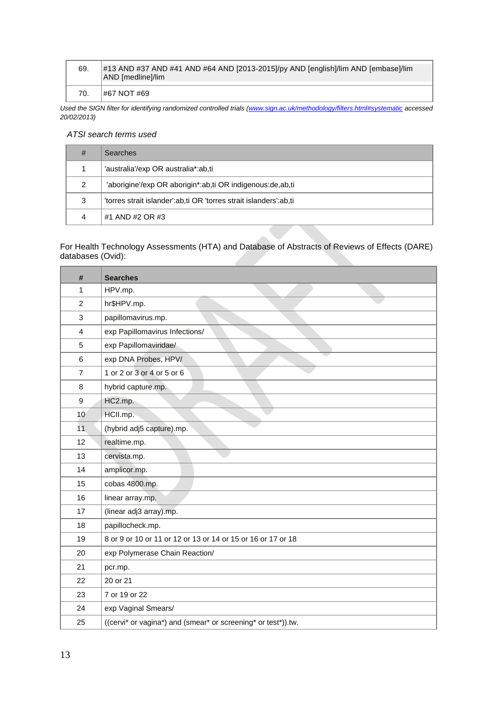| 69. | #13 AND #37 AND #41 AND #64 AND [2013-2015]/py AND [english]/lim AND [embase]/lim<br>AND [medline]/lim |
|-----|--------------------------------------------------------------------------------------------------------|
| 70. | #67 NOT #69                                                                                            |

*Used the SIGN filter for identifying randomized controlled trials [\(www.sign.ac.uk/methodology/filters.html#systematic a](http://www.sign.ac.uk/methodology/filters.html#systematic)ccessed 20/02/2013)* 

# *ATSI search terms used*

| #             | <b>Searches</b>                                                   |
|---------------|-------------------------------------------------------------------|
|               | 'australia'/exp OR australia*:ab.ti                               |
| $\mathcal{P}$ | 'aborigine'/exp OR aborigin*:ab,ti OR indigenous:de,ab,ti         |
| 3             | 'torres strait islander':ab.ti OR 'torres strait islanders':ab.ti |
|               | #1 AND #2 OR #3                                                   |

#### For Health Technology Assessments (HTA) and Database of Abstracts of Reviews of Effects (DARE) databases (Ovid):

| #              | <b>Searches</b>                                               |
|----------------|---------------------------------------------------------------|
| 1              | HPV.mp.                                                       |
| $\overline{2}$ | hr\$HPV.mp.                                                   |
| 3              | papillomavirus.mp.                                            |
| $\overline{4}$ | exp Papillomavirus Infections/                                |
| 5              | exp Papillomaviridae/                                         |
| 6              | exp DNA Probes, HPV/                                          |
| $\overline{7}$ | 1 or 2 or 3 or 4 or 5 or 6                                    |
| 8              | hybrid capture.mp.                                            |
| 9              | HC2.mp.                                                       |
| 10             | HCII.mp.                                                      |
| 11             | (hybrid adj5 capture).mp.                                     |
| 12             | realtime.mp.                                                  |
| 13             | cervista.mp.                                                  |
| 14             | amplicor.mp.                                                  |
| 15             | cobas 4800.mp.                                                |
| 16             | linear array.mp.                                              |
| 17             | (linear adj3 array).mp.                                       |
| 18             | papillocheck.mp.                                              |
| 19             | 8 or 9 or 10 or 11 or 12 or 13 or 14 or 15 or 16 or 17 or 18  |
| 20             | exp Polymerase Chain Reaction/                                |
| 21             | pcr.mp.                                                       |
| 22             | 20 or 21                                                      |
| 23             | 7 or 19 or 22                                                 |
| 24             | exp Vaginal Smears/                                           |
| 25             | ((cervi* or vagina*) and (smear* or screening* or test*)).tw. |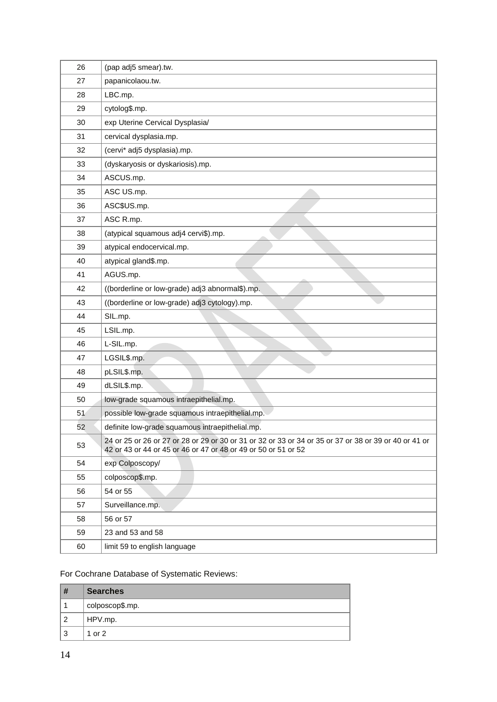| 26 | (pap adj5 smear).tw.                                                                                                                                                    |
|----|-------------------------------------------------------------------------------------------------------------------------------------------------------------------------|
| 27 | papanicolaou.tw.                                                                                                                                                        |
| 28 | LBC.mp.                                                                                                                                                                 |
| 29 | cytolog\$.mp.                                                                                                                                                           |
| 30 | exp Uterine Cervical Dysplasia/                                                                                                                                         |
| 31 | cervical dysplasia.mp.                                                                                                                                                  |
| 32 | (cervi* adj5 dysplasia).mp.                                                                                                                                             |
| 33 | (dyskaryosis or dyskariosis).mp.                                                                                                                                        |
| 34 | ASCUS.mp.                                                                                                                                                               |
| 35 | ASC US.mp.                                                                                                                                                              |
| 36 | ASC\$US.mp.                                                                                                                                                             |
| 37 | ASC R.mp.                                                                                                                                                               |
| 38 | (atypical squamous adj4 cervi\$).mp.                                                                                                                                    |
| 39 | atypical endocervical.mp.                                                                                                                                               |
| 40 | atypical gland\$.mp.                                                                                                                                                    |
| 41 | AGUS.mp.                                                                                                                                                                |
| 42 | ((borderline or low-grade) adj3 abnormal\$).mp.                                                                                                                         |
| 43 | ((borderline or low-grade) adj3 cytology).mp.                                                                                                                           |
| 44 | SIL.mp.                                                                                                                                                                 |
| 45 | LSIL.mp.                                                                                                                                                                |
| 46 | L-SIL.mp.                                                                                                                                                               |
| 47 | LGSIL\$.mp.                                                                                                                                                             |
| 48 | pLSIL\$.mp.                                                                                                                                                             |
| 49 | dLSIL\$.mp.                                                                                                                                                             |
| 50 | low-grade squamous intraepithelial.mp.                                                                                                                                  |
| 51 | possible low-grade squamous intraepithelial.mp.                                                                                                                         |
| 52 | definite low-grade squamous intraepithelial.mp.                                                                                                                         |
| 53 | 24 or 25 or 26 or 27 or 28 or 29 or 30 or 31 or 32 or 33 or 34 or 35 or 37 or 38 or 39 or 40 or 41 or<br>42 or 43 or 44 or 45 or 46 or 47 or 48 or 49 or 50 or 51 or 52 |
| 54 | exp Colposcopy/                                                                                                                                                         |
| 55 | colposcop\$.mp.                                                                                                                                                         |
| 56 | 54 or 55                                                                                                                                                                |
| 57 | Surveillance.mp.                                                                                                                                                        |
| 58 | 56 or 57                                                                                                                                                                |
| 59 | 23 and 53 and 58                                                                                                                                                        |
| 60 | limit 59 to english language                                                                                                                                            |

# For Cochrane Database of Systematic Reviews:

| #              | <b>Searches</b> |
|----------------|-----------------|
|                | colposcop\$.mp. |
| $\overline{2}$ | HPV.mp.         |
| 3              | 1 or 2          |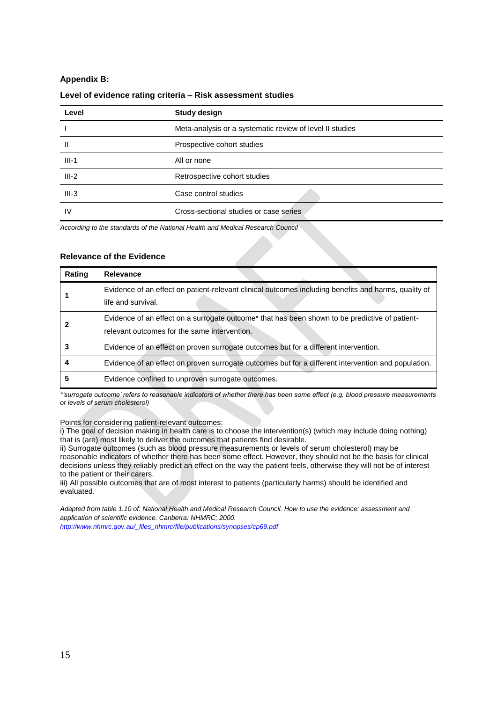### **Appendix B:**

#### **Level of evidence rating criteria – Risk assessment studies**

| Level   | <b>Study design</b>                                      |
|---------|----------------------------------------------------------|
|         | Meta-analysis or a systematic review of level II studies |
| Ш       | Prospective cohort studies                               |
| $III-1$ | All or none                                              |
| $III-2$ | Retrospective cohort studies                             |
| $III-3$ | Case control studies                                     |
| IV      | Cross-sectional studies or case series                   |

*According to the standards of the National Health and Medical Research Council* 

#### **Relevance of the Evidence**

| Rating | <b>Relevance</b>                                                                                                                                           |
|--------|------------------------------------------------------------------------------------------------------------------------------------------------------------|
|        | Evidence of an effect on patient-relevant clinical outcomes including benefits and harms, quality of<br>life and survival.                                 |
|        | Evidence of an effect on a surrogate outcome <sup>*</sup> that has been shown to be predictive of patient-<br>relevant outcomes for the same intervention. |
|        | Evidence of an effect on proven surrogate outcomes but for a different intervention.                                                                       |
|        | Evidence of an effect on proven surrogate outcomes but for a different intervention and population.                                                        |
|        | Evidence confined to unproven surrogate outcomes.                                                                                                          |

*\*'surrogate outcome' refers to reasonable indicators of whether there has been some effect (e.g. blood pressure measurements or levels of serum cholesterol)* 

Points for considering patient-relevant outcomes:

i) The goal of decision making in health care is to choose the intervention(s) (which may include doing nothing) that is (are) most likely to deliver the outcomes that patients find desirable.

ii) Surrogate outcomes (such as blood pressure measurements or levels of serum cholesterol) may be reasonable indicators of whether there has been some effect. However, they should not be the basis for clinical decisions unless they reliably predict an effect on the way the patient feels, otherwise they will not be of interest to the patient or their carers.

iii) All possible outcomes that are of most interest to patients (particularly harms) should be identified and evaluated.

*Adapted from table 1.10 of: National Health and Medical Research Council. How to use the evidence: assessment and application of scientific evidence. Canberra: NHMRC; 2000. [http://www.nhmrc.gov.au/\\_files\\_nhmrc/file/publications/synopses/cp69.pdf](http://www.nhmrc.gov.au/_files_nhmrc/file/publications/synopses/cp69.pdf)*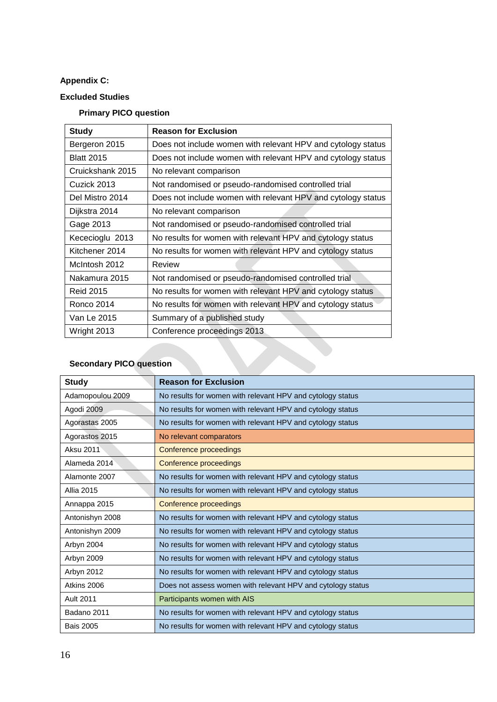# **Appendix C:**

# **Excluded Studies**

# **Primary PICO question**

| <b>Study</b>      | <b>Reason for Exclusion</b>                                  |
|-------------------|--------------------------------------------------------------|
| Bergeron 2015     | Does not include women with relevant HPV and cytology status |
| <b>Blatt 2015</b> | Does not include women with relevant HPV and cytology status |
| Cruickshank 2015  | No relevant comparison                                       |
| Cuzick 2013       | Not randomised or pseudo-randomised controlled trial         |
| Del Mistro 2014   | Does not include women with relevant HPV and cytology status |
| Dijkstra 2014     | No relevant comparison                                       |
| Gage 2013         | Not randomised or pseudo-randomised controlled trial         |
| Kececioglu 2013   | No results for women with relevant HPV and cytology status   |
| Kitchener 2014    | No results for women with relevant HPV and cytology status   |
| McIntosh 2012     | Review                                                       |
| Nakamura 2015     | Not randomised or pseudo-randomised controlled trial         |
| <b>Reid 2015</b>  | No results for women with relevant HPV and cytology status   |
| Ronco 2014        | No results for women with relevant HPV and cytology status   |
| Van Le 2015       | Summary of a published study                                 |
| Wright 2013       | Conference proceedings 2013                                  |

# **Secondary PICO question**

| <b>Study</b>      | <b>Reason for Exclusion</b>                                 |
|-------------------|-------------------------------------------------------------|
| Adamopoulou 2009  | No results for women with relevant HPV and cytology status  |
| Agodi 2009        | No results for women with relevant HPV and cytology status  |
| Agorastas 2005    | No results for women with relevant HPV and cytology status  |
| Agorastos 2015    | No relevant comparators                                     |
| Aksu 2011         | Conference proceedings                                      |
| Alameda 2014      | Conference proceedings                                      |
| Alamonte 2007     | No results for women with relevant HPV and cytology status  |
| <b>Allia 2015</b> | No results for women with relevant HPV and cytology status  |
| Annappa 2015      | Conference proceedings                                      |
| Antonishyn 2008   | No results for women with relevant HPV and cytology status  |
| Antonishyn 2009   | No results for women with relevant HPV and cytology status  |
| Arbyn 2004        | No results for women with relevant HPV and cytology status  |
| Arbyn 2009        | No results for women with relevant HPV and cytology status  |
| Arbyn 2012        | No results for women with relevant HPV and cytology status  |
| Atkins 2006       | Does not assess women with relevant HPV and cytology status |
| Ault 2011         | Participants women with AIS                                 |
| Badano 2011       | No results for women with relevant HPV and cytology status  |
| <b>Bais 2005</b>  | No results for women with relevant HPV and cytology status  |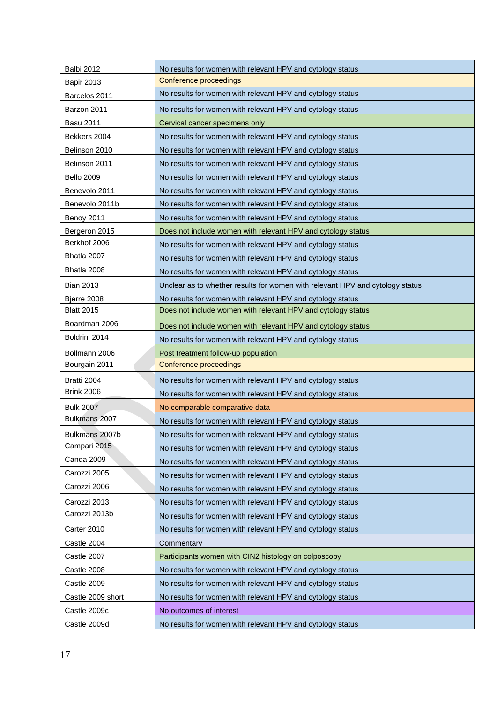| <b>Balbi 2012</b> | No results for women with relevant HPV and cytology status                    |
|-------------------|-------------------------------------------------------------------------------|
| <b>Bapir 2013</b> | Conference proceedings                                                        |
| Barcelos 2011     | No results for women with relevant HPV and cytology status                    |
| Barzon 2011       | No results for women with relevant HPV and cytology status                    |
| <b>Basu 2011</b>  | Cervical cancer specimens only                                                |
| Bekkers 2004      | No results for women with relevant HPV and cytology status                    |
| Belinson 2010     | No results for women with relevant HPV and cytology status                    |
| Belinson 2011     | No results for women with relevant HPV and cytology status                    |
| <b>Bello 2009</b> | No results for women with relevant HPV and cytology status                    |
| Benevolo 2011     | No results for women with relevant HPV and cytology status                    |
| Benevolo 2011b    | No results for women with relevant HPV and cytology status                    |
| Benoy 2011        | No results for women with relevant HPV and cytology status                    |
| Bergeron 2015     | Does not include women with relevant HPV and cytology status                  |
| Berkhof 2006      | No results for women with relevant HPV and cytology status                    |
| Bhatla 2007       | No results for women with relevant HPV and cytology status                    |
| Bhatla 2008       | No results for women with relevant HPV and cytology status                    |
| <b>Bian 2013</b>  | Unclear as to whether results for women with relevant HPV and cytology status |
| Bjerre 2008       | No results for women with relevant HPV and cytology status                    |
| <b>Blatt 2015</b> | Does not include women with relevant HPV and cytology status                  |
| Boardman 2006     | Does not include women with relevant HPV and cytology status                  |
| Boldrini 2014     | No results for women with relevant HPV and cytology status                    |
| Bollmann 2006     | Post treatment follow-up population                                           |
| Bourgain 2011     | Conference proceedings                                                        |
| Bratti 2004       | No results for women with relevant HPV and cytology status                    |
| <b>Brink 2006</b> | No results for women with relevant HPV and cytology status                    |
| <b>Bulk 2007</b>  | No comparable comparative data                                                |
| Bulkmans 2007     | No results for women with relevant HPV and cytology status                    |
| Bulkmans 2007b    | No results for women with relevant HPV and cytology status                    |
| Campari 2015      | No results for women with relevant HPV and cytology status                    |
| Canda 2009        | No results for women with relevant HPV and cytology status                    |
| Carozzi 2005      | No results for women with relevant HPV and cytology status                    |
| Carozzi 2006      | No results for women with relevant HPV and cytology status                    |
| Carozzi 2013      | No results for women with relevant HPV and cytology status                    |
| Carozzi 2013b     | No results for women with relevant HPV and cytology status                    |
| Carter 2010       | No results for women with relevant HPV and cytology status                    |
| Castle 2004       | Commentary                                                                    |
| Castle 2007       | Participants women with CIN2 histology on colposcopy                          |
| Castle 2008       | No results for women with relevant HPV and cytology status                    |
| Castle 2009       | No results for women with relevant HPV and cytology status                    |
| Castle 2009 short | No results for women with relevant HPV and cytology status                    |
| Castle 2009c      | No outcomes of interest                                                       |
| Castle 2009d      | No results for women with relevant HPV and cytology status                    |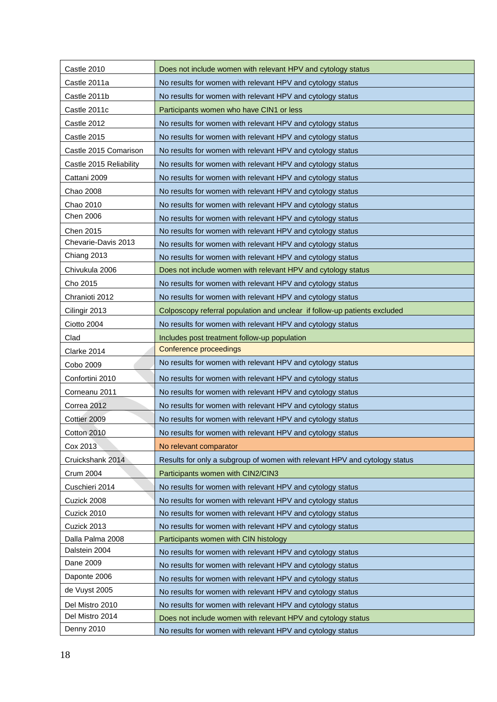| Castle 2010             | Does not include women with relevant HPV and cytology status               |
|-------------------------|----------------------------------------------------------------------------|
| Castle 2011a            | No results for women with relevant HPV and cytology status                 |
| Castle 2011b            | No results for women with relevant HPV and cytology status                 |
| Castle 2011c            | Participants women who have CIN1 or less                                   |
| Castle 2012             | No results for women with relevant HPV and cytology status                 |
| Castle 2015             | No results for women with relevant HPV and cytology status                 |
| Castle 2015 Comarison   | No results for women with relevant HPV and cytology status                 |
| Castle 2015 Reliability | No results for women with relevant HPV and cytology status                 |
| Cattani 2009            | No results for women with relevant HPV and cytology status                 |
| Chao 2008               | No results for women with relevant HPV and cytology status                 |
| Chao 2010               | No results for women with relevant HPV and cytology status                 |
| Chen 2006               | No results for women with relevant HPV and cytology status                 |
| Chen 2015               | No results for women with relevant HPV and cytology status                 |
| Chevarie-Davis 2013     | No results for women with relevant HPV and cytology status                 |
| Chiang 2013             | No results for women with relevant HPV and cytology status                 |
| Chivukula 2006          | Does not include women with relevant HPV and cytology status               |
| Cho 2015                | No results for women with relevant HPV and cytology status                 |
| Chranioti 2012          | No results for women with relevant HPV and cytology status                 |
| Cilingir 2013           | Colposcopy referral population and unclear if follow-up patients excluded  |
| Ciotto 2004             | No results for women with relevant HPV and cytology status                 |
| Clad                    | Includes post treatment follow-up population                               |
| Clarke 2014             | Conference proceedings                                                     |
| Cobo 2009               | No results for women with relevant HPV and cytology status                 |
| Confortini 2010         | No results for women with relevant HPV and cytology status                 |
| Corneanu 2011           | No results for women with relevant HPV and cytology status                 |
| Correa 2012             | No results for women with relevant HPV and cytology status                 |
| Cottier 2009            | No results for women with relevant HPV and cytology status                 |
| Cotton 2010             | No results for women with relevant HPV and cytology status                 |
| Cox 2013                | No relevant comparator                                                     |
| Cruickshank 2014        | Results for only a subgroup of women with relevant HPV and cytology status |
| <b>Crum 2004</b>        | Participants women with CIN2/CIN3                                          |
| Cuschieri 2014          | No results for women with relevant HPV and cytology status                 |
| Cuzick 2008             | No results for women with relevant HPV and cytology status                 |
| Cuzick 2010             | No results for women with relevant HPV and cytology status                 |
| Cuzick 2013             | No results for women with relevant HPV and cytology status                 |
| Dalla Palma 2008        | Participants women with CIN histology                                      |
| Dalstein 2004           | No results for women with relevant HPV and cytology status                 |
| Dane 2009               | No results for women with relevant HPV and cytology status                 |
| Daponte 2006            | No results for women with relevant HPV and cytology status                 |
| de Vuyst 2005           | No results for women with relevant HPV and cytology status                 |
| Del Mistro 2010         | No results for women with relevant HPV and cytology status                 |
| Del Mistro 2014         | Does not include women with relevant HPV and cytology status               |
| Denny 2010              | No results for women with relevant HPV and cytology status                 |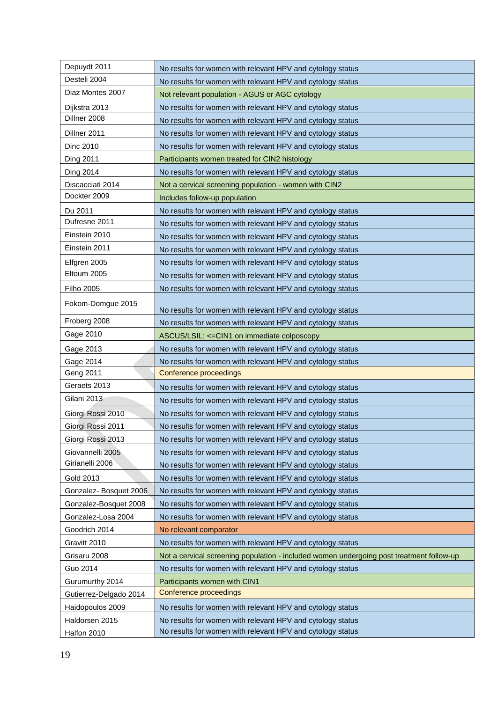| Depuydt 2011           | No results for women with relevant HPV and cytology status                               |
|------------------------|------------------------------------------------------------------------------------------|
| Desteli 2004           | No results for women with relevant HPV and cytology status                               |
| Diaz Montes 2007       | Not relevant population - AGUS or AGC cytology                                           |
| Dijkstra 2013          | No results for women with relevant HPV and cytology status                               |
| Dillner 2008           | No results for women with relevant HPV and cytology status                               |
| Dillner 2011           | No results for women with relevant HPV and cytology status                               |
| Dinc 2010              | No results for women with relevant HPV and cytology status                               |
| Ding 2011              | Participants women treated for CIN2 histology                                            |
| Ding 2014              | No results for women with relevant HPV and cytology status                               |
| Discacciati 2014       | Not a cervical screening population - women with CIN2                                    |
| Dockter 2009           | Includes follow-up population                                                            |
| Du 2011                | No results for women with relevant HPV and cytology status                               |
| Dufresne 2011          | No results for women with relevant HPV and cytology status                               |
| Einstein 2010          | No results for women with relevant HPV and cytology status                               |
| Einstein 2011          | No results for women with relevant HPV and cytology status                               |
| Elfgren 2005           | No results for women with relevant HPV and cytology status                               |
| Eltoum 2005            | No results for women with relevant HPV and cytology status                               |
| Filho 2005             | No results for women with relevant HPV and cytology status                               |
| Fokom-Domgue 2015      | No results for women with relevant HPV and cytology status                               |
| Froberg 2008           | No results for women with relevant HPV and cytology status                               |
| Gage 2010              | ASCUS/LSIL: <= CIN1 on immediate colposcopy                                              |
| Gage 2013              | No results for women with relevant HPV and cytology status                               |
| Gage 2014              | No results for women with relevant HPV and cytology status                               |
| Geng 2011              | Conference proceedings                                                                   |
| Geraets 2013           | No results for women with relevant HPV and cytology status                               |
| Gilani 2013            | No results for women with relevant HPV and cytology status                               |
| Giorgi Rossi 2010      | No results for women with relevant HPV and cytology status                               |
| Giorgi Rossi 2011      | No results for women with relevant HPV and cytology status                               |
| Giorgi Rossi 2013      | No results for women with relevant HPV and cytology status                               |
| Giovannelli 2005       | No results for women with relevant HPV and cytology status                               |
| Girianelli 2006        | No results for women with relevant HPV and cytology status                               |
| Gold 2013              | No results for women with relevant HPV and cytology status                               |
| Gonzalez-Bosquet 2006  | No results for women with relevant HPV and cytology status                               |
| Gonzalez-Bosquet 2008  | No results for women with relevant HPV and cytology status                               |
| Gonzalez-Losa 2004     | No results for women with relevant HPV and cytology status                               |
| Goodrich 2014          | No relevant comparator                                                                   |
| Gravitt 2010           | No results for women with relevant HPV and cytology status                               |
| Grisaru 2008           | Not a cervical screening population - included women undergoing post treatment follow-up |
| Guo 2014               | No results for women with relevant HPV and cytology status                               |
| Gurumurthy 2014        | Participants women with CIN1                                                             |
| Gutierrez-Delgado 2014 | Conference proceedings                                                                   |
| Haidopoulos 2009       | No results for women with relevant HPV and cytology status                               |
| Haldorsen 2015         | No results for women with relevant HPV and cytology status                               |
| Halfon 2010            | No results for women with relevant HPV and cytology status                               |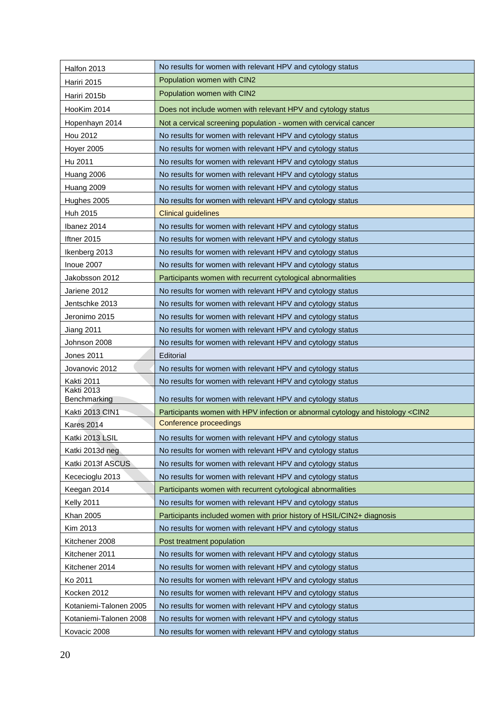| Halfon 2013                       | No results for women with relevant HPV and cytology status                                     |
|-----------------------------------|------------------------------------------------------------------------------------------------|
| Hariri 2015                       | Population women with CIN2                                                                     |
| Hariri 2015b                      | Population women with CIN2                                                                     |
| HooKim 2014                       | Does not include women with relevant HPV and cytology status                                   |
| Hopenhayn 2014                    | Not a cervical screening population - women with cervical cancer                               |
| <b>Hou 2012</b>                   | No results for women with relevant HPV and cytology status                                     |
| Hoyer 2005                        | No results for women with relevant HPV and cytology status                                     |
| Hu 2011                           | No results for women with relevant HPV and cytology status                                     |
| Huang 2006                        | No results for women with relevant HPV and cytology status                                     |
| Huang 2009                        | No results for women with relevant HPV and cytology status                                     |
| Hughes 2005                       | No results for women with relevant HPV and cytology status                                     |
| Huh 2015                          | <b>Clinical guidelines</b>                                                                     |
| Ibanez 2014                       | No results for women with relevant HPV and cytology status                                     |
| Iftner 2015                       | No results for women with relevant HPV and cytology status                                     |
| Ikenberg 2013                     | No results for women with relevant HPV and cytology status                                     |
| Inoue 2007                        | No results for women with relevant HPV and cytology status                                     |
| Jakobsson 2012                    | Participants women with recurrent cytological abnormalities                                    |
| Jariene 2012                      | No results for women with relevant HPV and cytology status                                     |
| Jentschke 2013                    | No results for women with relevant HPV and cytology status                                     |
| Jeronimo 2015                     | No results for women with relevant HPV and cytology status                                     |
| <b>Jiang 2011</b>                 | No results for women with relevant HPV and cytology status                                     |
| Johnson 2008                      | No results for women with relevant HPV and cytology status                                     |
| <b>Jones 2011</b>                 | Editorial                                                                                      |
| Jovanovic 2012                    | No results for women with relevant HPV and cytology status                                     |
| Kakti 2011                        | No results for women with relevant HPV and cytology status                                     |
| <b>Kakti 2013</b><br>Benchmarking | No results for women with relevant HPV and cytology status                                     |
| Kakti 2013 CIN1                   | Participants women with HPV infection or abnormal cytology and histology <cin2< td=""></cin2<> |
| Kares 2014                        | Conference proceedings                                                                         |
| Katki 2013 LSIL                   | No results for women with relevant HPV and cytology status                                     |
| Katki 2013d neg                   | No results for women with relevant HPV and cytology status                                     |
| Katki 2013f ASCUS                 | No results for women with relevant HPV and cytology status                                     |
| Kececioglu 2013                   | No results for women with relevant HPV and cytology status                                     |
| Keegan 2014                       | Participants women with recurrent cytological abnormalities                                    |
| Kelly 2011                        | No results for women with relevant HPV and cytology status                                     |
| Khan 2005                         | Participants included women with prior history of HSIL/CIN2+ diagnosis                         |
| Kim 2013                          | No results for women with relevant HPV and cytology status                                     |
| Kitchener 2008                    | Post treatment population                                                                      |
| Kitchener 2011                    | No results for women with relevant HPV and cytology status                                     |
| Kitchener 2014                    | No results for women with relevant HPV and cytology status                                     |
| Ko 2011                           | No results for women with relevant HPV and cytology status                                     |
| Kocken 2012                       | No results for women with relevant HPV and cytology status                                     |
| Kotaniemi-Talonen 2005            | No results for women with relevant HPV and cytology status                                     |
| Kotaniemi-Talonen 2008            | No results for women with relevant HPV and cytology status                                     |
| Kovacic 2008                      | No results for women with relevant HPV and cytology status                                     |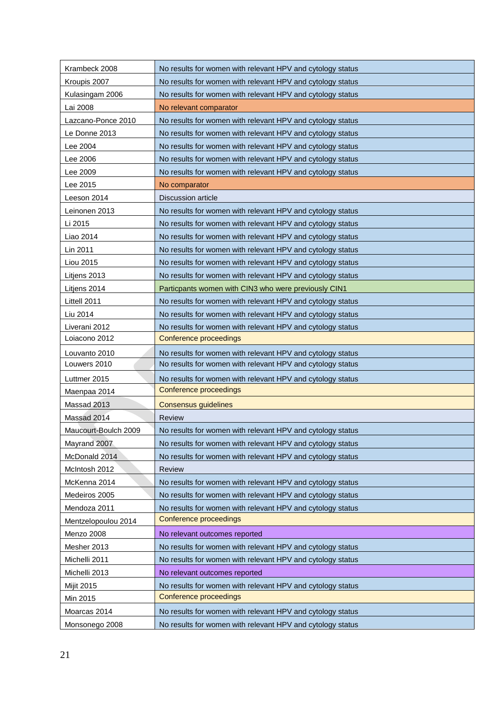| Kroupis 2007<br>No results for women with relevant HPV and cytology status         |
|------------------------------------------------------------------------------------|
| Kulasingam 2006<br>No results for women with relevant HPV and cytology status      |
| Lai 2008<br>No relevant comparator                                                 |
| Lazcano-Ponce 2010<br>No results for women with relevant HPV and cytology status   |
| Le Donne 2013<br>No results for women with relevant HPV and cytology status        |
| Lee 2004<br>No results for women with relevant HPV and cytology status             |
| No results for women with relevant HPV and cytology status<br>Lee 2006             |
| Lee 2009<br>No results for women with relevant HPV and cytology status             |
| No comparator<br>Lee 2015                                                          |
| Leeson 2014<br><b>Discussion article</b>                                           |
| Leinonen 2013<br>No results for women with relevant HPV and cytology status        |
| Li 2015<br>No results for women with relevant HPV and cytology status              |
| Liao 2014<br>No results for women with relevant HPV and cytology status            |
| Lin 2011<br>No results for women with relevant HPV and cytology status             |
| Liou 2015<br>No results for women with relevant HPV and cytology status            |
| Litjens 2013<br>No results for women with relevant HPV and cytology status         |
| Particpants women with CIN3 who were previously CIN1<br>Litjens 2014               |
| Littell 2011<br>No results for women with relevant HPV and cytology status         |
| Liu 2014<br>No results for women with relevant HPV and cytology status             |
| Liverani 2012<br>No results for women with relevant HPV and cytology status        |
| Loiacono 2012<br>Conference proceedings                                            |
| No results for women with relevant HPV and cytology status<br>Louvanto 2010        |
| No results for women with relevant HPV and cytology status<br>Louwers 2010         |
| Luttmer 2015<br>No results for women with relevant HPV and cytology status         |
| Conference proceedings<br>Maenpaa 2014                                             |
| Massad 2013<br><b>Consensus guidelines</b>                                         |
| Massad 2014<br><b>Review</b>                                                       |
| Maucourt-Boulch 2009<br>No results for women with relevant HPV and cytology status |
| Mayrand 2007<br>No results for women with relevant HPV and cytology status         |
| McDonald 2014<br>No results for women with relevant HPV and cytology status        |
| Review<br>McIntosh 2012                                                            |
| McKenna 2014<br>No results for women with relevant HPV and cytology status         |
| Medeiros 2005<br>No results for women with relevant HPV and cytology status        |
| Mendoza 2011<br>No results for women with relevant HPV and cytology status         |
| Conference proceedings<br>Mentzelopoulou 2014                                      |
| Menzo 2008<br>No relevant outcomes reported                                        |
| Mesher 2013<br>No results for women with relevant HPV and cytology status          |
| No results for women with relevant HPV and cytology status<br>Michelli 2011        |
| No relevant outcomes reported<br>Michelli 2013                                     |
| No results for women with relevant HPV and cytology status<br><b>Mijit 2015</b>    |
| Conference proceedings<br>Min 2015                                                 |
| Moarcas 2014<br>No results for women with relevant HPV and cytology status         |
| No results for women with relevant HPV and cytology status<br>Monsonego 2008       |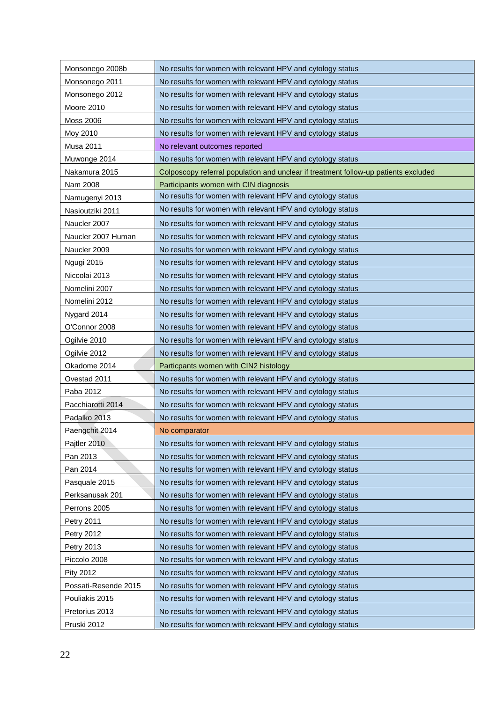| Monsonego 2008b      | No results for women with relevant HPV and cytology status                          |
|----------------------|-------------------------------------------------------------------------------------|
| Monsonego 2011       | No results for women with relevant HPV and cytology status                          |
| Monsonego 2012       | No results for women with relevant HPV and cytology status                          |
| Moore 2010           | No results for women with relevant HPV and cytology status                          |
| <b>Moss 2006</b>     | No results for women with relevant HPV and cytology status                          |
| Moy 2010             | No results for women with relevant HPV and cytology status                          |
| <b>Musa 2011</b>     | No relevant outcomes reported                                                       |
| Muwonge 2014         | No results for women with relevant HPV and cytology status                          |
| Nakamura 2015        | Colposcopy referral population and unclear if treatment follow-up patients excluded |
| Nam 2008             | Participants women with CIN diagnosis                                               |
| Namugenyi 2013       | No results for women with relevant HPV and cytology status                          |
| Nasioutziki 2011     | No results for women with relevant HPV and cytology status                          |
| Naucler 2007         | No results for women with relevant HPV and cytology status                          |
| Naucler 2007 Human   | No results for women with relevant HPV and cytology status                          |
| Naucler 2009         | No results for women with relevant HPV and cytology status                          |
| Ngugi 2015           | No results for women with relevant HPV and cytology status                          |
| Niccolai 2013        | No results for women with relevant HPV and cytology status                          |
| Nomelini 2007        | No results for women with relevant HPV and cytology status                          |
| Nomelini 2012        | No results for women with relevant HPV and cytology status                          |
| Nygard 2014          | No results for women with relevant HPV and cytology status                          |
| O'Connor 2008        | No results for women with relevant HPV and cytology status                          |
| Ogilvie 2010         | No results for women with relevant HPV and cytology status                          |
| Ogilvie 2012         | No results for women with relevant HPV and cytology status                          |
| Okadome 2014         | Particpants women with CIN2 histology                                               |
| Ovestad 2011         | No results for women with relevant HPV and cytology status                          |
| Paba 2012            | No results for women with relevant HPV and cytology status                          |
| Pacchiarotti 2014    | No results for women with relevant HPV and cytology status                          |
| Padalko 2013         | No results for women with relevant HPV and cytology status                          |
| Paengchit 2014       | No comparator                                                                       |
| Pajtler 2010         | No results for women with relevant HPV and cytology status                          |
| Pan 2013             | No results for women with relevant HPV and cytology status                          |
| Pan 2014             | No results for women with relevant HPV and cytology status                          |
| Pasquale 2015        | No results for women with relevant HPV and cytology status                          |
| Perksanusak 201      | No results for women with relevant HPV and cytology status                          |
| Perrons 2005         | No results for women with relevant HPV and cytology status                          |
| <b>Petry 2011</b>    | No results for women with relevant HPV and cytology status                          |
| Petry 2012           | No results for women with relevant HPV and cytology status                          |
| Petry 2013           | No results for women with relevant HPV and cytology status                          |
| Piccolo 2008         | No results for women with relevant HPV and cytology status                          |
| Pity 2012            | No results for women with relevant HPV and cytology status                          |
| Possati-Resende 2015 | No results for women with relevant HPV and cytology status                          |
| Pouliakis 2015       | No results for women with relevant HPV and cytology status                          |
| Pretorius 2013       | No results for women with relevant HPV and cytology status                          |
| Pruski 2012          | No results for women with relevant HPV and cytology status                          |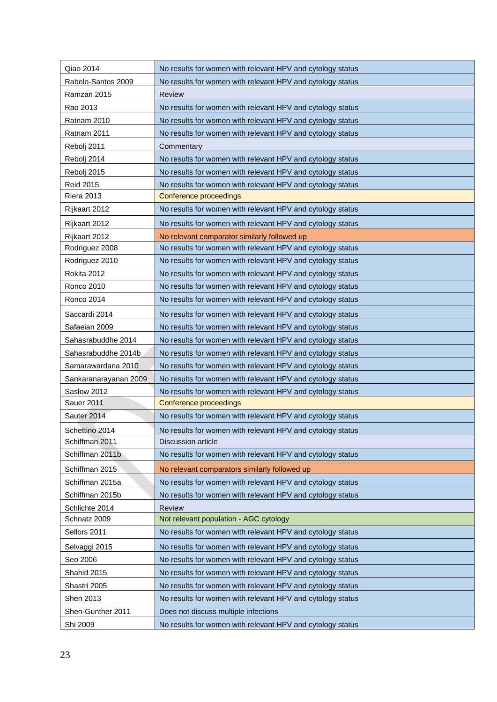| Qiao 2014             | No results for women with relevant HPV and cytology status |
|-----------------------|------------------------------------------------------------|
| Rabelo-Santos 2009    | No results for women with relevant HPV and cytology status |
| Ramzan 2015           | <b>Review</b>                                              |
| Rao 2013              | No results for women with relevant HPV and cytology status |
| Ratnam 2010           | No results for women with relevant HPV and cytology status |
| Ratnam 2011           | No results for women with relevant HPV and cytology status |
| Rebolj 2011           | Commentary                                                 |
| Rebolj 2014           | No results for women with relevant HPV and cytology status |
| Rebolj 2015           | No results for women with relevant HPV and cytology status |
| <b>Reid 2015</b>      | No results for women with relevant HPV and cytology status |
| <b>Riera 2013</b>     | Conference proceedings                                     |
| Rijkaart 2012         | No results for women with relevant HPV and cytology status |
| Rijkaart 2012         | No results for women with relevant HPV and cytology status |
| Rijkaart 2012         | No relevant comparator similarly followed up               |
| Rodriguez 2008        | No results for women with relevant HPV and cytology status |
| Rodriguez 2010        | No results for women with relevant HPV and cytology status |
| Rokita 2012           | No results for women with relevant HPV and cytology status |
| <b>Ronco 2010</b>     | No results for women with relevant HPV and cytology status |
| <b>Ronco 2014</b>     | No results for women with relevant HPV and cytology status |
| Saccardi 2014         | No results for women with relevant HPV and cytology status |
| Safaeian 2009         | No results for women with relevant HPV and cytology status |
| Sahasrabuddhe 2014    | No results for women with relevant HPV and cytology status |
| Sahasrabuddhe 2014b   | No results for women with relevant HPV and cytology status |
| Samarawardana 2010    | No results for women with relevant HPV and cytology status |
| Sankaranarayanan 2009 | No results for women with relevant HPV and cytology status |
| Saslow 2012           | No results for women with relevant HPV and cytology status |
| Sauer 2011            | Conference proceedings                                     |
| Sauter 2014           | No results for women with relevant HPV and cytology status |
| Schettino 2014        | No results for women with relevant HPV and cytology status |
| Schiffman 2011        | <b>Discussion article</b>                                  |
| Schiffman 2011b       | No results for women with relevant HPV and cytology status |
| Schiffman 2015        | No relevant comparators similarly followed up              |
| Schiffman 2015a       | No results for women with relevant HPV and cytology status |
| Schiffman 2015b       | No results for women with relevant HPV and cytology status |
| Schlichte 2014        | Review                                                     |
| Schnatz 2009          | Not relevant population - AGC cytology                     |
| Sellors 2011          | No results for women with relevant HPV and cytology status |
| Selvaggi 2015         | No results for women with relevant HPV and cytology status |
| Seo 2006              | No results for women with relevant HPV and cytology status |
| Shahid 2015           | No results for women with relevant HPV and cytology status |
| Shastri 2005          | No results for women with relevant HPV and cytology status |
| Shen 2013             | No results for women with relevant HPV and cytology status |
| Shen-Gunther 2011     | Does not discuss multiple infections                       |
| Shi 2009              | No results for women with relevant HPV and cytology status |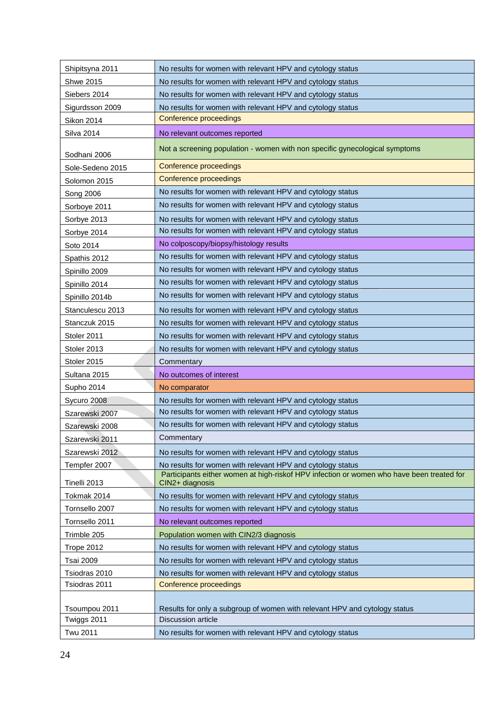| Shipitsyna 2011                | No results for women with relevant HPV and cytology status                                                   |
|--------------------------------|--------------------------------------------------------------------------------------------------------------|
| <b>Shwe 2015</b>               | No results for women with relevant HPV and cytology status                                                   |
| Siebers 2014                   | No results for women with relevant HPV and cytology status                                                   |
| Sigurdsson 2009                | No results for women with relevant HPV and cytology status                                                   |
| Sikon 2014                     | Conference proceedings                                                                                       |
| <b>Silva 2014</b>              | No relevant outcomes reported                                                                                |
| Sodhani 2006                   | Not a screening population - women with non specific gynecological symptoms                                  |
| Sole-Sedeno 2015               | Conference proceedings                                                                                       |
| Solomon 2015                   | Conference proceedings                                                                                       |
| Song 2006                      | No results for women with relevant HPV and cytology status                                                   |
| Sorboye 2011                   | No results for women with relevant HPV and cytology status                                                   |
| Sorbye 2013                    | No results for women with relevant HPV and cytology status                                                   |
| Sorbye 2014                    | No results for women with relevant HPV and cytology status                                                   |
| Soto 2014                      | No colposcopy/biopsy/histology results                                                                       |
| Spathis 2012                   | No results for women with relevant HPV and cytology status                                                   |
| Spinillo 2009                  | No results for women with relevant HPV and cytology status                                                   |
| Spinillo 2014                  | No results for women with relevant HPV and cytology status                                                   |
| Spinillo 2014b                 | No results for women with relevant HPV and cytology status                                                   |
| Stanculescu 2013               | No results for women with relevant HPV and cytology status                                                   |
| Stanczuk 2015                  | No results for women with relevant HPV and cytology status                                                   |
| Stoler 2011                    | No results for women with relevant HPV and cytology status                                                   |
| Stoler 2013                    | No results for women with relevant HPV and cytology status                                                   |
|                                |                                                                                                              |
| Stoler 2015                    | Commentary                                                                                                   |
| Sultana 2015                   | No outcomes of interest                                                                                      |
| Supho 2014                     | No comparator                                                                                                |
| Sycuro 2008                    | No results for women with relevant HPV and cytology status                                                   |
| Szarewski 2007                 | No results for women with relevant HPV and cytology status                                                   |
| Szarewski 2008                 | No results for women with relevant HPV and cytology status                                                   |
| Szarewski 2011                 | Commentary                                                                                                   |
| Szarewski 2012                 | No results for women with relevant HPV and cytology status                                                   |
| Tempfer 2007                   | No results for women with relevant HPV and cytology status                                                   |
| Tinelli 2013                   | Participants either women at high-riskof HPV infection or women who have been treated for<br>CIN2+ diagnosis |
| Tokmak 2014                    | No results for women with relevant HPV and cytology status                                                   |
| Tornsello 2007                 | No results for women with relevant HPV and cytology status                                                   |
| Tornsello 2011                 | No relevant outcomes reported                                                                                |
| Trimble 205                    | Population women with CIN2/3 diagnosis                                                                       |
| Trope 2012                     | No results for women with relevant HPV and cytology status                                                   |
| <b>Tsai 2009</b>               | No results for women with relevant HPV and cytology status                                                   |
| Tsiodras 2010                  | No results for women with relevant HPV and cytology status                                                   |
| Tsiodras 2011                  | Conference proceedings                                                                                       |
|                                |                                                                                                              |
| Tsoumpou 2011                  | Results for only a subgroup of women with relevant HPV and cytology status                                   |
| Twiggs 2011<br><b>Twu 2011</b> | <b>Discussion article</b><br>No results for women with relevant HPV and cytology status                      |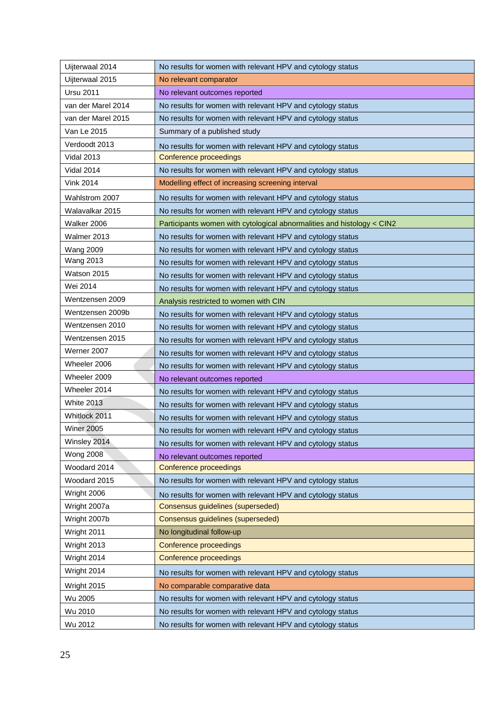| No results for women with relevant HPV and cytology status<br>Uijterwaal 2014         |  |
|---------------------------------------------------------------------------------------|--|
| Uijterwaal 2015<br>No relevant comparator                                             |  |
| <b>Ursu 2011</b><br>No relevant outcomes reported                                     |  |
| van der Marel 2014<br>No results for women with relevant HPV and cytology status      |  |
| No results for women with relevant HPV and cytology status<br>van der Marel 2015      |  |
| Van Le 2015<br>Summary of a published study                                           |  |
| Verdoodt 2013<br>No results for women with relevant HPV and cytology status           |  |
| <b>Vidal 2013</b><br><b>Conference proceedings</b>                                    |  |
| No results for women with relevant HPV and cytology status<br><b>Vidal 2014</b>       |  |
| <b>Vink 2014</b><br>Modelling effect of increasing screening interval                 |  |
| Wahlstrom 2007<br>No results for women with relevant HPV and cytology status          |  |
| Walavalkar 2015<br>No results for women with relevant HPV and cytology status         |  |
| Walker 2006<br>Participants women with cytological abnormalities and histology < CIN2 |  |
| Walmer 2013<br>No results for women with relevant HPV and cytology status             |  |
| <b>Wang 2009</b><br>No results for women with relevant HPV and cytology status        |  |
| <b>Wang 2013</b><br>No results for women with relevant HPV and cytology status        |  |
| Watson 2015<br>No results for women with relevant HPV and cytology status             |  |
| Wei 2014<br>No results for women with relevant HPV and cytology status                |  |
| Wentzensen 2009<br>Analysis restricted to women with CIN                              |  |
| Wentzensen 2009b<br>No results for women with relevant HPV and cytology status        |  |
| Wentzensen 2010<br>No results for women with relevant HPV and cytology status         |  |
| Wentzensen 2015<br>No results for women with relevant HPV and cytology status         |  |
| Werner 2007<br>No results for women with relevant HPV and cytology status             |  |
| Wheeler 2006<br>No results for women with relevant HPV and cytology status            |  |
| Wheeler 2009<br>No relevant outcomes reported                                         |  |
| Wheeler 2014<br>No results for women with relevant HPV and cytology status            |  |
| <b>White 2013</b><br>No results for women with relevant HPV and cytology status       |  |
| Whitlock 2011<br>No results for women with relevant HPV and cytology status           |  |
| <b>Winer 2005</b><br>No results for women with relevant HPV and cytology status       |  |
| Winsley 2014<br>No results for women with relevant HPV and cytology status            |  |
| <b>Wong 2008</b><br>No relevant outcomes reported                                     |  |
| Woodard 2014<br>Conference proceedings                                                |  |
| Woodard 2015<br>No results for women with relevant HPV and cytology status            |  |
| Wright 2006<br>No results for women with relevant HPV and cytology status             |  |
| Consensus guidelines (superseded)<br>Wright 2007a                                     |  |
| Wright 2007b<br>Consensus guidelines (superseded)                                     |  |
| Wright 2011<br>No longitudinal follow-up                                              |  |
| Wright 2013<br>Conference proceedings                                                 |  |
| Wright 2014<br>Conference proceedings                                                 |  |
| Wright 2014<br>No results for women with relevant HPV and cytology status             |  |
| Wright 2015<br>No comparable comparative data                                         |  |
| Wu 2005<br>No results for women with relevant HPV and cytology status                 |  |
| Wu 2010<br>No results for women with relevant HPV and cytology status                 |  |
| Wu 2012<br>No results for women with relevant HPV and cytology status                 |  |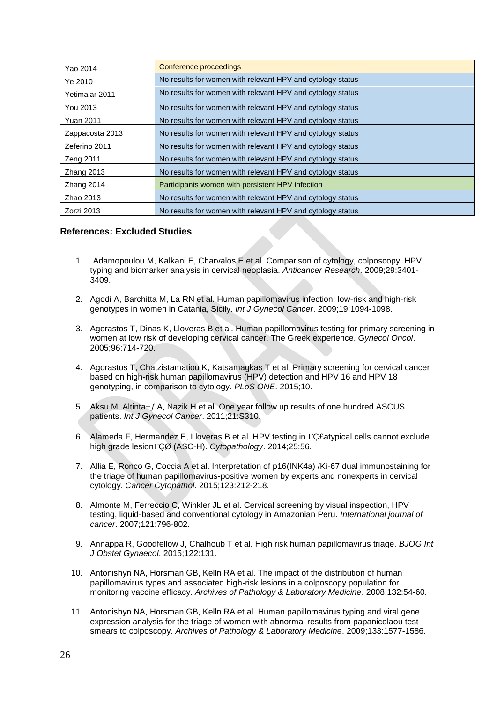| Yao 2014         | Conference proceedings                                     |
|------------------|------------------------------------------------------------|
| Ye 2010          | No results for women with relevant HPV and cytology status |
| Yetimalar 2011   | No results for women with relevant HPV and cytology status |
| You 2013         | No results for women with relevant HPV and cytology status |
| <b>Yuan 2011</b> | No results for women with relevant HPV and cytology status |
| Zappacosta 2013  | No results for women with relevant HPV and cytology status |
| Zeferino 2011    | No results for women with relevant HPV and cytology status |
| Zeng 2011        | No results for women with relevant HPV and cytology status |
| Zhang 2013       | No results for women with relevant HPV and cytology status |
| Zhang 2014       | Participants women with persistent HPV infection           |
| Zhao 2013        | No results for women with relevant HPV and cytology status |
| Zorzi 2013       | No results for women with relevant HPV and cytology status |

# **References: Excluded Studies**

- 1. Adamopoulou M, Kalkani E, Charvalos E et al. Comparison of cytology, colposcopy, HPV typing and biomarker analysis in cervical neoplasia. *Anticancer Research*. 2009;29:3401- 3409.
- 2. Agodi A, Barchitta M, La RN et al. Human papillomavirus infection: low-risk and high-risk genotypes in women in Catania, Sicily. *Int J Gynecol Cancer*. 2009;19:1094-1098.
- 3. Agorastos T, Dinas K, Lloveras B et al. Human papillomavirus testing for primary screening in women at low risk of developing cervical cancer. The Greek experience. *Gynecol Oncol*. 2005;96:714-720.
- 4. Agorastos T, Chatzistamatiou K, Katsamagkas T et al. Primary screening for cervical cancer based on high-risk human papillomavirus (HPV) detection and HPV 16 and HPV 18 genotyping, in comparison to cytology. *PLoS ONE*. 2015;10.
- 5. Aksu M, Altinta+ $f$  A, Nazik H et al. One year follow up results of one hundred ASCUS patients. *Int J Gynecol Cancer*. 2011;21:S310.
- 6. Alameda F, Hermandez E, Lloveras B et al. HPV testing in  $\Gamma$ C£atypical cells cannot exclude high grade lesionÇØ (ASC-H). *Cytopathology*. 2014;25:56.
- 7. Allia E, Ronco G, Coccia A et al. Interpretation of p16(INK4a) /Ki-67 dual immunostaining for the triage of human papillomavirus-positive women by experts and nonexperts in cervical cytology. *Cancer Cytopathol*. 2015;123:212-218.
- 8. Almonte M, Ferreccio C, Winkler JL et al. Cervical screening by visual inspection, HPV testing, liquid-based and conventional cytology in Amazonian Peru. *International journal of cancer*. 2007;121:796-802.
- 9. Annappa R, Goodfellow J, Chalhoub T et al. High risk human papillomavirus triage. *BJOG Int J Obstet Gynaecol*. 2015;122:131.
- 10. Antonishyn NA, Horsman GB, Kelln RA et al. The impact of the distribution of human papillomavirus types and associated high-risk lesions in a colposcopy population for monitoring vaccine efficacy. *Archives of Pathology & Laboratory Medicine*. 2008;132:54-60.
- 11. Antonishyn NA, Horsman GB, Kelln RA et al. Human papillomavirus typing and viral gene expression analysis for the triage of women with abnormal results from papanicolaou test smears to colposcopy. *Archives of Pathology & Laboratory Medicine*. 2009;133:1577-1586.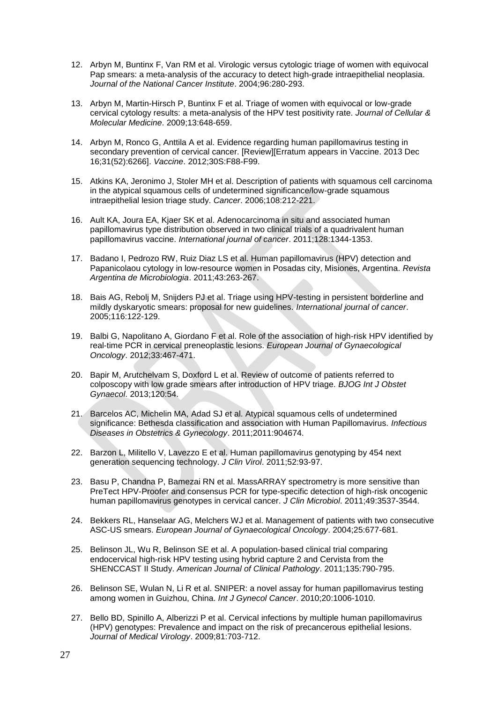- 12. Arbyn M, Buntinx F, Van RM et al. Virologic versus cytologic triage of women with equivocal Pap smears: a meta-analysis of the accuracy to detect high-grade intraepithelial neoplasia. *Journal of the National Cancer Institute*. 2004;96:280-293.
- 13. Arbyn M, Martin-Hirsch P, Buntinx F et al. Triage of women with equivocal or low-grade cervical cytology results: a meta-analysis of the HPV test positivity rate. *Journal of Cellular & Molecular Medicine*. 2009;13:648-659.
- 14. Arbyn M, Ronco G, Anttila A et al. Evidence regarding human papillomavirus testing in secondary prevention of cervical cancer. [Review][Erratum appears in Vaccine. 2013 Dec 16;31(52):6266]. *Vaccine*. 2012;30S:F88-F99.
- 15. Atkins KA, Jeronimo J, Stoler MH et al. Description of patients with squamous cell carcinoma in the atypical squamous cells of undetermined significance/low-grade squamous intraepithelial lesion triage study. *Cancer*. 2006;108:212-221.
- 16. Ault KA, Joura EA, Kjaer SK et al. Adenocarcinoma in situ and associated human papillomavirus type distribution observed in two clinical trials of a quadrivalent human papillomavirus vaccine. *International journal of cancer*. 2011;128:1344-1353.
- 17. Badano I, Pedrozo RW, Ruiz Diaz LS et al. Human papillomavirus (HPV) detection and Papanicolaou cytology in low-resource women in Posadas city, Misiones, Argentina. *Revista Argentina de Microbiologia*. 2011;43:263-267.
- 18. Bais AG, Rebolj M, Snijders PJ et al. Triage using HPV-testing in persistent borderline and mildly dyskaryotic smears: proposal for new guidelines. *International journal of cancer*. 2005;116:122-129.
- 19. Balbi G, Napolitano A, Giordano F et al. Role of the association of high-risk HPV identified by real-time PCR in cervical preneoplastic lesions. *European Journal of Gynaecological Oncology*. 2012;33:467-471.
- 20. Bapir M, Arutchelvam S, Doxford L et al. Review of outcome of patients referred to colposcopy with low grade smears after introduction of HPV triage. *BJOG Int J Obstet Gynaecol*. 2013;120:54.
- 21. Barcelos AC, Michelin MA, Adad SJ et al. Atypical squamous cells of undetermined significance: Bethesda classification and association with Human Papillomavirus. *Infectious Diseases in Obstetrics & Gynecology*. 2011;2011:904674.
- 22. Barzon L, Militello V, Lavezzo E et al. Human papillomavirus genotyping by 454 next generation sequencing technology. *J Clin Virol*. 2011;52:93-97.
- 23. Basu P, Chandna P, Bamezai RN et al. MassARRAY spectrometry is more sensitive than PreTect HPV-Proofer and consensus PCR for type-specific detection of high-risk oncogenic human papillomavirus genotypes in cervical cancer. *J Clin Microbiol*. 2011;49:3537-3544.
- 24. Bekkers RL, Hanselaar AG, Melchers WJ et al. Management of patients with two consecutive ASC-US smears. *European Journal of Gynaecological Oncology*. 2004;25:677-681.
- 25. Belinson JL, Wu R, Belinson SE et al. A population-based clinical trial comparing endocervical high-risk HPV testing using hybrid capture 2 and Cervista from the SHENCCAST II Study. *American Journal of Clinical Pathology*. 2011;135:790-795.
- 26. Belinson SE, Wulan N, Li R et al. SNIPER: a novel assay for human papillomavirus testing among women in Guizhou, China. *Int J Gynecol Cancer*. 2010;20:1006-1010.
- 27. Bello BD, Spinillo A, Alberizzi P et al. Cervical infections by multiple human papillomavirus (HPV) genotypes: Prevalence and impact on the risk of precancerous epithelial lesions. *Journal of Medical Virology*. 2009;81:703-712.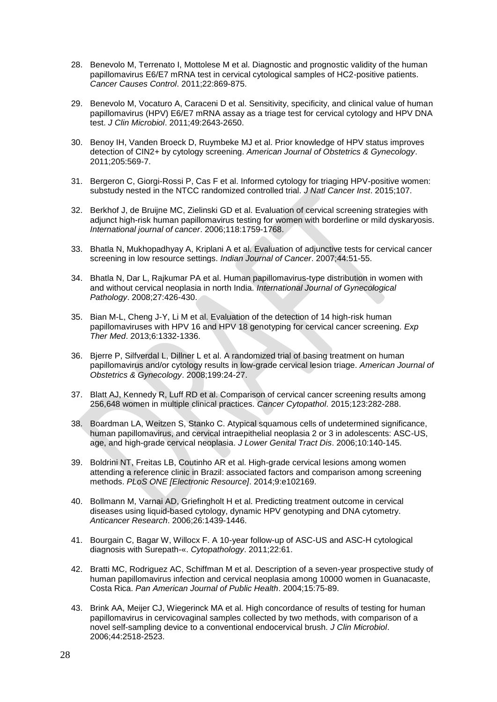- 28. Benevolo M, Terrenato I, Mottolese M et al. Diagnostic and prognostic validity of the human papillomavirus E6/E7 mRNA test in cervical cytological samples of HC2-positive patients. *Cancer Causes Control*. 2011;22:869-875.
- 29. Benevolo M, Vocaturo A, Caraceni D et al. Sensitivity, specificity, and clinical value of human papillomavirus (HPV) E6/E7 mRNA assay as a triage test for cervical cytology and HPV DNA test. *J Clin Microbiol*. 2011;49:2643-2650.
- 30. Benoy IH, Vanden Broeck D, Ruymbeke MJ et al. Prior knowledge of HPV status improves detection of CIN2+ by cytology screening. *American Journal of Obstetrics & Gynecology*. 2011;205:569-7.
- 31. Bergeron C, Giorgi-Rossi P, Cas F et al. Informed cytology for triaging HPV-positive women: substudy nested in the NTCC randomized controlled trial. *J Natl Cancer Inst*. 2015;107.
- 32. Berkhof J, de Bruijne MC, Zielinski GD et al. Evaluation of cervical screening strategies with adjunct high-risk human papillomavirus testing for women with borderline or mild dyskaryosis. *International journal of cancer*. 2006;118:1759-1768.
- 33. Bhatla N, Mukhopadhyay A, Kriplani A et al. Evaluation of adjunctive tests for cervical cancer screening in low resource settings. *Indian Journal of Cancer*. 2007;44:51-55.
- 34. Bhatla N, Dar L, Rajkumar PA et al. Human papillomavirus-type distribution in women with and without cervical neoplasia in north India. *International Journal of Gynecological Pathology*. 2008;27:426-430.
- 35. Bian M-L, Cheng J-Y, Li M et al. Evaluation of the detection of 14 high-risk human papillomaviruses with HPV 16 and HPV 18 genotyping for cervical cancer screening. *Exp Ther Med*. 2013;6:1332-1336.
- 36. Bjerre P, Silfverdal L, Dillner L et al. A randomized trial of basing treatment on human papillomavirus and/or cytology results in low-grade cervical lesion triage. *American Journal of Obstetrics & Gynecology*. 2008;199:24-27.
- 37. Blatt AJ, Kennedy R, Luff RD et al. Comparison of cervical cancer screening results among 256,648 women in multiple clinical practices. *Cancer Cytopathol*. 2015;123:282-288.
- 38. Boardman LA, Weitzen S, Stanko C. Atypical squamous cells of undetermined significance, human papillomavirus, and cervical intraepithelial neoplasia 2 or 3 in adolescents: ASC-US, age, and high-grade cervical neoplasia. *J Lower Genital Tract Dis*. 2006;10:140-145.
- 39. Boldrini NT, Freitas LB, Coutinho AR et al. High-grade cervical lesions among women attending a reference clinic in Brazil: associated factors and comparison among screening methods. *PLoS ONE [Electronic Resource]*. 2014;9:e102169.
- 40. Bollmann M, Varnai AD, Griefingholt H et al. Predicting treatment outcome in cervical diseases using liquid-based cytology, dynamic HPV genotyping and DNA cytometry. *Anticancer Research*. 2006;26:1439-1446.
- 41. Bourgain C, Bagar W, Willocx F. A 10-year follow-up of ASC-US and ASC-H cytological diagnosis with Surepath-«. *Cytopathology*. 2011;22:61.
- 42. Bratti MC, Rodriguez AC, Schiffman M et al. Description of a seven-year prospective study of human papillomavirus infection and cervical neoplasia among 10000 women in Guanacaste, Costa Rica. *Pan American Journal of Public Health*. 2004;15:75-89.
- 43. Brink AA, Meijer CJ, Wiegerinck MA et al. High concordance of results of testing for human papillomavirus in cervicovaginal samples collected by two methods, with comparison of a novel self-sampling device to a conventional endocervical brush. *J Clin Microbiol*. 2006;44:2518-2523.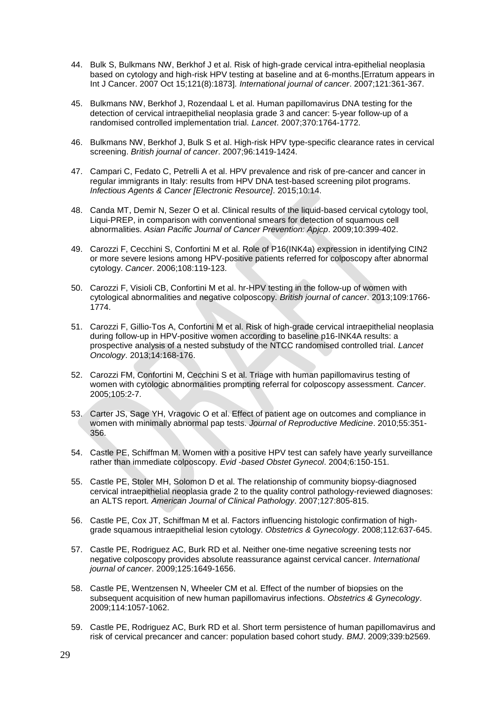- 44. Bulk S, Bulkmans NW, Berkhof J et al. Risk of high-grade cervical intra-epithelial neoplasia based on cytology and high-risk HPV testing at baseline and at 6-months.[Erratum appears in Int J Cancer. 2007 Oct 15;121(8):1873]. *International journal of cancer*. 2007;121:361-367.
- 45. Bulkmans NW, Berkhof J, Rozendaal L et al. Human papillomavirus DNA testing for the detection of cervical intraepithelial neoplasia grade 3 and cancer: 5-year follow-up of a randomised controlled implementation trial. *Lancet*. 2007;370:1764-1772.
- 46. Bulkmans NW, Berkhof J, Bulk S et al. High-risk HPV type-specific clearance rates in cervical screening. *British journal of cancer*. 2007;96:1419-1424.
- 47. Campari C, Fedato C, Petrelli A et al. HPV prevalence and risk of pre-cancer and cancer in regular immigrants in Italy: results from HPV DNA test-based screening pilot programs. *Infectious Agents & Cancer [Electronic Resource]*. 2015;10:14.
- 48. Canda MT, Demir N, Sezer O et al. Clinical results of the liquid-based cervical cytology tool, Liqui-PREP, in comparison with conventional smears for detection of squamous cell abnormalities. *Asian Pacific Journal of Cancer Prevention: Apjcp*. 2009;10:399-402.
- 49. Carozzi F, Cecchini S, Confortini M et al. Role of P16(INK4a) expression in identifying CIN2 or more severe lesions among HPV-positive patients referred for colposcopy after abnormal cytology. *Cancer*. 2006;108:119-123.
- 50. Carozzi F, Visioli CB, Confortini M et al. hr-HPV testing in the follow-up of women with cytological abnormalities and negative colposcopy. *British journal of cancer*. 2013;109:1766- 1774.
- 51. Carozzi F, Gillio-Tos A, Confortini M et al. Risk of high-grade cervical intraepithelial neoplasia during follow-up in HPV-positive women according to baseline p16-INK4A results: a prospective analysis of a nested substudy of the NTCC randomised controlled trial. *Lancet Oncology*. 2013;14:168-176.
- 52. Carozzi FM, Confortini M, Cecchini S et al. Triage with human papillomavirus testing of women with cytologic abnormalities prompting referral for colposcopy assessment. *Cancer*. 2005;105:2-7.
- 53. Carter JS, Sage YH, Vragovic O et al. Effect of patient age on outcomes and compliance in women with minimally abnormal pap tests. *Journal of Reproductive Medicine*. 2010;55:351- 356.
- 54. Castle PE, Schiffman M. Women with a positive HPV test can safely have yearly surveillance rather than immediate colposcopy. *Evid -based Obstet Gynecol*. 2004;6:150-151.
- 55. Castle PE, Stoler MH, Solomon D et al. The relationship of community biopsy-diagnosed cervical intraepithelial neoplasia grade 2 to the quality control pathology-reviewed diagnoses: an ALTS report. *American Journal of Clinical Pathology*. 2007;127:805-815.
- 56. Castle PE, Cox JT, Schiffman M et al. Factors influencing histologic confirmation of highgrade squamous intraepithelial lesion cytology. *Obstetrics & Gynecology*. 2008;112:637-645.
- 57. Castle PE, Rodriguez AC, Burk RD et al. Neither one-time negative screening tests nor negative colposcopy provides absolute reassurance against cervical cancer. *International journal of cancer*. 2009;125:1649-1656.
- 58. Castle PE, Wentzensen N, Wheeler CM et al. Effect of the number of biopsies on the subsequent acquisition of new human papillomavirus infections. *Obstetrics & Gynecology*. 2009;114:1057-1062.
- 59. Castle PE, Rodriguez AC, Burk RD et al. Short term persistence of human papillomavirus and risk of cervical precancer and cancer: population based cohort study. *BMJ*. 2009;339:b2569.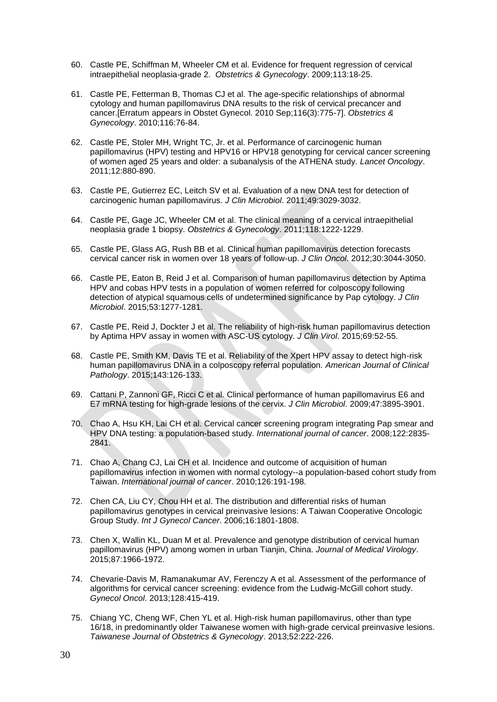- 60. Castle PE, Schiffman M, Wheeler CM et al. Evidence for frequent regression of cervical intraepithelial neoplasia-grade 2. *Obstetrics & Gynecology*. 2009;113:18-25.
- 61. Castle PE, Fetterman B, Thomas CJ et al. The age-specific relationships of abnormal cytology and human papillomavirus DNA results to the risk of cervical precancer and cancer.[Erratum appears in Obstet Gynecol. 2010 Sep;116(3):775-7]. *Obstetrics & Gynecology*. 2010;116:76-84.
- 62. Castle PE, Stoler MH, Wright TC, Jr. et al. Performance of carcinogenic human papillomavirus (HPV) testing and HPV16 or HPV18 genotyping for cervical cancer screening of women aged 25 years and older: a subanalysis of the ATHENA study. *Lancet Oncology*. 2011;12:880-890.
- 63. Castle PE, Gutierrez EC, Leitch SV et al. Evaluation of a new DNA test for detection of carcinogenic human papillomavirus. *J Clin Microbiol*. 2011;49:3029-3032.
- 64. Castle PE, Gage JC, Wheeler CM et al. The clinical meaning of a cervical intraepithelial neoplasia grade 1 biopsy. *Obstetrics & Gynecology*. 2011;118:1222-1229.
- 65. Castle PE, Glass AG, Rush BB et al. Clinical human papillomavirus detection forecasts cervical cancer risk in women over 18 years of follow-up. *J Clin Oncol*. 2012;30:3044-3050.
- 66. Castle PE, Eaton B, Reid J et al. Comparison of human papillomavirus detection by Aptima HPV and cobas HPV tests in a population of women referred for colposcopy following detection of atypical squamous cells of undetermined significance by Pap cytology. *J Clin Microbiol*. 2015;53:1277-1281.
- 67. Castle PE, Reid J, Dockter J et al. The reliability of high-risk human papillomavirus detection by Aptima HPV assay in women with ASC-US cytology. *J Clin Virol*. 2015;69:52-55.
- 68. Castle PE, Smith KM, Davis TE et al. Reliability of the Xpert HPV assay to detect high-risk human papillomavirus DNA in a colposcopy referral population. *American Journal of Clinical Pathology*. 2015;143:126-133.
- 69. Cattani P, Zannoni GF, Ricci C et al. Clinical performance of human papillomavirus E6 and E7 mRNA testing for high-grade lesions of the cervix. *J Clin Microbiol*. 2009;47:3895-3901.
- 70. Chao A, Hsu KH, Lai CH et al. Cervical cancer screening program integrating Pap smear and HPV DNA testing: a population-based study. *International journal of cancer*. 2008;122:2835- 2841.
- 71. Chao A, Chang CJ, Lai CH et al. Incidence and outcome of acquisition of human papillomavirus infection in women with normal cytology--a population-based cohort study from Taiwan. *International journal of cancer*. 2010;126:191-198.
- 72. Chen CA, Liu CY, Chou HH et al. The distribution and differential risks of human papillomavirus genotypes in cervical preinvasive lesions: A Taiwan Cooperative Oncologic Group Study. *Int J Gynecol Cancer*. 2006;16:1801-1808.
- 73. Chen X, Wallin KL, Duan M et al. Prevalence and genotype distribution of cervical human papillomavirus (HPV) among women in urban Tianjin, China. *Journal of Medical Virology*. 2015;87:1966-1972.
- 74. Chevarie-Davis M, Ramanakumar AV, Ferenczy A et al. Assessment of the performance of algorithms for cervical cancer screening: evidence from the Ludwig-McGill cohort study. *Gynecol Oncol*. 2013;128:415-419.
- 75. Chiang YC, Cheng WF, Chen YL et al. High-risk human papillomavirus, other than type 16/18, in predominantly older Taiwanese women with high-grade cervical preinvasive lesions. *Taiwanese Journal of Obstetrics & Gynecology*. 2013;52:222-226.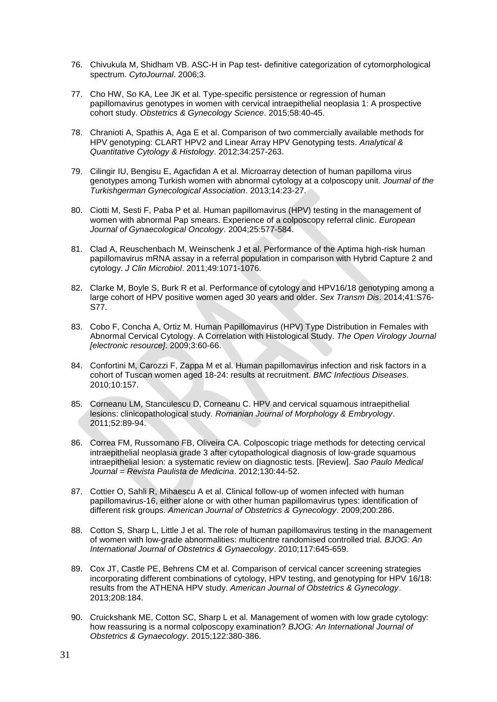- 76. Chivukula M, Shidham VB. ASC-H in Pap test- definitive categorization of cytomorphological spectrum. *CytoJournal*. 2006;3.
- 77. Cho HW, So KA, Lee JK et al. Type-specific persistence or regression of human papillomavirus genotypes in women with cervical intraepithelial neoplasia 1: A prospective cohort study. *Obstetrics & Gynecology Science*. 2015;58:40-45.
- 78. Chranioti A, Spathis A, Aga E et al. Comparison of two commercially available methods for HPV genotyping: CLART HPV2 and Linear Array HPV Genotyping tests. *Analytical & Quantitative Cytology & Histology*. 2012;34:257-263.
- 79. Cilingir IU, Bengisu E, Agacfidan A et al. Microarray detection of human papilloma virus genotypes among Turkish women with abnormal cytology at a colposcopy unit. *Journal of the Turkishgerman Gynecological Association*. 2013;14:23-27.
- 80. Ciotti M, Sesti F, Paba P et al. Human papillomavirus (HPV) testing in the management of women with abnormal Pap smears. Experience of a colposcopy referral clinic. *European Journal of Gynaecological Oncology*. 2004;25:577-584.
- 81. Clad A, Reuschenbach M, Weinschenk J et al. Performance of the Aptima high-risk human papillomavirus mRNA assay in a referral population in comparison with Hybrid Capture 2 and cytology. *J Clin Microbiol*. 2011;49:1071-1076.
- 82. Clarke M, Boyle S, Burk R et al. Performance of cytology and HPV16/18 genotyping among a large cohort of HPV positive women aged 30 years and older. *Sex Transm Dis*. 2014;41:S76- S77.
- 83. Cobo F, Concha A, Ortiz M. Human Papillomavirus (HPV) Type Distribution in Females with Abnormal Cervical Cytology. A Correlation with Histological Study. *The Open Virology Journal [electronic resource]*. 2009;3:60-66.
- 84. Confortini M, Carozzi F, Zappa M et al. Human papillomavirus infection and risk factors in a cohort of Tuscan women aged 18-24: results at recruitment. *BMC Infectious Diseases*. 2010;10:157.
- 85. Corneanu LM, Stanculescu D, Corneanu C. HPV and cervical squamous intraepithelial lesions: clinicopathological study. *Romanian Journal of Morphology & Embryology*. 2011;52:89-94.
- 86. Correa FM, Russomano FB, Oliveira CA. Colposcopic triage methods for detecting cervical intraepithelial neoplasia grade 3 after cytopathological diagnosis of low-grade squamous intraepithelial lesion: a systematic review on diagnostic tests. [Review]. *Sao Paulo Medical Journal = Revista Paulista de Medicina*. 2012;130:44-52.
- 87. Cottier O, Sahli R, Mihaescu A et al. Clinical follow-up of women infected with human papillomavirus-16, either alone or with other human papillomavirus types: identification of different risk groups. *American Journal of Obstetrics & Gynecology*. 2009;200:286.
- 88. Cotton S, Sharp L, Little J et al. The role of human papillomavirus testing in the management of women with low-grade abnormalities: multicentre randomised controlled trial. *BJOG: An International Journal of Obstetrics & Gynaecology*. 2010;117:645-659.
- 89. Cox JT, Castle PE, Behrens CM et al. Comparison of cervical cancer screening strategies incorporating different combinations of cytology, HPV testing, and genotyping for HPV 16/18: results from the ATHENA HPV study. *American Journal of Obstetrics & Gynecology*. 2013;208:184.
- 90. Cruickshank ME, Cotton SC, Sharp L et al. Management of women with low grade cytology: how reassuring is a normal colposcopy examination? *BJOG: An International Journal of Obstetrics & Gynaecology*. 2015;122:380-386.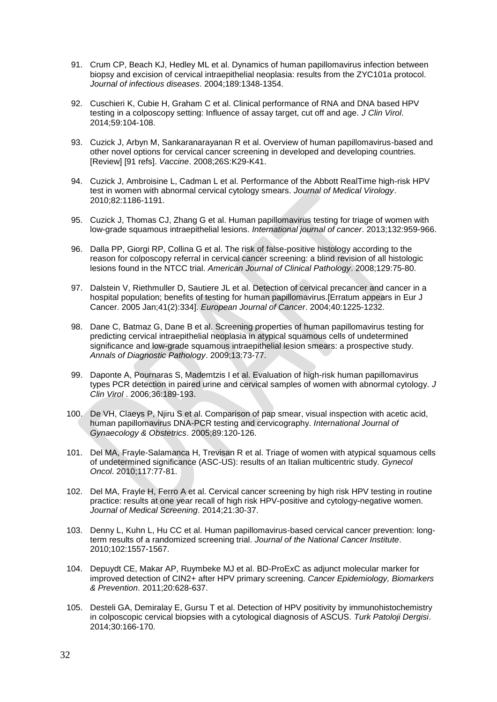- 91. Crum CP, Beach KJ, Hedley ML et al. Dynamics of human papillomavirus infection between biopsy and excision of cervical intraepithelial neoplasia: results from the ZYC101a protocol. *Journal of infectious diseases*. 2004;189:1348-1354.
- 92. Cuschieri K, Cubie H, Graham C et al. Clinical performance of RNA and DNA based HPV testing in a colposcopy setting: Influence of assay target, cut off and age. *J Clin Virol*. 2014;59:104-108.
- 93. Cuzick J, Arbyn M, Sankaranarayanan R et al. Overview of human papillomavirus-based and other novel options for cervical cancer screening in developed and developing countries. [Review] [91 refs]. *Vaccine*. 2008;26S:K29-K41.
- 94. Cuzick J, Ambroisine L, Cadman L et al. Performance of the Abbott RealTime high-risk HPV test in women with abnormal cervical cytology smears. *Journal of Medical Virology*. 2010;82:1186-1191.
- 95. Cuzick J, Thomas CJ, Zhang G et al. Human papillomavirus testing for triage of women with low-grade squamous intraepithelial lesions. *International journal of cancer*. 2013;132:959-966.
- 96. Dalla PP, Giorgi RP, Collina G et al. The risk of false-positive histology according to the reason for colposcopy referral in cervical cancer screening: a blind revision of all histologic lesions found in the NTCC trial. *American Journal of Clinical Pathology*. 2008;129:75-80.
- 97. Dalstein V, Riethmuller D, Sautiere JL et al. Detection of cervical precancer and cancer in a hospital population; benefits of testing for human papillomavirus.[Erratum appears in Eur J Cancer. 2005 Jan;41(2):334]. *European Journal of Cancer*. 2004;40:1225-1232.
- 98. Dane C, Batmaz G, Dane B et al. Screening properties of human papillomavirus testing for predicting cervical intraepithelial neoplasia in atypical squamous cells of undetermined significance and low-grade squamous intraepithelial lesion smears: a prospective study. *Annals of Diagnostic Pathology*. 2009;13:73-77.
- 99. Daponte A, Pournaras S, Mademtzis I et al. Evaluation of high-risk human papillomavirus types PCR detection in paired urine and cervical samples of women with abnormal cytology. *J Clin Virol* . 2006;36:189-193.
- 100. De VH, Claeys P, Njiru S et al. Comparison of pap smear, visual inspection with acetic acid, human papillomavirus DNA-PCR testing and cervicography. *International Journal of Gynaecology & Obstetrics*. 2005;89:120-126.
- 101. Del MA, Frayle-Salamanca H, Trevisan R et al. Triage of women with atypical squamous cells of undetermined significance (ASC-US): results of an Italian multicentric study. *Gynecol Oncol*. 2010;117:77-81.
- 102. Del MA, Frayle H, Ferro A et al. Cervical cancer screening by high risk HPV testing in routine practice: results at one year recall of high risk HPV-positive and cytology-negative women. *Journal of Medical Screening*. 2014;21:30-37.
- 103. Denny L, Kuhn L, Hu CC et al. Human papillomavirus-based cervical cancer prevention: longterm results of a randomized screening trial. *Journal of the National Cancer Institute*. 2010;102:1557-1567.
- 104. Depuydt CE, Makar AP, Ruymbeke MJ et al. BD-ProExC as adjunct molecular marker for improved detection of CIN2+ after HPV primary screening. *Cancer Epidemiology, Biomarkers & Prevention*. 2011;20:628-637.
- 105. Desteli GA, Demiralay E, Gursu T et al. Detection of HPV positivity by immunohistochemistry in colposcopic cervical biopsies with a cytological diagnosis of ASCUS. *Turk Patoloji Dergisi*. 2014;30:166-170.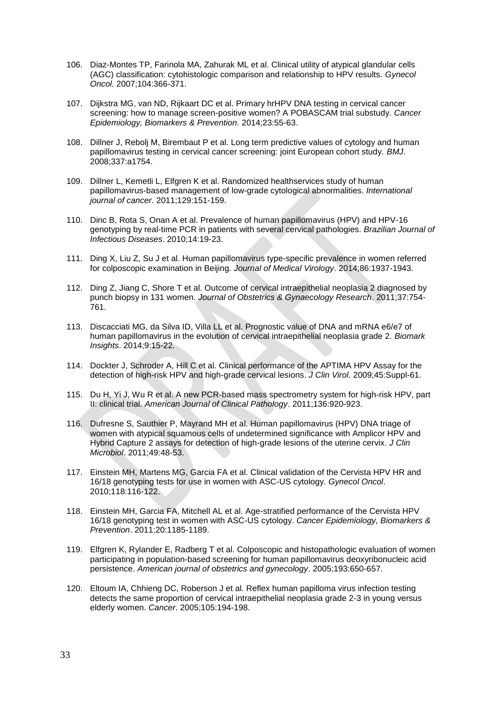- 106. Diaz-Montes TP, Farinola MA, Zahurak ML et al. Clinical utility of atypical glandular cells (AGC) classification: cytohistologic comparison and relationship to HPV results. *Gynecol Oncol*. 2007;104:366-371.
- 107. Dijkstra MG, van ND, Rijkaart DC et al. Primary hrHPV DNA testing in cervical cancer screening: how to manage screen-positive women? A POBASCAM trial substudy. *Cancer Epidemiology, Biomarkers & Prevention*. 2014;23:55-63.
- 108. Dillner J, Rebolj M, Birembaut P et al. Long term predictive values of cytology and human papillomavirus testing in cervical cancer screening: joint European cohort study. *BMJ*. 2008;337:a1754.
- 109. Dillner L, Kemetli L, Elfgren K et al. Randomized healthservices study of human papillomavirus-based management of low-grade cytological abnormalities. *International journal of cancer*. 2011;129:151-159.
- 110. Dinc B, Rota S, Onan A et al. Prevalence of human papillomavirus (HPV) and HPV-16 genotyping by real-time PCR in patients with several cervical pathologies. *Brazilian Journal of Infectious Diseases*. 2010;14:19-23.
- 111. Ding X, Liu Z, Su J et al. Human papillomavirus type-specific prevalence in women referred for colposcopic examination in Beijing. *Journal of Medical Virology*. 2014;86:1937-1943.
- 112. Ding Z, Jiang C, Shore T et al. Outcome of cervical intraepithelial neoplasia 2 diagnosed by punch biopsy in 131 women. *Journal of Obstetrics & Gynaecology Research*. 2011;37:754- 761.
- 113. Discacciati MG, da Silva ID, Villa LL et al. Prognostic value of DNA and mRNA e6/e7 of human papillomavirus in the evolution of cervical intraepithelial neoplasia grade 2. *Biomark Insights*. 2014;9:15-22.
- 114. Dockter J, Schroder A, Hill C et al. Clinical performance of the APTIMA HPV Assay for the detection of high-risk HPV and high-grade cervical lesions. *J Clin Virol*. 2009;45:Suppl-61.
- 115. Du H, Yi J, Wu R et al. A new PCR-based mass spectrometry system for high-risk HPV, part II: clinical trial. *American Journal of Clinical Pathology*. 2011;136:920-923.
- 116. Dufresne S, Sauthier P, Mayrand MH et al. Human papillomavirus (HPV) DNA triage of women with atypical squamous cells of undetermined significance with Amplicor HPV and Hybrid Capture 2 assays for detection of high-grade lesions of the uterine cervix. *J Clin Microbiol*. 2011;49:48-53.
- 117. Einstein MH, Martens MG, Garcia FA et al. Clinical validation of the Cervista HPV HR and 16/18 genotyping tests for use in women with ASC-US cytology. *Gynecol Oncol*. 2010;118:116-122.
- 118. Einstein MH, Garcia FA, Mitchell AL et al. Age-stratified performance of the Cervista HPV 16/18 genotyping test in women with ASC-US cytology. *Cancer Epidemiology, Biomarkers & Prevention*. 2011;20:1185-1189.
- 119. Elfgren K, Rylander E, Radberg T et al. Colposcopic and histopathologic evaluation of women participating in population-based screening for human papillomavirus deoxyribonucleic acid persistence. *American journal of obstetrics and gynecology*. 2005;193:650-657.
- 120. Eltoum IA, Chhieng DC, Roberson J et al. Reflex human papilloma virus infection testing detects the same proportion of cervical intraepithelial neoplasia grade 2-3 in young versus elderly women. *Cancer*. 2005;105:194-198.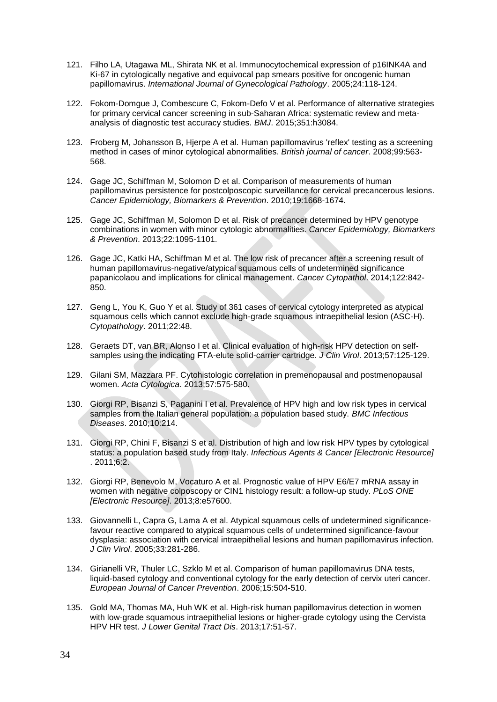- 121. Filho LA, Utagawa ML, Shirata NK et al. Immunocytochemical expression of p16INK4A and Ki-67 in cytologically negative and equivocal pap smears positive for oncogenic human papillomavirus. *International Journal of Gynecological Pathology*. 2005;24:118-124.
- 122. Fokom-Domgue J, Combescure C, Fokom-Defo V et al. Performance of alternative strategies for primary cervical cancer screening in sub-Saharan Africa: systematic review and metaanalysis of diagnostic test accuracy studies. *BMJ*. 2015;351:h3084.
- 123. Froberg M, Johansson B, Hjerpe A et al. Human papillomavirus 'reflex' testing as a screening method in cases of minor cytological abnormalities. *British journal of cancer*. 2008;99:563- 568.
- 124. Gage JC, Schiffman M, Solomon D et al. Comparison of measurements of human papillomavirus persistence for postcolposcopic surveillance for cervical precancerous lesions. *Cancer Epidemiology, Biomarkers & Prevention*. 2010;19:1668-1674.
- 125. Gage JC, Schiffman M, Solomon D et al. Risk of precancer determined by HPV genotype combinations in women with minor cytologic abnormalities. *Cancer Epidemiology, Biomarkers & Prevention*. 2013;22:1095-1101.
- 126. Gage JC, Katki HA, Schiffman M et al. The low risk of precancer after a screening result of human papillomavirus-negative/atypical squamous cells of undetermined significance papanicolaou and implications for clinical management. *Cancer Cytopathol*. 2014;122:842- 850.
- 127. Geng L, You K, Guo Y et al. Study of 361 cases of cervical cytology interpreted as atypical squamous cells which cannot exclude high-grade squamous intraepithelial lesion (ASC-H). *Cytopathology*. 2011;22:48.
- 128. Geraets DT, van BR, Alonso I et al. Clinical evaluation of high-risk HPV detection on selfsamples using the indicating FTA-elute solid-carrier cartridge. *J Clin Virol*. 2013;57:125-129.
- 129. Gilani SM, Mazzara PF. Cytohistologic correlation in premenopausal and postmenopausal women. *Acta Cytologica*. 2013;57:575-580.
- 130. Giorgi RP, Bisanzi S, Paganini I et al. Prevalence of HPV high and low risk types in cervical samples from the Italian general population: a population based study. *BMC Infectious Diseases*. 2010;10:214.
- 131. Giorgi RP, Chini F, Bisanzi S et al. Distribution of high and low risk HPV types by cytological status: a population based study from Italy. *Infectious Agents & Cancer [Electronic Resource]* . 2011;6:2.
- 132. Giorgi RP, Benevolo M, Vocaturo A et al. Prognostic value of HPV E6/E7 mRNA assay in women with negative colposcopy or CIN1 histology result: a follow-up study. *PLoS ONE [Electronic Resource]*. 2013;8:e57600.
- 133. Giovannelli L, Capra G, Lama A et al. Atypical squamous cells of undetermined significancefavour reactive compared to atypical squamous cells of undetermined significance-favour dysplasia: association with cervical intraepithelial lesions and human papillomavirus infection. *J Clin Virol*. 2005;33:281-286.
- 134. Girianelli VR, Thuler LC, Szklo M et al. Comparison of human papillomavirus DNA tests, liquid-based cytology and conventional cytology for the early detection of cervix uteri cancer. *European Journal of Cancer Prevention*. 2006;15:504-510.
- 135. Gold MA, Thomas MA, Huh WK et al. High-risk human papillomavirus detection in women with low-grade squamous intraepithelial lesions or higher-grade cytology using the Cervista HPV HR test. *J Lower Genital Tract Dis*. 2013;17:51-57.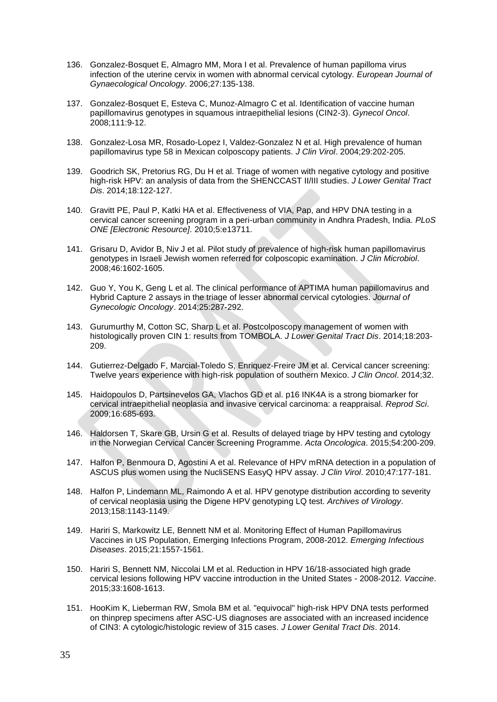- 136. Gonzalez-Bosquet E, Almagro MM, Mora I et al. Prevalence of human papilloma virus infection of the uterine cervix in women with abnormal cervical cytology. *European Journal of Gynaecological Oncology*. 2006;27:135-138.
- 137. Gonzalez-Bosquet E, Esteva C, Munoz-Almagro C et al. Identification of vaccine human papillomavirus genotypes in squamous intraepithelial lesions (CIN2-3). *Gynecol Oncol*. 2008;111:9-12.
- 138. Gonzalez-Losa MR, Rosado-Lopez I, Valdez-Gonzalez N et al. High prevalence of human papillomavirus type 58 in Mexican colposcopy patients. *J Clin Virol*. 2004;29:202-205.
- 139. Goodrich SK, Pretorius RG, Du H et al. Triage of women with negative cytology and positive high-risk HPV: an analysis of data from the SHENCCAST II/III studies. *J Lower Genital Tract Dis*. 2014;18:122-127.
- 140. Gravitt PE, Paul P, Katki HA et al. Effectiveness of VIA, Pap, and HPV DNA testing in a cervical cancer screening program in a peri-urban community in Andhra Pradesh, India. *PLoS ONE [Electronic Resource]*. 2010;5:e13711.
- 141. Grisaru D, Avidor B, Niv J et al. Pilot study of prevalence of high-risk human papillomavirus genotypes in Israeli Jewish women referred for colposcopic examination. *J Clin Microbiol*. 2008;46:1602-1605.
- 142. Guo Y, You K, Geng L et al. The clinical performance of APTIMA human papillomavirus and Hybrid Capture 2 assays in the triage of lesser abnormal cervical cytologies. *Journal of Gynecologic Oncology*. 2014;25:287-292.
- 143. Gurumurthy M, Cotton SC, Sharp L et al. Postcolposcopy management of women with histologically proven CIN 1: results from TOMBOLA. *J Lower Genital Tract Dis*. 2014;18:203- 209.
- 144. Gutierrez-Delgado F, Marcial-Toledo S, Enriquez-Freire JM et al. Cervical cancer screening: Twelve years experience with high-risk population of southern Mexico. *J Clin Oncol*. 2014;32.
- 145. Haidopoulos D, Partsinevelos GA, Vlachos GD et al. p16 INK4A is a strong biomarker for cervical intraepithelial neoplasia and invasive cervical carcinoma: a reappraisal. *Reprod Sci*. 2009;16:685-693.
- 146. Haldorsen T, Skare GB, Ursin G et al. Results of delayed triage by HPV testing and cytology in the Norwegian Cervical Cancer Screening Programme. *Acta Oncologica*. 2015;54:200-209.
- 147. Halfon P, Benmoura D, Agostini A et al. Relevance of HPV mRNA detection in a population of ASCUS plus women using the NucliSENS EasyQ HPV assay. *J Clin Virol*. 2010;47:177-181.
- 148. Halfon P, Lindemann ML, Raimondo A et al. HPV genotype distribution according to severity of cervical neoplasia using the Digene HPV genotyping LQ test. *Archives of Virology*. 2013;158:1143-1149.
- 149. Hariri S, Markowitz LE, Bennett NM et al. Monitoring Effect of Human Papillomavirus Vaccines in US Population, Emerging Infections Program, 2008-2012. *Emerging Infectious Diseases*. 2015;21:1557-1561.
- 150. Hariri S, Bennett NM, Niccolai LM et al. Reduction in HPV 16/18-associated high grade cervical lesions following HPV vaccine introduction in the United States - 2008-2012. *Vaccine*. 2015;33:1608-1613.
- 151. HooKim K, Lieberman RW, Smola BM et al. "equivocal" high-risk HPV DNA tests performed on thinprep specimens after ASC-US diagnoses are associated with an increased incidence of CIN3: A cytologic/histologic review of 315 cases. *J Lower Genital Tract Dis*. 2014.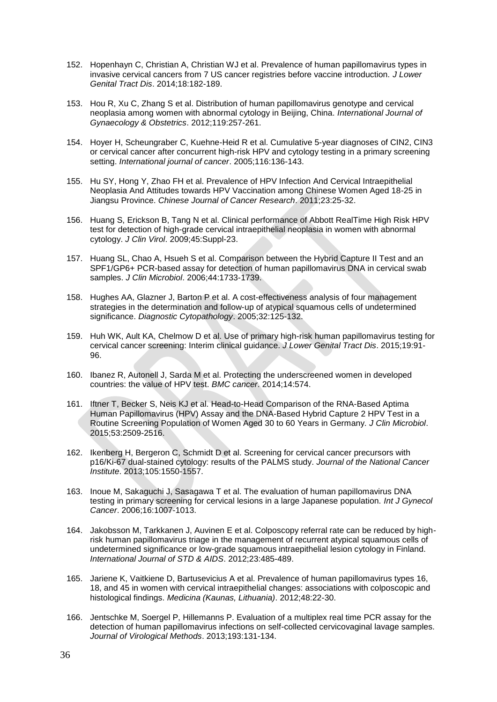- 152. Hopenhayn C, Christian A, Christian WJ et al. Prevalence of human papillomavirus types in invasive cervical cancers from 7 US cancer registries before vaccine introduction. *J Lower Genital Tract Dis*. 2014;18:182-189.
- 153. Hou R, Xu C, Zhang S et al. Distribution of human papillomavirus genotype and cervical neoplasia among women with abnormal cytology in Beijing, China. *International Journal of Gynaecology & Obstetrics*. 2012;119:257-261.
- 154. Hoyer H, Scheungraber C, Kuehne-Heid R et al. Cumulative 5-year diagnoses of CIN2, CIN3 or cervical cancer after concurrent high-risk HPV and cytology testing in a primary screening setting. *International journal of cancer*. 2005;116:136-143.
- 155. Hu SY, Hong Y, Zhao FH et al. Prevalence of HPV Infection And Cervical Intraepithelial Neoplasia And Attitudes towards HPV Vaccination among Chinese Women Aged 18-25 in Jiangsu Province. *Chinese Journal of Cancer Research*. 2011;23:25-32.
- 156. Huang S, Erickson B, Tang N et al. Clinical performance of Abbott RealTime High Risk HPV test for detection of high-grade cervical intraepithelial neoplasia in women with abnormal cytology. *J Clin Virol*. 2009;45:Suppl-23.
- 157. Huang SL, Chao A, Hsueh S et al. Comparison between the Hybrid Capture II Test and an SPF1/GP6+ PCR-based assay for detection of human papillomavirus DNA in cervical swab samples. *J Clin Microbiol*. 2006;44:1733-1739.
- 158. Hughes AA, Glazner J, Barton P et al. A cost-effectiveness analysis of four management strategies in the determination and follow-up of atypical squamous cells of undetermined significance. *Diagnostic Cytopathology*. 2005;32:125-132.
- 159. Huh WK, Ault KA, Chelmow D et al. Use of primary high-risk human papillomavirus testing for cervical cancer screening: Interim clinical guidance. *J Lower Genital Tract Dis*. 2015;19:91- 96.
- 160. Ibanez R, Autonell J, Sarda M et al. Protecting the underscreened women in developed countries: the value of HPV test. *BMC cancer*. 2014;14:574.
- 161. Iftner T, Becker S, Neis KJ et al. Head-to-Head Comparison of the RNA-Based Aptima Human Papillomavirus (HPV) Assay and the DNA-Based Hybrid Capture 2 HPV Test in a Routine Screening Population of Women Aged 30 to 60 Years in Germany. *J Clin Microbiol*. 2015;53:2509-2516.
- 162. Ikenberg H, Bergeron C, Schmidt D et al. Screening for cervical cancer precursors with p16/Ki-67 dual-stained cytology: results of the PALMS study. *Journal of the National Cancer Institute*. 2013;105:1550-1557.
- 163. Inoue M, Sakaguchi J, Sasagawa T et al. The evaluation of human papillomavirus DNA testing in primary screening for cervical lesions in a large Japanese population. *Int J Gynecol Cancer*. 2006;16:1007-1013.
- 164. Jakobsson M, Tarkkanen J, Auvinen E et al. Colposcopy referral rate can be reduced by highrisk human papillomavirus triage in the management of recurrent atypical squamous cells of undetermined significance or low-grade squamous intraepithelial lesion cytology in Finland. *International Journal of STD & AIDS*. 2012;23:485-489.
- 165. Jariene K, Vaitkiene D, Bartusevicius A et al. Prevalence of human papillomavirus types 16, 18, and 45 in women with cervical intraepithelial changes: associations with colposcopic and histological findings. *Medicina (Kaunas, Lithuania)*. 2012;48:22-30.
- 166. Jentschke M, Soergel P, Hillemanns P. Evaluation of a multiplex real time PCR assay for the detection of human papillomavirus infections on self-collected cervicovaginal lavage samples. *Journal of Virological Methods*. 2013;193:131-134.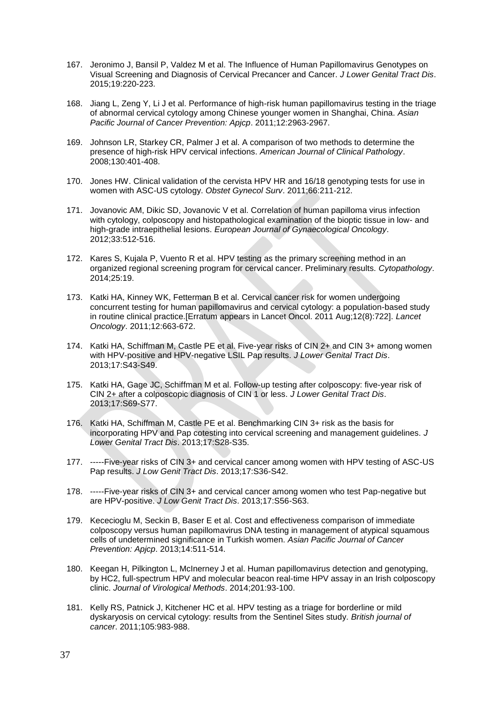- 167. Jeronimo J, Bansil P, Valdez M et al. The Influence of Human Papillomavirus Genotypes on Visual Screening and Diagnosis of Cervical Precancer and Cancer. *J Lower Genital Tract Dis*. 2015;19:220-223.
- 168. Jiang L, Zeng Y, Li J et al. Performance of high-risk human papillomavirus testing in the triage of abnormal cervical cytology among Chinese younger women in Shanghai, China. *Asian Pacific Journal of Cancer Prevention: Apjcp*. 2011;12:2963-2967.
- 169. Johnson LR, Starkey CR, Palmer J et al. A comparison of two methods to determine the presence of high-risk HPV cervical infections. *American Journal of Clinical Pathology*. 2008;130:401-408.
- 170. Jones HW. Clinical validation of the cervista HPV HR and 16/18 genotyping tests for use in women with ASC-US cytology. *Obstet Gynecol Surv*. 2011;66:211-212.
- 171. Jovanovic AM, Dikic SD, Jovanovic V et al. Correlation of human papilloma virus infection with cytology, colposcopy and histopathological examination of the bioptic tissue in low- and high-grade intraepithelial lesions. *European Journal of Gynaecological Oncology*. 2012;33:512-516.
- 172. Kares S, Kujala P, Vuento R et al. HPV testing as the primary screening method in an organized regional screening program for cervical cancer. Preliminary results. *Cytopathology*. 2014;25:19.
- 173. Katki HA, Kinney WK, Fetterman B et al. Cervical cancer risk for women undergoing concurrent testing for human papillomavirus and cervical cytology: a population-based study in routine clinical practice.[Erratum appears in Lancet Oncol. 2011 Aug;12(8):722]. *Lancet Oncology*. 2011;12:663-672.
- 174. Katki HA, Schiffman M, Castle PE et al. Five-year risks of CIN 2+ and CIN 3+ among women with HPV-positive and HPV-negative LSIL Pap results. *J Lower Genital Tract Dis*. 2013;17:S43-S49.
- 175. Katki HA, Gage JC, Schiffman M et al. Follow-up testing after colposcopy: five-year risk of CIN 2+ after a colposcopic diagnosis of CIN 1 or less. *J Lower Genital Tract Dis*. 2013;17:S69-S77.
- 176. Katki HA, Schiffman M, Castle PE et al. Benchmarking CIN 3+ risk as the basis for incorporating HPV and Pap cotesting into cervical screening and management guidelines. *J Lower Genital Tract Dis*. 2013;17:S28-S35.
- 177. -----Five-year risks of CIN 3+ and cervical cancer among women with HPV testing of ASC-US Pap results. *J Low Genit Tract Dis*. 2013;17:S36-S42.
- 178. -----Five-year risks of CIN 3+ and cervical cancer among women who test Pap-negative but are HPV-positive. *J Low Genit Tract Dis*. 2013;17:S56-S63.
- 179. Kececioglu M, Seckin B, Baser E et al. Cost and effectiveness comparison of immediate colposcopy versus human papillomavirus DNA testing in management of atypical squamous cells of undetermined significance in Turkish women. *Asian Pacific Journal of Cancer Prevention: Apjcp*. 2013;14:511-514.
- 180. Keegan H, Pilkington L, McInerney J et al. Human papillomavirus detection and genotyping, by HC2, full-spectrum HPV and molecular beacon real-time HPV assay in an Irish colposcopy clinic. *Journal of Virological Methods*. 2014;201:93-100.
- 181. Kelly RS, Patnick J, Kitchener HC et al. HPV testing as a triage for borderline or mild dyskaryosis on cervical cytology: results from the Sentinel Sites study. *British journal of cancer*. 2011;105:983-988.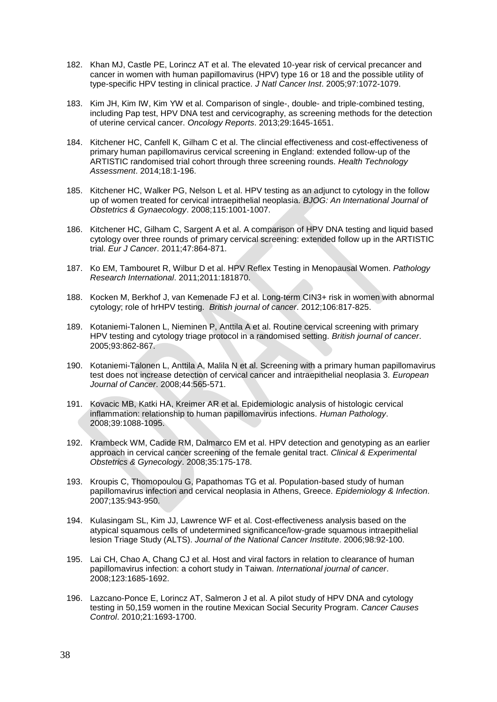- 182. Khan MJ, Castle PE, Lorincz AT et al. The elevated 10-year risk of cervical precancer and cancer in women with human papillomavirus (HPV) type 16 or 18 and the possible utility of type-specific HPV testing in clinical practice. *J Natl Cancer Inst*. 2005;97:1072-1079.
- 183. Kim JH, Kim IW, Kim YW et al. Comparison of single-, double- and triple-combined testing, including Pap test, HPV DNA test and cervicography, as screening methods for the detection of uterine cervical cancer. *Oncology Reports*. 2013;29:1645-1651.
- 184. Kitchener HC, Canfell K, Gilham C et al. The clincial effectiveness and cost-effectiveness of primary human papillomavirus cervical screening in England: extended follow-up of the ARTISTIC randomised trial cohort through three screening rounds. *Health Technology Assessment*. 2014;18:1-196.
- 185. Kitchener HC, Walker PG, Nelson L et al. HPV testing as an adjunct to cytology in the follow up of women treated for cervical intraepithelial neoplasia. *BJOG: An International Journal of Obstetrics & Gynaecology*. 2008;115:1001-1007.
- 186. Kitchener HC, Gilham C, Sargent A et al. A comparison of HPV DNA testing and liquid based cytology over three rounds of primary cervical screening: extended follow up in the ARTISTIC trial. *Eur J Cancer*. 2011;47:864-871.
- 187. Ko EM, Tambouret R, Wilbur D et al. HPV Reflex Testing in Menopausal Women. *Pathology Research International*. 2011;2011:181870.
- 188. Kocken M, Berkhof J, van Kemenade FJ et al. Long-term CIN3+ risk in women with abnormal cytology; role of hrHPV testing. *British journal of cancer*. 2012;106:817-825.
- 189. Kotaniemi-Talonen L, Nieminen P, Anttila A et al. Routine cervical screening with primary HPV testing and cytology triage protocol in a randomised setting. *British journal of cancer*. 2005;93:862-867.
- 190. Kotaniemi-Talonen L, Anttila A, Malila N et al. Screening with a primary human papillomavirus test does not increase detection of cervical cancer and intraepithelial neoplasia 3. *European Journal of Cancer*. 2008;44:565-571.
- 191. Kovacic MB, Katki HA, Kreimer AR et al. Epidemiologic analysis of histologic cervical inflammation: relationship to human papillomavirus infections. *Human Pathology*. 2008;39:1088-1095.
- 192. Krambeck WM, Cadide RM, Dalmarco EM et al. HPV detection and genotyping as an earlier approach in cervical cancer screening of the female genital tract. *Clinical & Experimental Obstetrics & Gynecology*. 2008;35:175-178.
- 193. Kroupis C, Thomopoulou G, Papathomas TG et al. Population-based study of human papillomavirus infection and cervical neoplasia in Athens, Greece. *Epidemiology & Infection*. 2007;135:943-950.
- 194. Kulasingam SL, Kim JJ, Lawrence WF et al. Cost-effectiveness analysis based on the atypical squamous cells of undetermined significance/low-grade squamous intraepithelial lesion Triage Study (ALTS). *Journal of the National Cancer Institute*. 2006;98:92-100.
- 195. Lai CH, Chao A, Chang CJ et al. Host and viral factors in relation to clearance of human papillomavirus infection: a cohort study in Taiwan. *International journal of cancer*. 2008;123:1685-1692.
- 196. Lazcano-Ponce E, Lorincz AT, Salmeron J et al. A pilot study of HPV DNA and cytology testing in 50,159 women in the routine Mexican Social Security Program. *Cancer Causes Control*. 2010;21:1693-1700.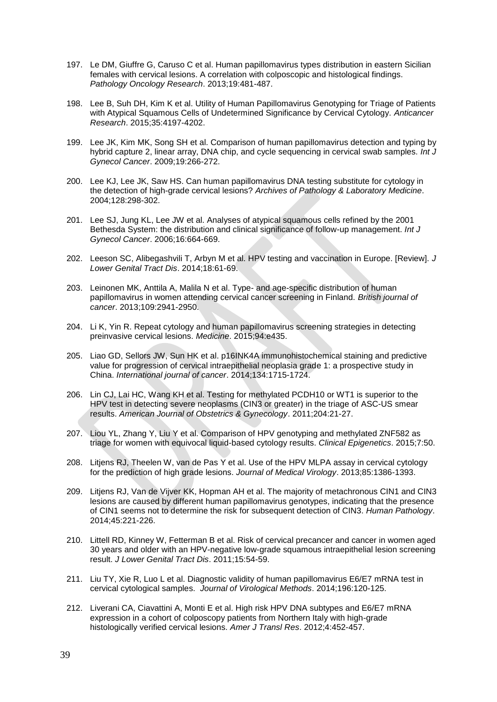- 197. Le DM, Giuffre G, Caruso C et al. Human papillomavirus types distribution in eastern Sicilian females with cervical lesions. A correlation with colposcopic and histological findings. *Pathology Oncology Research*. 2013;19:481-487.
- 198. Lee B, Suh DH, Kim K et al. Utility of Human Papillomavirus Genotyping for Triage of Patients with Atypical Squamous Cells of Undetermined Significance by Cervical Cytology. *Anticancer Research*. 2015;35:4197-4202.
- 199. Lee JK, Kim MK, Song SH et al. Comparison of human papillomavirus detection and typing by hybrid capture 2, linear array, DNA chip, and cycle sequencing in cervical swab samples. *Int J Gynecol Cancer*. 2009;19:266-272.
- 200. Lee KJ, Lee JK, Saw HS. Can human papillomavirus DNA testing substitute for cytology in the detection of high-grade cervical lesions? *Archives of Pathology & Laboratory Medicine*. 2004;128:298-302.
- 201. Lee SJ, Jung KL, Lee JW et al. Analyses of atypical squamous cells refined by the 2001 Bethesda System: the distribution and clinical significance of follow-up management. *Int J Gynecol Cancer*. 2006;16:664-669.
- 202. Leeson SC, Alibegashvili T, Arbyn M et al. HPV testing and vaccination in Europe. [Review]. *J Lower Genital Tract Dis*. 2014;18:61-69.
- 203. Leinonen MK, Anttila A, Malila N et al. Type- and age-specific distribution of human papillomavirus in women attending cervical cancer screening in Finland. *British journal of cancer*. 2013;109:2941-2950.
- 204. Li K, Yin R. Repeat cytology and human papillomavirus screening strategies in detecting preinvasive cervical lesions. *Medicine*. 2015;94:e435.
- 205. Liao GD, Sellors JW, Sun HK et al. p16INK4A immunohistochemical staining and predictive value for progression of cervical intraepithelial neoplasia grade 1: a prospective study in China. *International journal of cancer*. 2014;134:1715-1724.
- 206. Lin CJ, Lai HC, Wang KH et al. Testing for methylated PCDH10 or WT1 is superior to the HPV test in detecting severe neoplasms (CIN3 or greater) in the triage of ASC-US smear results. *American Journal of Obstetrics & Gynecology*. 2011;204:21-27.
- 207. Liou YL, Zhang Y, Liu Y et al. Comparison of HPV genotyping and methylated ZNF582 as triage for women with equivocal liquid-based cytology results. *Clinical Epigenetics*. 2015;7:50.
- 208. Litjens RJ, Theelen W, van de Pas Y et al. Use of the HPV MLPA assay in cervical cytology for the prediction of high grade lesions. *Journal of Medical Virology*. 2013;85:1386-1393.
- 209. Litjens RJ, Van de Vijver KK, Hopman AH et al. The majority of metachronous CIN1 and CIN3 lesions are caused by different human papillomavirus genotypes, indicating that the presence of CIN1 seems not to determine the risk for subsequent detection of CIN3. *Human Pathology*. 2014;45:221-226.
- 210. Littell RD, Kinney W, Fetterman B et al. Risk of cervical precancer and cancer in women aged 30 years and older with an HPV-negative low-grade squamous intraepithelial lesion screening result. *J Lower Genital Tract Dis*. 2011;15:54-59.
- 211. Liu TY, Xie R, Luo L et al. Diagnostic validity of human papillomavirus E6/E7 mRNA test in cervical cytological samples. *Journal of Virological Methods*. 2014;196:120-125.
- 212. Liverani CA, Ciavattini A, Monti E et al. High risk HPV DNA subtypes and E6/E7 mRNA expression in a cohort of colposcopy patients from Northern Italy with high-grade histologically verified cervical lesions. *Amer J Transl Res*. 2012;4:452-457.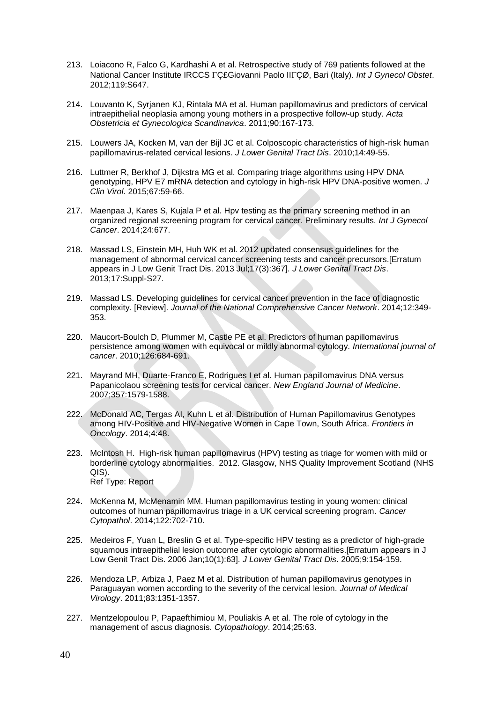- 213. Loiacono R, Falco G, Kardhashi A et al. Retrospective study of 769 patients followed at the National Cancer Institute IRCCS Ç£Giovanni Paolo IIÇØ, Bari (Italy). *Int J Gynecol Obstet*. 2012;119:S647.
- 214. Louvanto K, Syrjanen KJ, Rintala MA et al. Human papillomavirus and predictors of cervical intraepithelial neoplasia among young mothers in a prospective follow-up study. *Acta Obstetricia et Gynecologica Scandinavica*. 2011;90:167-173.
- 215. Louwers JA, Kocken M, van der Bijl JC et al. Colposcopic characteristics of high-risk human papillomavirus-related cervical lesions. *J Lower Genital Tract Dis*. 2010;14:49-55.
- 216. Luttmer R, Berkhof J, Dijkstra MG et al. Comparing triage algorithms using HPV DNA genotyping, HPV E7 mRNA detection and cytology in high-risk HPV DNA-positive women. *J Clin Virol*. 2015;67:59-66.
- 217. Maenpaa J, Kares S, Kujala P et al. Hpv testing as the primary screening method in an organized regional screening program for cervical cancer. Preliminary results. *Int J Gynecol Cancer*. 2014;24:677.
- 218. Massad LS, Einstein MH, Huh WK et al. 2012 updated consensus guidelines for the management of abnormal cervical cancer screening tests and cancer precursors.[Erratum appears in J Low Genit Tract Dis. 2013 Jul;17(3):367]. *J Lower Genital Tract Dis*. 2013;17:Suppl-S27.
- 219. Massad LS. Developing guidelines for cervical cancer prevention in the face of diagnostic complexity. [Review]. *Journal of the National Comprehensive Cancer Network*. 2014;12:349- 353.
- 220. Maucort-Boulch D, Plummer M, Castle PE et al. Predictors of human papillomavirus persistence among women with equivocal or mildly abnormal cytology. *International journal of cancer*. 2010;126:684-691.
- 221. Mayrand MH, Duarte-Franco E, Rodrigues I et al. Human papillomavirus DNA versus Papanicolaou screening tests for cervical cancer. *New England Journal of Medicine*. 2007;357:1579-1588.
- 222. McDonald AC, Tergas AI, Kuhn L et al. Distribution of Human Papillomavirus Genotypes among HIV-Positive and HIV-Negative Women in Cape Town, South Africa. *Frontiers in Oncology*. 2014;4:48.
- 223. McIntosh H. High-risk human papillomavirus (HPV) testing as triage for women with mild or borderline cytology abnormalities. 2012. Glasgow, NHS Quality Improvement Scotland (NHS QIS). Ref Type: Report
- 224. McKenna M, McMenamin MM. Human papillomavirus testing in young women: clinical outcomes of human papillomavirus triage in a UK cervical screening program. *Cancer Cytopathol*. 2014;122:702-710.
- 225. Medeiros F, Yuan L, Breslin G et al. Type-specific HPV testing as a predictor of high-grade squamous intraepithelial lesion outcome after cytologic abnormalities.[Erratum appears in J Low Genit Tract Dis. 2006 Jan;10(1):63]. *J Lower Genital Tract Dis*. 2005;9:154-159.
- 226. Mendoza LP, Arbiza J, Paez M et al. Distribution of human papillomavirus genotypes in Paraguayan women according to the severity of the cervical lesion. *Journal of Medical Virology*. 2011;83:1351-1357.
- 227. Mentzelopoulou P, Papaefthimiou M, Pouliakis A et al. The role of cytology in the management of ascus diagnosis. *Cytopathology*. 2014;25:63.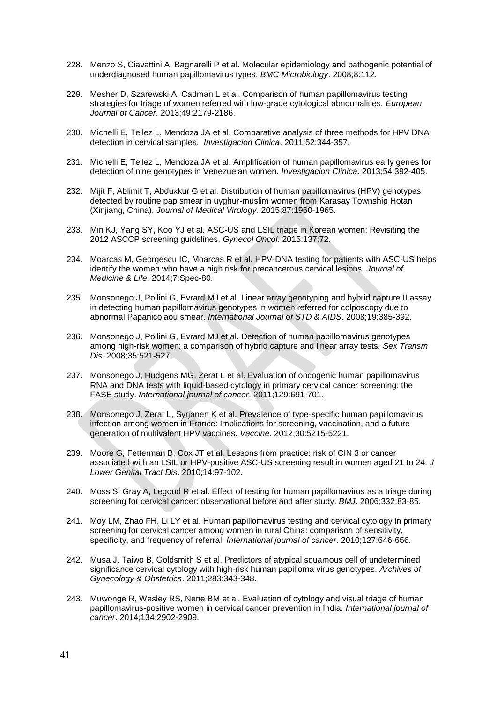- 228. Menzo S, Ciavattini A, Bagnarelli P et al. Molecular epidemiology and pathogenic potential of underdiagnosed human papillomavirus types. *BMC Microbiology*. 2008;8:112.
- 229. Mesher D, Szarewski A, Cadman L et al. Comparison of human papillomavirus testing strategies for triage of women referred with low-grade cytological abnormalities. *European Journal of Cancer*. 2013;49:2179-2186.
- 230. Michelli E, Tellez L, Mendoza JA et al. Comparative analysis of three methods for HPV DNA detection in cervical samples. *Investigacion Clinica*. 2011;52:344-357.
- 231. Michelli E, Tellez L, Mendoza JA et al. Amplification of human papillomavirus early genes for detection of nine genotypes in Venezuelan women. *Investigacion Clinica*. 2013;54:392-405.
- 232. Mijit F, Ablimit T, Abduxkur G et al. Distribution of human papillomavirus (HPV) genotypes detected by routine pap smear in uyghur-muslim women from Karasay Township Hotan (Xinjiang, China). *Journal of Medical Virology*. 2015;87:1960-1965.
- 233. Min KJ, Yang SY, Koo YJ et al. ASC-US and LSIL triage in Korean women: Revisiting the 2012 ASCCP screening guidelines. *Gynecol Oncol*. 2015;137:72.
- 234. Moarcas M, Georgescu IC, Moarcas R et al. HPV-DNA testing for patients with ASC-US helps identify the women who have a high risk for precancerous cervical lesions. *Journal of Medicine & Life*. 2014;7:Spec-80.
- 235. Monsonego J, Pollini G, Evrard MJ et al. Linear array genotyping and hybrid capture II assay in detecting human papillomavirus genotypes in women referred for colposcopy due to abnormal Papanicolaou smear. *International Journal of STD & AIDS*. 2008;19:385-392.
- 236. Monsonego J, Pollini G, Evrard MJ et al. Detection of human papillomavirus genotypes among high-risk women: a comparison of hybrid capture and linear array tests. *Sex Transm Dis*. 2008;35:521-527.
- 237. Monsonego J, Hudgens MG, Zerat L et al. Evaluation of oncogenic human papillomavirus RNA and DNA tests with liquid-based cytology in primary cervical cancer screening: the FASE study. *International journal of cancer*. 2011;129:691-701.
- 238. Monsonego J, Zerat L, Syrjanen K et al. Prevalence of type-specific human papillomavirus infection among women in France: Implications for screening, vaccination, and a future generation of multivalent HPV vaccines. *Vaccine*. 2012;30:5215-5221.
- 239. Moore G, Fetterman B, Cox JT et al. Lessons from practice: risk of CIN 3 or cancer associated with an LSIL or HPV-positive ASC-US screening result in women aged 21 to 24. *J Lower Genital Tract Dis*. 2010;14:97-102.
- 240. Moss S, Gray A, Legood R et al. Effect of testing for human papillomavirus as a triage during screening for cervical cancer: observational before and after study. *BMJ*. 2006;332:83-85.
- 241. Moy LM, Zhao FH, Li LY et al. Human papillomavirus testing and cervical cytology in primary screening for cervical cancer among women in rural China: comparison of sensitivity, specificity, and frequency of referral. *International journal of cancer*. 2010;127:646-656.
- 242. Musa J, Taiwo B, Goldsmith S et al. Predictors of atypical squamous cell of undetermined significance cervical cytology with high-risk human papilloma virus genotypes. *Archives of Gynecology & Obstetrics*. 2011;283:343-348.
- 243. Muwonge R, Wesley RS, Nene BM et al. Evaluation of cytology and visual triage of human papillomavirus-positive women in cervical cancer prevention in India. *International journal of cancer*. 2014;134:2902-2909.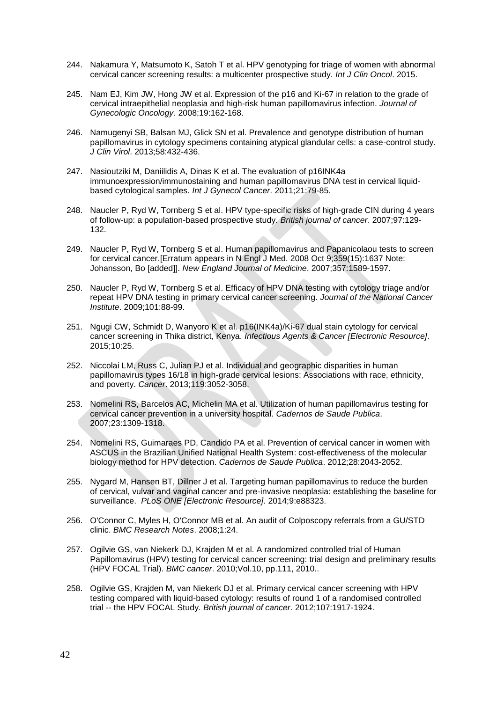- 244. Nakamura Y, Matsumoto K, Satoh T et al. HPV genotyping for triage of women with abnormal cervical cancer screening results: a multicenter prospective study. *Int J Clin Oncol*. 2015.
- 245. Nam EJ, Kim JW, Hong JW et al. Expression of the p16 and Ki-67 in relation to the grade of cervical intraepithelial neoplasia and high-risk human papillomavirus infection. *Journal of Gynecologic Oncology*. 2008;19:162-168.
- 246. Namugenyi SB, Balsan MJ, Glick SN et al. Prevalence and genotype distribution of human papillomavirus in cytology specimens containing atypical glandular cells: a case-control study. *J Clin Virol*. 2013;58:432-436.
- 247. Nasioutziki M, Daniilidis A, Dinas K et al. The evaluation of p16INK4a immunoexpression/immunostaining and human papillomavirus DNA test in cervical liquidbased cytological samples. *Int J Gynecol Cancer*. 2011;21:79-85.
- 248. Naucler P, Ryd W, Tornberg S et al. HPV type-specific risks of high-grade CIN during 4 years of follow-up: a population-based prospective study. *British journal of cancer*. 2007;97:129- 132.
- 249. Naucler P, Ryd W, Tornberg S et al. Human papillomavirus and Papanicolaou tests to screen for cervical cancer.[Erratum appears in N Engl J Med. 2008 Oct 9;359(15):1637 Note: Johansson, Bo [added]]. *New England Journal of Medicine*. 2007;357:1589-1597.
- 250. Naucler P, Ryd W, Tornberg S et al. Efficacy of HPV DNA testing with cytology triage and/or repeat HPV DNA testing in primary cervical cancer screening. *Journal of the National Cancer Institute*. 2009;101:88-99.
- 251. Ngugi CW, Schmidt D, Wanyoro K et al. p16(INK4a)/Ki-67 dual stain cytology for cervical cancer screening in Thika district, Kenya. *Infectious Agents & Cancer [Electronic Resource]*. 2015;10:25.
- 252. Niccolai LM, Russ C, Julian PJ et al. Individual and geographic disparities in human papillomavirus types 16/18 in high-grade cervical lesions: Associations with race, ethnicity, and poverty. *Cancer*. 2013;119:3052-3058.
- 253. Nomelini RS, Barcelos AC, Michelin MA et al. Utilization of human papillomavirus testing for cervical cancer prevention in a university hospital. *Cadernos de Saude Publica*. 2007;23:1309-1318.
- 254. Nomelini RS, Guimaraes PD, Candido PA et al. Prevention of cervical cancer in women with ASCUS in the Brazilian Unified National Health System: cost-effectiveness of the molecular biology method for HPV detection. *Cadernos de Saude Publica*. 2012;28:2043-2052.
- 255. Nygard M, Hansen BT, Dillner J et al. Targeting human papillomavirus to reduce the burden of cervical, vulvar and vaginal cancer and pre-invasive neoplasia: establishing the baseline for surveillance. *PLoS ONE [Electronic Resource]*. 2014;9:e88323.
- 256. O'Connor C, Myles H, O'Connor MB et al. An audit of Colposcopy referrals from a GU/STD clinic. *BMC Research Notes*. 2008;1:24.
- 257. Ogilvie GS, van Niekerk DJ, Krajden M et al. A randomized controlled trial of Human Papillomavirus (HPV) testing for cervical cancer screening: trial design and preliminary results (HPV FOCAL Trial). *BMC cancer*. 2010;Vol.10, pp.111, 2010..
- 258. Ogilvie GS, Krajden M, van Niekerk DJ et al. Primary cervical cancer screening with HPV testing compared with liquid-based cytology: results of round 1 of a randomised controlled trial -- the HPV FOCAL Study. *British journal of cancer*. 2012;107:1917-1924.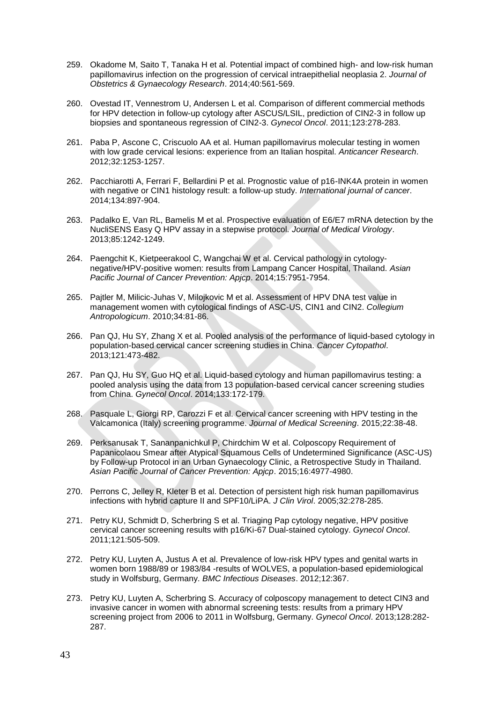- 259. Okadome M, Saito T, Tanaka H et al. Potential impact of combined high- and low-risk human papillomavirus infection on the progression of cervical intraepithelial neoplasia 2. *Journal of Obstetrics & Gynaecology Research*. 2014;40:561-569.
- 260. Ovestad IT, Vennestrom U, Andersen L et al. Comparison of different commercial methods for HPV detection in follow-up cytology after ASCUS/LSIL, prediction of CIN2-3 in follow up biopsies and spontaneous regression of CIN2-3. *Gynecol Oncol*. 2011;123:278-283.
- 261. Paba P, Ascone C, Criscuolo AA et al. Human papillomavirus molecular testing in women with low grade cervical lesions: experience from an Italian hospital. *Anticancer Research*. 2012;32:1253-1257.
- 262. Pacchiarotti A, Ferrari F, Bellardini P et al. Prognostic value of p16-INK4A protein in women with negative or CIN1 histology result: a follow-up study. *International journal of cancer*. 2014;134:897-904.
- 263. Padalko E, Van RL, Bamelis M et al. Prospective evaluation of E6/E7 mRNA detection by the NucliSENS Easy Q HPV assay in a stepwise protocol. *Journal of Medical Virology*. 2013;85:1242-1249.
- 264. Paengchit K, Kietpeerakool C, Wangchai W et al. Cervical pathology in cytologynegative/HPV-positive women: results from Lampang Cancer Hospital, Thailand. *Asian Pacific Journal of Cancer Prevention: Apjcp*. 2014;15:7951-7954.
- 265. Pajtler M, Milicic-Juhas V, Milojkovic M et al. Assessment of HPV DNA test value in management women with cytological findings of ASC-US, CIN1 and CIN2. *Collegium Antropologicum*. 2010;34:81-86.
- 266. Pan QJ, Hu SY, Zhang X et al. Pooled analysis of the performance of liquid-based cytology in population-based cervical cancer screening studies in China. *Cancer Cytopathol*. 2013;121:473-482.
- 267. Pan QJ, Hu SY, Guo HQ et al. Liquid-based cytology and human papillomavirus testing: a pooled analysis using the data from 13 population-based cervical cancer screening studies from China. *Gynecol Oncol*. 2014;133:172-179.
- 268. Pasquale L, Giorgi RP, Carozzi F et al. Cervical cancer screening with HPV testing in the Valcamonica (Italy) screening programme. *Journal of Medical Screening*. 2015;22:38-48.
- 269. Perksanusak T, Sananpanichkul P, Chirdchim W et al. Colposcopy Requirement of Papanicolaou Smear after Atypical Squamous Cells of Undetermined Significance (ASC-US) by Follow-up Protocol in an Urban Gynaecology Clinic, a Retrospective Study in Thailand. *Asian Pacific Journal of Cancer Prevention: Apjcp*. 2015;16:4977-4980.
- 270. Perrons C, Jelley R, Kleter B et al. Detection of persistent high risk human papillomavirus infections with hybrid capture II and SPF10/LiPA. *J Clin Virol*. 2005;32:278-285.
- 271. Petry KU, Schmidt D, Scherbring S et al. Triaging Pap cytology negative, HPV positive cervical cancer screening results with p16/Ki-67 Dual-stained cytology. *Gynecol Oncol*. 2011;121:505-509.
- 272. Petry KU, Luyten A, Justus A et al. Prevalence of low-risk HPV types and genital warts in women born 1988/89 or 1983/84 -results of WOLVES, a population-based epidemiological study in Wolfsburg, Germany. *BMC Infectious Diseases*. 2012;12:367.
- 273. Petry KU, Luyten A, Scherbring S. Accuracy of colposcopy management to detect CIN3 and invasive cancer in women with abnormal screening tests: results from a primary HPV screening project from 2006 to 2011 in Wolfsburg, Germany. *Gynecol Oncol*. 2013;128:282- 287.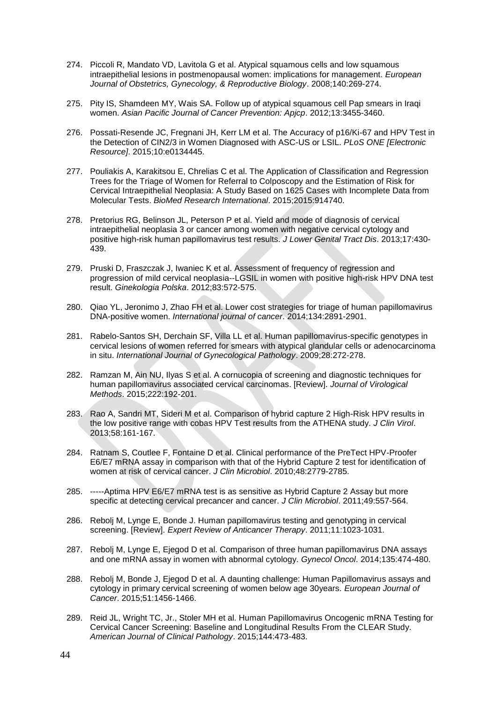- 274. Piccoli R, Mandato VD, Lavitola G et al. Atypical squamous cells and low squamous intraepithelial lesions in postmenopausal women: implications for management. *European Journal of Obstetrics, Gynecology, & Reproductive Biology*. 2008;140:269-274.
- 275. Pity IS, Shamdeen MY, Wais SA. Follow up of atypical squamous cell Pap smears in Iraqi women. *Asian Pacific Journal of Cancer Prevention: Apjcp*. 2012;13:3455-3460.
- 276. Possati-Resende JC, Fregnani JH, Kerr LM et al. The Accuracy of p16/Ki-67 and HPV Test in the Detection of CIN2/3 in Women Diagnosed with ASC-US or LSIL. *PLoS ONE [Electronic Resource]*. 2015;10:e0134445.
- 277. Pouliakis A, Karakitsou E, Chrelias C et al. The Application of Classification and Regression Trees for the Triage of Women for Referral to Colposcopy and the Estimation of Risk for Cervical Intraepithelial Neoplasia: A Study Based on 1625 Cases with Incomplete Data from Molecular Tests. *BioMed Research International*. 2015;2015:914740.
- 278. Pretorius RG, Belinson JL, Peterson P et al. Yield and mode of diagnosis of cervical intraepithelial neoplasia 3 or cancer among women with negative cervical cytology and positive high-risk human papillomavirus test results. *J Lower Genital Tract Dis*. 2013;17:430- 439.
- 279. Pruski D, Fraszczak J, Iwaniec K et al. Assessment of frequency of regression and progression of mild cervical neoplasia--LGSIL in women with positive high-risk HPV DNA test result. *Ginekologia Polska*. 2012;83:572-575.
- 280. Qiao YL, Jeronimo J, Zhao FH et al. Lower cost strategies for triage of human papillomavirus DNA-positive women. *International journal of cancer*. 2014;134:2891-2901.
- 281. Rabelo-Santos SH, Derchain SF, Villa LL et al. Human papillomavirus-specific genotypes in cervical lesions of women referred for smears with atypical glandular cells or adenocarcinoma in situ. *International Journal of Gynecological Pathology*. 2009;28:272-278.
- 282. Ramzan M, Ain NU, Ilyas S et al. A cornucopia of screening and diagnostic techniques for human papillomavirus associated cervical carcinomas. [Review]. *Journal of Virological Methods*. 2015;222:192-201.
- 283. Rao A, Sandri MT, Sideri M et al. Comparison of hybrid capture 2 High-Risk HPV results in the low positive range with cobas HPV Test results from the ATHENA study. *J Clin Virol*. 2013;58:161-167.
- 284. Ratnam S, Coutlee F, Fontaine D et al. Clinical performance of the PreTect HPV-Proofer E6/E7 mRNA assay in comparison with that of the Hybrid Capture 2 test for identification of women at risk of cervical cancer. *J Clin Microbiol*. 2010;48:2779-2785.
- 285. -----Aptima HPV E6/E7 mRNA test is as sensitive as Hybrid Capture 2 Assay but more specific at detecting cervical precancer and cancer. *J Clin Microbiol*. 2011;49:557-564.
- 286. Rebolj M, Lynge E, Bonde J. Human papillomavirus testing and genotyping in cervical screening. [Review]. *Expert Review of Anticancer Therapy*. 2011;11:1023-1031.
- 287. Rebolj M, Lynge E, Ejegod D et al. Comparison of three human papillomavirus DNA assays and one mRNA assay in women with abnormal cytology. *Gynecol Oncol*. 2014;135:474-480.
- 288. Rebolj M, Bonde J, Ejegod D et al. A daunting challenge: Human Papillomavirus assays and cytology in primary cervical screening of women below age 30years. *European Journal of Cancer*. 2015;51:1456-1466.
- 289. Reid JL, Wright TC, Jr., Stoler MH et al. Human Papillomavirus Oncogenic mRNA Testing for Cervical Cancer Screening: Baseline and Longitudinal Results From the CLEAR Study. *American Journal of Clinical Pathology*. 2015;144:473-483.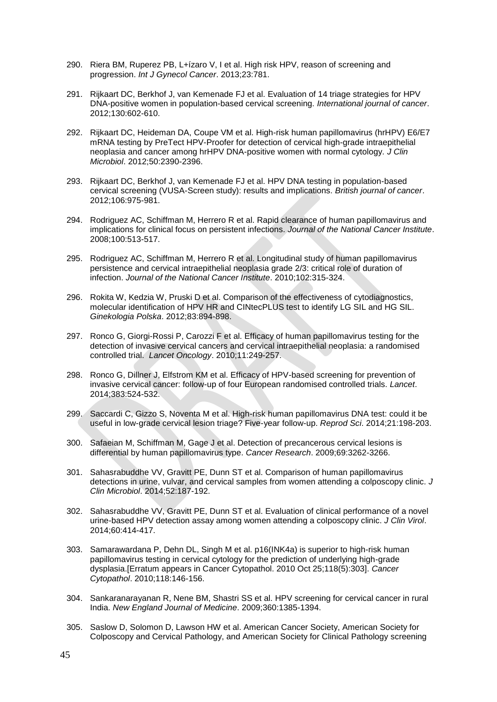- 290. Riera BM, Ruperez PB, L+ízaro V, I et al. High risk HPV, reason of screening and progression. *Int J Gynecol Cancer*. 2013;23:781.
- 291. Rijkaart DC, Berkhof J, van Kemenade FJ et al. Evaluation of 14 triage strategies for HPV DNA-positive women in population-based cervical screening. *International journal of cancer*. 2012;130:602-610.
- 292. Rijkaart DC, Heideman DA, Coupe VM et al. High-risk human papillomavirus (hrHPV) E6/E7 mRNA testing by PreTect HPV-Proofer for detection of cervical high-grade intraepithelial neoplasia and cancer among hrHPV DNA-positive women with normal cytology. *J Clin Microbiol*. 2012;50:2390-2396.
- 293. Rijkaart DC, Berkhof J, van Kemenade FJ et al. HPV DNA testing in population-based cervical screening (VUSA-Screen study): results and implications. *British journal of cancer*. 2012;106:975-981.
- 294. Rodriguez AC, Schiffman M, Herrero R et al. Rapid clearance of human papillomavirus and implications for clinical focus on persistent infections. *Journal of the National Cancer Institute*. 2008;100:513-517.
- 295. Rodriguez AC, Schiffman M, Herrero R et al. Longitudinal study of human papillomavirus persistence and cervical intraepithelial neoplasia grade 2/3: critical role of duration of infection. *Journal of the National Cancer Institute*. 2010;102:315-324.
- 296. Rokita W, Kedzia W, Pruski D et al. Comparison of the effectiveness of cytodiagnostics, molecular identification of HPV HR and CINtecPLUS test to identify LG SIL and HG SIL. *Ginekologia Polska*. 2012;83:894-898.
- 297. Ronco G, Giorgi-Rossi P, Carozzi F et al. Efficacy of human papillomavirus testing for the detection of invasive cervical cancers and cervical intraepithelial neoplasia: a randomised controlled trial. *Lancet Oncology*. 2010;11:249-257.
- 298. Ronco G, Dillner J, Elfstrom KM et al. Efficacy of HPV-based screening for prevention of invasive cervical cancer: follow-up of four European randomised controlled trials. *Lancet*. 2014;383:524-532.
- 299. Saccardi C, Gizzo S, Noventa M et al. High-risk human papillomavirus DNA test: could it be useful in low-grade cervical lesion triage? Five-year follow-up. *Reprod Sci*. 2014;21:198-203.
- 300. Safaeian M, Schiffman M, Gage J et al. Detection of precancerous cervical lesions is differential by human papillomavirus type. *Cancer Research*. 2009;69:3262-3266.
- 301. Sahasrabuddhe VV, Gravitt PE, Dunn ST et al. Comparison of human papillomavirus detections in urine, vulvar, and cervical samples from women attending a colposcopy clinic. *J Clin Microbiol*. 2014;52:187-192.
- 302. Sahasrabuddhe VV, Gravitt PE, Dunn ST et al. Evaluation of clinical performance of a novel urine-based HPV detection assay among women attending a colposcopy clinic. *J Clin Virol*. 2014;60:414-417.
- 303. Samarawardana P, Dehn DL, Singh M et al. p16(INK4a) is superior to high-risk human papillomavirus testing in cervical cytology for the prediction of underlying high-grade dysplasia.[Erratum appears in Cancer Cytopathol. 2010 Oct 25;118(5):303]. *Cancer Cytopathol*. 2010;118:146-156.
- 304. Sankaranarayanan R, Nene BM, Shastri SS et al. HPV screening for cervical cancer in rural India. *New England Journal of Medicine*. 2009;360:1385-1394.
- 305. Saslow D, Solomon D, Lawson HW et al. American Cancer Society, American Society for Colposcopy and Cervical Pathology, and American Society for Clinical Pathology screening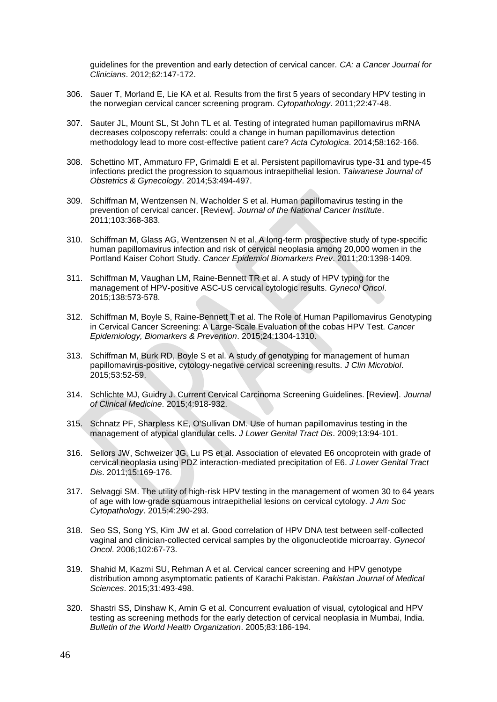guidelines for the prevention and early detection of cervical cancer. *CA: a Cancer Journal for Clinicians*. 2012;62:147-172.

- 306. Sauer T, Morland E, Lie KA et al. Results from the first 5 years of secondary HPV testing in the norwegian cervical cancer screening program. *Cytopathology*. 2011;22:47-48.
- 307. Sauter JL, Mount SL, St John TL et al. Testing of integrated human papillomavirus mRNA decreases colposcopy referrals: could a change in human papillomavirus detection methodology lead to more cost-effective patient care? *Acta Cytologica*. 2014;58:162-166.
- 308. Schettino MT, Ammaturo FP, Grimaldi E et al. Persistent papillomavirus type-31 and type-45 infections predict the progression to squamous intraepithelial lesion. *Taiwanese Journal of Obstetrics & Gynecology*. 2014;53:494-497.
- 309. Schiffman M, Wentzensen N, Wacholder S et al. Human papillomavirus testing in the prevention of cervical cancer. [Review]. *Journal of the National Cancer Institute*. 2011;103:368-383.
- 310. Schiffman M, Glass AG, Wentzensen N et al. A long-term prospective study of type-specific human papillomavirus infection and risk of cervical neoplasia among 20,000 women in the Portland Kaiser Cohort Study. *Cancer Epidemiol Biomarkers Prev*. 2011;20:1398-1409.
- 311. Schiffman M, Vaughan LM, Raine-Bennett TR et al. A study of HPV typing for the management of HPV-positive ASC-US cervical cytologic results. *Gynecol Oncol*. 2015;138:573-578.
- 312. Schiffman M, Boyle S, Raine-Bennett T et al. The Role of Human Papillomavirus Genotyping in Cervical Cancer Screening: A Large-Scale Evaluation of the cobas HPV Test. *Cancer Epidemiology, Biomarkers & Prevention*. 2015;24:1304-1310.
- 313. Schiffman M, Burk RD, Boyle S et al. A study of genotyping for management of human papillomavirus-positive, cytology-negative cervical screening results. *J Clin Microbiol*. 2015;53:52-59.
- 314. Schlichte MJ, Guidry J. Current Cervical Carcinoma Screening Guidelines. [Review]. *Journal of Clinical Medicine*. 2015;4:918-932.
- 315. Schnatz PF, Sharpless KE, O'Sullivan DM. Use of human papillomavirus testing in the management of atypical glandular cells. *J Lower Genital Tract Dis*. 2009;13:94-101.
- 316. Sellors JW, Schweizer JG, Lu PS et al. Association of elevated E6 oncoprotein with grade of cervical neoplasia using PDZ interaction-mediated precipitation of E6. *J Lower Genital Tract Dis*. 2011;15:169-176.
- 317. Selvaggi SM. The utility of high-risk HPV testing in the management of women 30 to 64 years of age with low-grade squamous intraepithelial lesions on cervical cytology. *J Am Soc Cytopathology*. 2015;4:290-293.
- 318. Seo SS, Song YS, Kim JW et al. Good correlation of HPV DNA test between self-collected vaginal and clinician-collected cervical samples by the oligonucleotide microarray. *Gynecol Oncol*. 2006;102:67-73.
- 319. Shahid M, Kazmi SU, Rehman A et al. Cervical cancer screening and HPV genotype distribution among asymptomatic patients of Karachi Pakistan. *Pakistan Journal of Medical Sciences*. 2015;31:493-498.
- 320. Shastri SS, Dinshaw K, Amin G et al. Concurrent evaluation of visual, cytological and HPV testing as screening methods for the early detection of cervical neoplasia in Mumbai, India. *Bulletin of the World Health Organization*. 2005;83:186-194.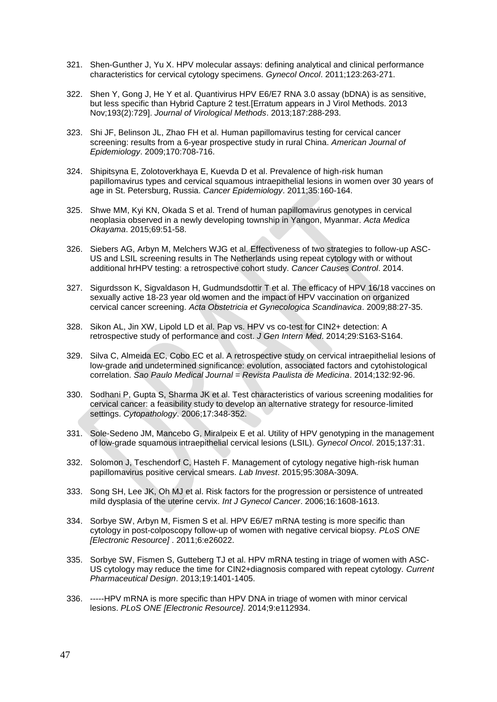- 321. Shen-Gunther J, Yu X. HPV molecular assays: defining analytical and clinical performance characteristics for cervical cytology specimens. *Gynecol Oncol*. 2011;123:263-271.
- 322. Shen Y, Gong J, He Y et al. Quantivirus HPV E6/E7 RNA 3.0 assay (bDNA) is as sensitive, but less specific than Hybrid Capture 2 test.[Erratum appears in J Virol Methods. 2013 Nov;193(2):729]. *Journal of Virological Methods*. 2013;187:288-293.
- 323. Shi JF, Belinson JL, Zhao FH et al. Human papillomavirus testing for cervical cancer screening: results from a 6-year prospective study in rural China. *American Journal of Epidemiology*. 2009;170:708-716.
- 324. Shipitsyna E, Zolotoverkhaya E, Kuevda D et al. Prevalence of high-risk human papillomavirus types and cervical squamous intraepithelial lesions in women over 30 years of age in St. Petersburg, Russia. *Cancer Epidemiology*. 2011;35:160-164.
- 325. Shwe MM, Kyi KN, Okada S et al. Trend of human papillomavirus genotypes in cervical neoplasia observed in a newly developing township in Yangon, Myanmar. *Acta Medica Okayama*. 2015;69:51-58.
- 326. Siebers AG, Arbyn M, Melchers WJG et al. Effectiveness of two strategies to follow-up ASC-US and LSIL screening results in The Netherlands using repeat cytology with or without additional hrHPV testing: a retrospective cohort study. *Cancer Causes Control*. 2014.
- 327. Sigurdsson K, Sigvaldason H, Gudmundsdottir T et al. The efficacy of HPV 16/18 vaccines on sexually active 18-23 year old women and the impact of HPV vaccination on organized cervical cancer screening. *Acta Obstetricia et Gynecologica Scandinavica*. 2009;88:27-35.
- 328. Sikon AL, Jin XW, Lipold LD et al. Pap vs. HPV vs co-test for CIN2+ detection: A retrospective study of performance and cost. *J Gen Intern Med*. 2014;29:S163-S164.
- 329. Silva C, Almeida EC, Cobo EC et al. A retrospective study on cervical intraepithelial lesions of low-grade and undetermined significance: evolution, associated factors and cytohistological correlation. *Sao Paulo Medical Journal = Revista Paulista de Medicina*. 2014;132:92-96.
- 330. Sodhani P, Gupta S, Sharma JK et al. Test characteristics of various screening modalities for cervical cancer: a feasibility study to develop an alternative strategy for resource-limited settings. *Cytopathology*. 2006;17:348-352.
- 331. Sole-Sedeno JM, Mancebo G, Miralpeix E et al. Utility of HPV genotyping in the management of low-grade squamous intraepithelial cervical lesions (LSIL). *Gynecol Oncol*. 2015;137:31.
- 332. Solomon J, Teschendorf C, Hasteh F. Management of cytology negative high-risk human papillomavirus positive cervical smears. *Lab Invest*. 2015;95:308A-309A.
- 333. Song SH, Lee JK, Oh MJ et al. Risk factors for the progression or persistence of untreated mild dysplasia of the uterine cervix. *Int J Gynecol Cancer*. 2006;16:1608-1613.
- 334. Sorbye SW, Arbyn M, Fismen S et al. HPV E6/E7 mRNA testing is more specific than cytology in post-colposcopy follow-up of women with negative cervical biopsy. *PLoS ONE [Electronic Resource]* . 2011;6:e26022.
- 335. Sorbye SW, Fismen S, Gutteberg TJ et al. HPV mRNA testing in triage of women with ASC-US cytology may reduce the time for CIN2+diagnosis compared with repeat cytology. *Current Pharmaceutical Design*. 2013;19:1401-1405.
- 336. -----HPV mRNA is more specific than HPV DNA in triage of women with minor cervical lesions. *PLoS ONE [Electronic Resource]*. 2014;9:e112934.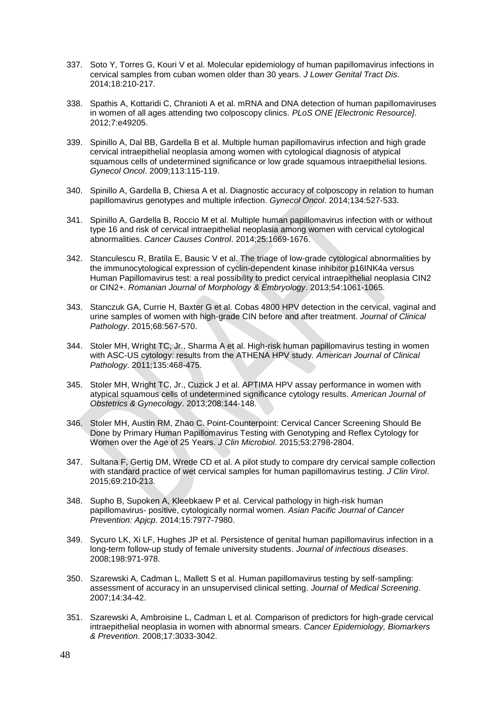- 337. Soto Y, Torres G, Kouri V et al. Molecular epidemiology of human papillomavirus infections in cervical samples from cuban women older than 30 years. *J Lower Genital Tract Dis*. 2014;18:210-217.
- 338. Spathis A, Kottaridi C, Chranioti A et al. mRNA and DNA detection of human papillomaviruses in women of all ages attending two colposcopy clinics. *PLoS ONE [Electronic Resource]*. 2012;7:e49205.
- 339. Spinillo A, Dal BB, Gardella B et al. Multiple human papillomavirus infection and high grade cervical intraepithelial neoplasia among women with cytological diagnosis of atypical squamous cells of undetermined significance or low grade squamous intraepithelial lesions. *Gynecol Oncol*. 2009;113:115-119.
- 340. Spinillo A, Gardella B, Chiesa A et al. Diagnostic accuracy of colposcopy in relation to human papillomavirus genotypes and multiple infection. *Gynecol Oncol*. 2014;134:527-533.
- 341. Spinillo A, Gardella B, Roccio M et al. Multiple human papillomavirus infection with or without type 16 and risk of cervical intraepithelial neoplasia among women with cervical cytological abnormalities. *Cancer Causes Control*. 2014;25:1669-1676.
- 342. Stanculescu R, Bratila E, Bausic V et al. The triage of low-grade cytological abnormalities by the immunocytological expression of cyclin-dependent kinase inhibitor p16INK4a versus Human Papillomavirus test: a real possibility to predict cervical intraepithelial neoplasia CIN2 or CIN2+. *Romanian Journal of Morphology & Embryology*. 2013;54:1061-1065.
- 343. Stanczuk GA, Currie H, Baxter G et al. Cobas 4800 HPV detection in the cervical, vaginal and urine samples of women with high-grade CIN before and after treatment. *Journal of Clinical Pathology*. 2015;68:567-570.
- 344. Stoler MH, Wright TC, Jr., Sharma A et al. High-risk human papillomavirus testing in women with ASC-US cytology: results from the ATHENA HPV study. *American Journal of Clinical Pathology*. 2011;135:468-475.
- 345. Stoler MH, Wright TC, Jr., Cuzick J et al. APTIMA HPV assay performance in women with atypical squamous cells of undetermined significance cytology results. *American Journal of Obstetrics & Gynecology*. 2013;208:144-148.
- 346. Stoler MH, Austin RM, Zhao C. Point-Counterpoint: Cervical Cancer Screening Should Be Done by Primary Human Papillomavirus Testing with Genotyping and Reflex Cytology for Women over the Age of 25 Years. *J Clin Microbiol*. 2015;53:2798-2804.
- 347. Sultana F, Gertig DM, Wrede CD et al. A pilot study to compare dry cervical sample collection with standard practice of wet cervical samples for human papillomavirus testing. *J Clin Virol*. 2015;69:210-213.
- 348. Supho B, Supoken A, Kleebkaew P et al. Cervical pathology in high-risk human papillomavirus- positive, cytologically normal women. *Asian Pacific Journal of Cancer Prevention: Apjcp*. 2014;15:7977-7980.
- 349. Sycuro LK, Xi LF, Hughes JP et al. Persistence of genital human papillomavirus infection in a long-term follow-up study of female university students. *Journal of infectious diseases*. 2008;198:971-978.
- 350. Szarewski A, Cadman L, Mallett S et al. Human papillomavirus testing by self-sampling: assessment of accuracy in an unsupervised clinical setting. *Journal of Medical Screening*. 2007;14:34-42.
- 351. Szarewski A, Ambroisine L, Cadman L et al. Comparison of predictors for high-grade cervical intraepithelial neoplasia in women with abnormal smears. *Cancer Epidemiology, Biomarkers & Prevention*. 2008;17:3033-3042.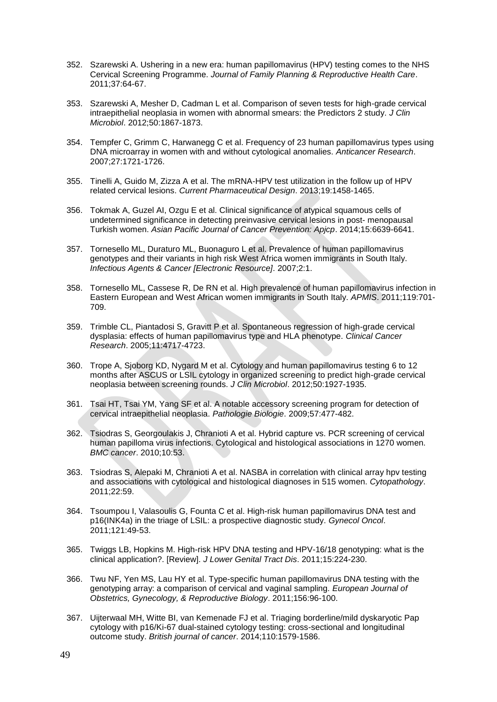- 352. Szarewski A. Ushering in a new era: human papillomavirus (HPV) testing comes to the NHS Cervical Screening Programme. *Journal of Family Planning & Reproductive Health Care*. 2011;37:64-67.
- 353. Szarewski A, Mesher D, Cadman L et al. Comparison of seven tests for high-grade cervical intraepithelial neoplasia in women with abnormal smears: the Predictors 2 study. *J Clin Microbiol*. 2012;50:1867-1873.
- 354. Tempfer C, Grimm C, Harwanegg C et al. Frequency of 23 human papillomavirus types using DNA microarray in women with and without cytological anomalies. *Anticancer Research*. 2007;27:1721-1726.
- 355. Tinelli A, Guido M, Zizza A et al. The mRNA-HPV test utilization in the follow up of HPV related cervical lesions. *Current Pharmaceutical Design*. 2013;19:1458-1465.
- 356. Tokmak A, Guzel AI, Ozgu E et al. Clinical significance of atypical squamous cells of undetermined significance in detecting preinvasive cervical lesions in post- menopausal Turkish women. *Asian Pacific Journal of Cancer Prevention: Apjcp*. 2014;15:6639-6641.
- 357. Tornesello ML, Duraturo ML, Buonaguro L et al. Prevalence of human papillomavirus genotypes and their variants in high risk West Africa women immigrants in South Italy. *Infectious Agents & Cancer [Electronic Resource]*. 2007;2:1.
- 358. Tornesello ML, Cassese R, De RN et al. High prevalence of human papillomavirus infection in Eastern European and West African women immigrants in South Italy. *APMIS*. 2011;119:701- 709.
- 359. Trimble CL, Piantadosi S, Gravitt P et al. Spontaneous regression of high-grade cervical dysplasia: effects of human papillomavirus type and HLA phenotype. *Clinical Cancer Research*. 2005;11:4717-4723.
- 360. Trope A, Sjoborg KD, Nygard M et al. Cytology and human papillomavirus testing 6 to 12 months after ASCUS or LSIL cytology in organized screening to predict high-grade cervical neoplasia between screening rounds. *J Clin Microbiol*. 2012;50:1927-1935.
- 361. Tsai HT, Tsai YM, Yang SF et al. A notable accessory screening program for detection of cervical intraepithelial neoplasia. *Pathologie Biologie*. 2009;57:477-482.
- 362. Tsiodras S, Georgoulakis J, Chranioti A et al. Hybrid capture vs. PCR screening of cervical human papilloma virus infections. Cytological and histological associations in 1270 women. *BMC cancer*. 2010;10:53.
- 363. Tsiodras S, Alepaki M, Chranioti A et al. NASBA in correlation with clinical array hpv testing and associations with cytological and histological diagnoses in 515 women. *Cytopathology*. 2011;22:59.
- 364. Tsoumpou I, Valasoulis G, Founta C et al. High-risk human papillomavirus DNA test and p16(INK4a) in the triage of LSIL: a prospective diagnostic study. *Gynecol Oncol*. 2011;121:49-53.
- 365. Twiggs LB, Hopkins M. High-risk HPV DNA testing and HPV-16/18 genotyping: what is the clinical application?. [Review]. *J Lower Genital Tract Dis*. 2011;15:224-230.
- 366. Twu NF, Yen MS, Lau HY et al. Type-specific human papillomavirus DNA testing with the genotyping array: a comparison of cervical and vaginal sampling. *European Journal of Obstetrics, Gynecology, & Reproductive Biology*. 2011;156:96-100.
- 367. Uijterwaal MH, Witte BI, van Kemenade FJ et al. Triaging borderline/mild dyskaryotic Pap cytology with p16/Ki-67 dual-stained cytology testing: cross-sectional and longitudinal outcome study. *British journal of cancer*. 2014;110:1579-1586.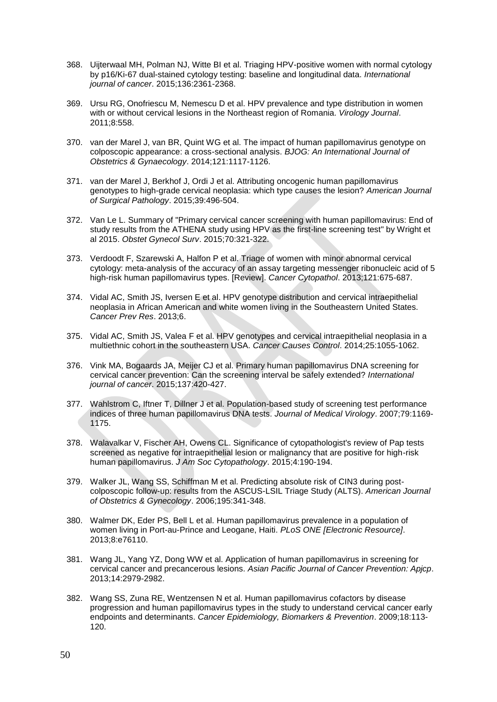- 368. Uijterwaal MH, Polman NJ, Witte BI et al. Triaging HPV-positive women with normal cytology by p16/Ki-67 dual-stained cytology testing: baseline and longitudinal data. *International journal of cancer*. 2015;136:2361-2368.
- 369. Ursu RG, Onofriescu M, Nemescu D et al. HPV prevalence and type distribution in women with or without cervical lesions in the Northeast region of Romania. *Virology Journal*. 2011;8:558.
- 370. van der Marel J, van BR, Quint WG et al. The impact of human papillomavirus genotype on colposcopic appearance: a cross-sectional analysis. *BJOG: An International Journal of Obstetrics & Gynaecology*. 2014;121:1117-1126.
- 371. van der Marel J, Berkhof J, Ordi J et al. Attributing oncogenic human papillomavirus genotypes to high-grade cervical neoplasia: which type causes the lesion? *American Journal of Surgical Pathology*. 2015;39:496-504.
- 372. Van Le L. Summary of "Primary cervical cancer screening with human papillomavirus: End of study results from the ATHENA study using HPV as the first-line screening test" by Wright et al 2015. *Obstet Gynecol Surv*. 2015;70:321-322.
- 373. Verdoodt F, Szarewski A, Halfon P et al. Triage of women with minor abnormal cervical cytology: meta-analysis of the accuracy of an assay targeting messenger ribonucleic acid of 5 high-risk human papillomavirus types. [Review]. *Cancer Cytopathol*. 2013;121:675-687.
- 374. Vidal AC, Smith JS, Iversen E et al. HPV genotype distribution and cervical intraepithelial neoplasia in African American and white women living in the Southeastern United States. *Cancer Prev Res*. 2013;6.
- 375. Vidal AC, Smith JS, Valea F et al. HPV genotypes and cervical intraepithelial neoplasia in a multiethnic cohort in the southeastern USA. *Cancer Causes Control*. 2014;25:1055-1062.
- 376. Vink MA, Bogaards JA, Meijer CJ et al. Primary human papillomavirus DNA screening for cervical cancer prevention: Can the screening interval be safely extended? *International journal of cancer*. 2015;137:420-427.
- 377. Wahlstrom C, Iftner T, Dillner J et al. Population-based study of screening test performance indices of three human papillomavirus DNA tests. *Journal of Medical Virology*. 2007;79:1169- 1175.
- 378. Walavalkar V, Fischer AH, Owens CL. Significance of cytopathologist's review of Pap tests screened as negative for intraepithelial lesion or malignancy that are positive for high-risk human papillomavirus. *J Am Soc Cytopathology*. 2015;4:190-194.
- 379. Walker JL, Wang SS, Schiffman M et al. Predicting absolute risk of CIN3 during postcolposcopic follow-up: results from the ASCUS-LSIL Triage Study (ALTS). *American Journal of Obstetrics & Gynecology*. 2006;195:341-348.
- 380. Walmer DK, Eder PS, Bell L et al. Human papillomavirus prevalence in a population of women living in Port-au-Prince and Leogane, Haiti. *PLoS ONE [Electronic Resource]*. 2013;8:e76110.
- 381. Wang JL, Yang YZ, Dong WW et al. Application of human papillomavirus in screening for cervical cancer and precancerous lesions. *Asian Pacific Journal of Cancer Prevention: Apjcp*. 2013;14:2979-2982.
- 382. Wang SS, Zuna RE, Wentzensen N et al. Human papillomavirus cofactors by disease progression and human papillomavirus types in the study to understand cervical cancer early endpoints and determinants. *Cancer Epidemiology, Biomarkers & Prevention*. 2009;18:113- 120.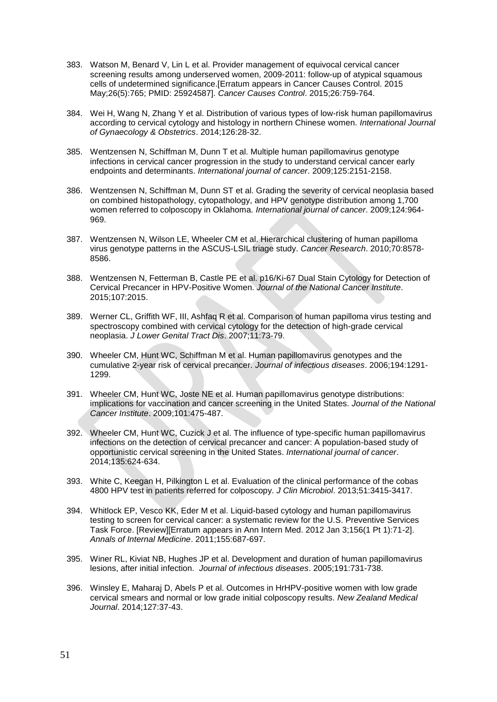- 383. Watson M, Benard V, Lin L et al. Provider management of equivocal cervical cancer screening results among underserved women, 2009-2011: follow-up of atypical squamous cells of undetermined significance.[Erratum appears in Cancer Causes Control. 2015 May;26(5):765; PMID: 25924587]. *Cancer Causes Control*. 2015;26:759-764.
- 384. Wei H, Wang N, Zhang Y et al. Distribution of various types of low-risk human papillomavirus according to cervical cytology and histology in northern Chinese women. *International Journal of Gynaecology & Obstetrics*. 2014;126:28-32.
- 385. Wentzensen N, Schiffman M, Dunn T et al. Multiple human papillomavirus genotype infections in cervical cancer progression in the study to understand cervical cancer early endpoints and determinants. *International journal of cancer*. 2009;125:2151-2158.
- 386. Wentzensen N, Schiffman M, Dunn ST et al. Grading the severity of cervical neoplasia based on combined histopathology, cytopathology, and HPV genotype distribution among 1,700 women referred to colposcopy in Oklahoma. *International journal of cancer*. 2009;124:964- 969.
- 387. Wentzensen N, Wilson LE, Wheeler CM et al. Hierarchical clustering of human papilloma virus genotype patterns in the ASCUS-LSIL triage study. *Cancer Research*. 2010;70:8578- 8586.
- 388. Wentzensen N, Fetterman B, Castle PE et al. p16/Ki-67 Dual Stain Cytology for Detection of Cervical Precancer in HPV-Positive Women. *Journal of the National Cancer Institute*. 2015;107:2015.
- 389. Werner CL, Griffith WF, III, Ashfaq R et al. Comparison of human papilloma virus testing and spectroscopy combined with cervical cytology for the detection of high-grade cervical neoplasia. *J Lower Genital Tract Dis*. 2007;11:73-79.
- 390. Wheeler CM, Hunt WC, Schiffman M et al. Human papillomavirus genotypes and the cumulative 2-year risk of cervical precancer. *Journal of infectious diseases*. 2006;194:1291- 1299.
- 391. Wheeler CM, Hunt WC, Joste NE et al. Human papillomavirus genotype distributions: implications for vaccination and cancer screening in the United States. *Journal of the National Cancer Institute*. 2009;101:475-487.
- 392. Wheeler CM, Hunt WC, Cuzick J et al. The influence of type-specific human papillomavirus infections on the detection of cervical precancer and cancer: A population-based study of opportunistic cervical screening in the United States. *International journal of cancer*. 2014;135:624-634.
- 393. White C, Keegan H, Pilkington L et al. Evaluation of the clinical performance of the cobas 4800 HPV test in patients referred for colposcopy. *J Clin Microbiol*. 2013;51:3415-3417.
- 394. Whitlock EP, Vesco KK, Eder M et al. Liquid-based cytology and human papillomavirus testing to screen for cervical cancer: a systematic review for the U.S. Preventive Services Task Force. [Review][Erratum appears in Ann Intern Med. 2012 Jan 3;156(1 Pt 1):71-2]. *Annals of Internal Medicine*. 2011;155:687-697.
- 395. Winer RL, Kiviat NB, Hughes JP et al. Development and duration of human papillomavirus lesions, after initial infection. *Journal of infectious diseases*. 2005;191:731-738.
- 396. Winsley E, Maharaj D, Abels P et al. Outcomes in HrHPV-positive women with low grade cervical smears and normal or low grade initial colposcopy results. *New Zealand Medical Journal*. 2014;127:37-43.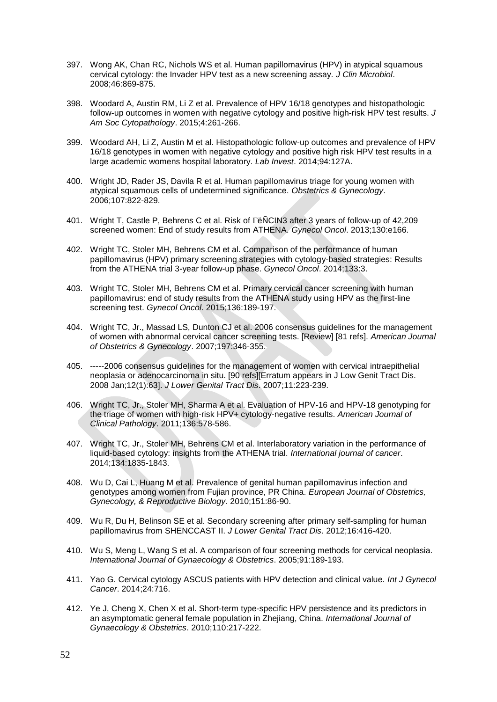- 397. Wong AK, Chan RC, Nichols WS et al. Human papillomavirus (HPV) in atypical squamous cervical cytology: the Invader HPV test as a new screening assay. *J Clin Microbiol*. 2008;46:869-875.
- 398. Woodard A, Austin RM, Li Z et al. Prevalence of HPV 16/18 genotypes and histopathologic follow-up outcomes in women with negative cytology and positive high-risk HPV test results. *J Am Soc Cytopathology*. 2015;4:261-266.
- 399. Woodard AH, Li Z, Austin M et al. Histopathologic follow-up outcomes and prevalence of HPV 16/18 genotypes in women with negative cytology and positive high risk HPV test results in a large academic womens hospital laboratory. *Lab Invest*. 2014;94:127A.
- 400. Wright JD, Rader JS, Davila R et al. Human papillomavirus triage for young women with atypical squamous cells of undetermined significance. *Obstetrics & Gynecology*. 2006;107:822-829.
- 401. Wright T, Castle P, Behrens C et al. Risk of ëÑCIN3 after 3 years of follow-up of 42,209 screened women: End of study results from ATHENA. *Gynecol Oncol*. 2013;130:e166.
- 402. Wright TC, Stoler MH, Behrens CM et al. Comparison of the performance of human papillomavirus (HPV) primary screening strategies with cytology-based strategies: Results from the ATHENA trial 3-year follow-up phase. *Gynecol Oncol*. 2014;133:3.
- 403. Wright TC, Stoler MH, Behrens CM et al. Primary cervical cancer screening with human papillomavirus: end of study results from the ATHENA study using HPV as the first-line screening test. *Gynecol Oncol*. 2015;136:189-197.
- 404. Wright TC, Jr., Massad LS, Dunton CJ et al. 2006 consensus guidelines for the management of women with abnormal cervical cancer screening tests. [Review] [81 refs]. *American Journal of Obstetrics & Gynecology*. 2007;197:346-355.
- 405. -----2006 consensus guidelines for the management of women with cervical intraepithelial neoplasia or adenocarcinoma in situ. [90 refs][Erratum appears in J Low Genit Tract Dis. 2008 Jan;12(1):63]. *J Lower Genital Tract Dis*. 2007;11:223-239.
- 406. Wright TC, Jr., Stoler MH, Sharma A et al. Evaluation of HPV-16 and HPV-18 genotyping for the triage of women with high-risk HPV+ cytology-negative results. *American Journal of Clinical Pathology*. 2011;136:578-586.
- 407. Wright TC, Jr., Stoler MH, Behrens CM et al. Interlaboratory variation in the performance of liquid-based cytology: insights from the ATHENA trial. *International journal of cancer*. 2014;134:1835-1843.
- 408. Wu D, Cai L, Huang M et al. Prevalence of genital human papillomavirus infection and genotypes among women from Fujian province, PR China. *European Journal of Obstetrics, Gynecology, & Reproductive Biology*. 2010;151:86-90.
- 409. Wu R, Du H, Belinson SE et al. Secondary screening after primary self-sampling for human papillomavirus from SHENCCAST II. *J Lower Genital Tract Dis*. 2012;16:416-420.
- 410. Wu S, Meng L, Wang S et al. A comparison of four screening methods for cervical neoplasia. *International Journal of Gynaecology & Obstetrics*. 2005;91:189-193.
- 411. Yao G. Cervical cytology ASCUS patients with HPV detection and clinical value. *Int J Gynecol Cancer*. 2014;24:716.
- 412. Ye J, Cheng X, Chen X et al. Short-term type-specific HPV persistence and its predictors in an asymptomatic general female population in Zhejiang, China. *International Journal of Gynaecology & Obstetrics*. 2010;110:217-222.